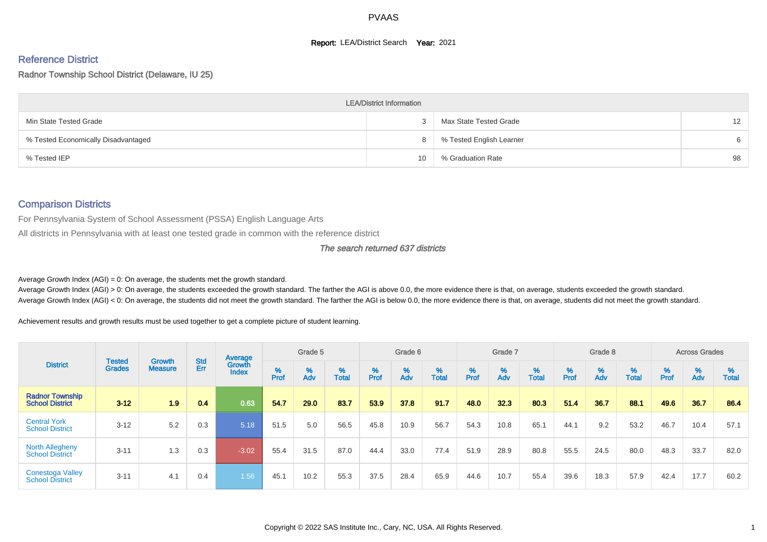#### **Report: LEA/District Search Year: 2021**

# Reference District

Radnor Township School District (Delaware, IU 25)

|                                     | <b>LEA/District Information</b> |                          |                   |
|-------------------------------------|---------------------------------|--------------------------|-------------------|
| Min State Tested Grade              |                                 | Max State Tested Grade   | $12 \overline{ }$ |
| % Tested Economically Disadvantaged |                                 | % Tested English Learner | 6                 |
| % Tested IEP                        | 10                              | % Graduation Rate        | 98                |

#### Comparison Districts

For Pennsylvania System of School Assessment (PSSA) English Language Arts

All districts in Pennsylvania with at least one tested grade in common with the reference district

#### The search returned 637 districts

Average Growth Index  $(AGI) = 0$ : On average, the students met the growth standard.

Average Growth Index (AGI) > 0: On average, the students exceeded the growth standard. The farther the AGI is above 0.0, the more evidence there is that, on average, students exceeded the growth standard. Average Growth Index (AGI) < 0: On average, the students did not meet the growth standard. The farther the AGI is below 0.0, the more evidence there is that, on average, students did not meet the growth standard.

Achievement results and growth results must be used together to get a complete picture of student learning.

|                                                   |                                |                                 |                   | Average                       |                    | Grade 5  |                   |        | Grade 6  |                   |           | Grade 7  |                   |           | Grade 8  |                   |        | <b>Across Grades</b> |                   |
|---------------------------------------------------|--------------------------------|---------------------------------|-------------------|-------------------------------|--------------------|----------|-------------------|--------|----------|-------------------|-----------|----------|-------------------|-----------|----------|-------------------|--------|----------------------|-------------------|
| <b>District</b>                                   | <b>Tested</b><br><b>Grades</b> | <b>Growth</b><br><b>Measure</b> | <b>Std</b><br>Err | <b>Growth</b><br><b>Index</b> | $% P_{\text{ref}}$ | %<br>Adv | %<br><b>Total</b> | % Pref | %<br>Adv | %<br><b>Total</b> | %<br>Prof | %<br>Adv | %<br><b>Total</b> | %<br>Prof | %<br>Adv | %<br><b>Total</b> | % Pref | %<br>Adv             | %<br><b>Total</b> |
| <b>Radnor Township</b><br><b>School District</b>  | $3 - 12$                       | 1.9                             | 0.4               | 0.63                          | 54.7               | 29.0     | 83.7              | 53.9   | 37.8     | 91.7              | 48.0      | 32.3     | 80.3              | 51.4      | 36.7     | 88.1              | 49.6   | 36.7                 | 86.4              |
| <b>Central York</b><br><b>School District</b>     | $3 - 12$                       | 5.2                             | 0.3               | 5.18                          | 51.5               | 5.0      | 56.5              | 45.8   | 10.9     | 56.7              | 54.3      | 10.8     | 65.1              | 44.1      | 9.2      | 53.2              | 46.7   | 10.4                 | 57.1              |
| <b>North Allegheny</b><br><b>School District</b>  | $3 - 11$                       | 1.3                             | 0.3               | $-3.02$                       | 55.4               | 31.5     | 87.0              | 44.4   | 33.0     | 77.4              | 51.9      | 28.9     | 80.8              | 55.5      | 24.5     | 80.0              | 48.3   | 33.7                 | 82.0              |
| <b>Conestoga Valley</b><br><b>School District</b> | $3 - 11$                       | 4.1                             | 0.4               | 1.56                          | 45.1               | 10.2     | 55.3              | 37.5   | 28.4     | 65.9              | 44.6      | 10.7     | 55.4              | 39.6      | 18.3     | 57.9              | 42.4   | 17.7                 | 60.2              |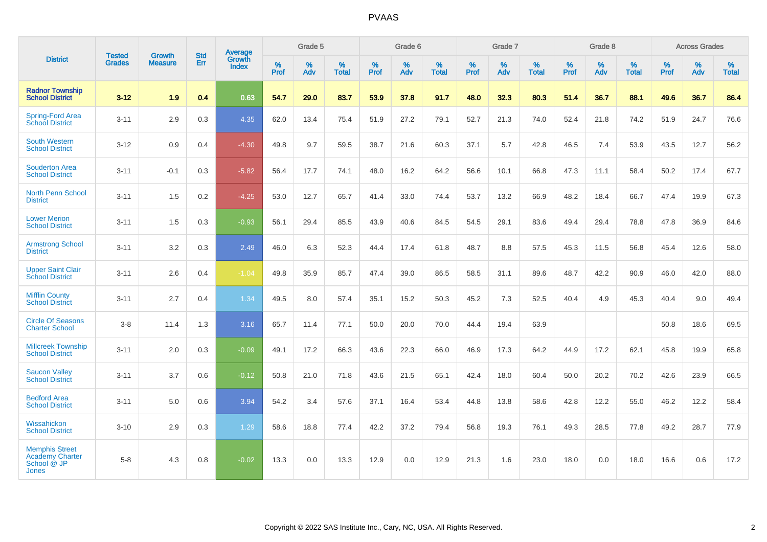|                                                                         |                         |                                 | <b>Std</b> | <b>Average</b>                |           | Grade 5  |                   |                  | Grade 6  |                   |           | Grade 7  |                   |           | Grade 8  |                   |                  | <b>Across Grades</b> |                   |
|-------------------------------------------------------------------------|-------------------------|---------------------------------|------------|-------------------------------|-----------|----------|-------------------|------------------|----------|-------------------|-----------|----------|-------------------|-----------|----------|-------------------|------------------|----------------------|-------------------|
| <b>District</b>                                                         | <b>Tested</b><br>Grades | <b>Growth</b><br><b>Measure</b> | Err        | <b>Growth</b><br><b>Index</b> | %<br>Prof | %<br>Adv | %<br><b>Total</b> | %<br><b>Prof</b> | %<br>Adv | %<br><b>Total</b> | %<br>Prof | %<br>Adv | %<br><b>Total</b> | %<br>Prof | %<br>Adv | %<br><b>Total</b> | %<br><b>Prof</b> | %<br>Adv             | %<br><b>Total</b> |
| <b>Radnor Township</b><br><b>School District</b>                        | $3 - 12$                | 1.9                             | 0.4        | 0.63                          | 54.7      | 29.0     | 83.7              | 53.9             | 37.8     | 91.7              | 48.0      | 32.3     | 80.3              | 51.4      | 36.7     | 88.1              | 49.6             | 36.7                 | 86.4              |
| <b>Spring-Ford Area</b><br><b>School District</b>                       | $3 - 11$                | 2.9                             | 0.3        | 4.35                          | 62.0      | 13.4     | 75.4              | 51.9             | 27.2     | 79.1              | 52.7      | 21.3     | 74.0              | 52.4      | 21.8     | 74.2              | 51.9             | 24.7                 | 76.6              |
| <b>South Western</b><br><b>School District</b>                          | $3 - 12$                | 0.9                             | 0.4        | $-4.30$                       | 49.8      | 9.7      | 59.5              | 38.7             | 21.6     | 60.3              | 37.1      | 5.7      | 42.8              | 46.5      | 7.4      | 53.9              | 43.5             | 12.7                 | 56.2              |
| <b>Souderton Area</b><br><b>School District</b>                         | $3 - 11$                | $-0.1$                          | 0.3        | $-5.82$                       | 56.4      | 17.7     | 74.1              | 48.0             | 16.2     | 64.2              | 56.6      | 10.1     | 66.8              | 47.3      | 11.1     | 58.4              | 50.2             | 17.4                 | 67.7              |
| <b>North Penn School</b><br><b>District</b>                             | $3 - 11$                | 1.5                             | 0.2        | $-4.25$                       | 53.0      | 12.7     | 65.7              | 41.4             | 33.0     | 74.4              | 53.7      | 13.2     | 66.9              | 48.2      | 18.4     | 66.7              | 47.4             | 19.9                 | 67.3              |
| <b>Lower Merion</b><br><b>School District</b>                           | $3 - 11$                | 1.5                             | 0.3        | $-0.93$                       | 56.1      | 29.4     | 85.5              | 43.9             | 40.6     | 84.5              | 54.5      | 29.1     | 83.6              | 49.4      | 29.4     | 78.8              | 47.8             | 36.9                 | 84.6              |
| <b>Armstrong School</b><br><b>District</b>                              | $3 - 11$                | 3.2                             | 0.3        | 2.49                          | 46.0      | 6.3      | 52.3              | 44.4             | 17.4     | 61.8              | 48.7      | 8.8      | 57.5              | 45.3      | 11.5     | 56.8              | 45.4             | 12.6                 | 58.0              |
| <b>Upper Saint Clair</b><br><b>School District</b>                      | $3 - 11$                | 2.6                             | 0.4        | $-1.04$                       | 49.8      | 35.9     | 85.7              | 47.4             | 39.0     | 86.5              | 58.5      | 31.1     | 89.6              | 48.7      | 42.2     | 90.9              | 46.0             | 42.0                 | 88.0              |
| <b>Mifflin County</b><br><b>School District</b>                         | $3 - 11$                | 2.7                             | 0.4        | 1.34                          | 49.5      | 8.0      | 57.4              | 35.1             | 15.2     | 50.3              | 45.2      | 7.3      | 52.5              | 40.4      | 4.9      | 45.3              | 40.4             | 9.0                  | 49.4              |
| <b>Circle Of Seasons</b><br><b>Charter School</b>                       | $3 - 8$                 | 11.4                            | 1.3        | 3.16                          | 65.7      | 11.4     | 77.1              | 50.0             | 20.0     | 70.0              | 44.4      | 19.4     | 63.9              |           |          |                   | 50.8             | 18.6                 | 69.5              |
| <b>Millcreek Township</b><br><b>School District</b>                     | $3 - 11$                | 2.0                             | 0.3        | $-0.09$                       | 49.1      | 17.2     | 66.3              | 43.6             | 22.3     | 66.0              | 46.9      | 17.3     | 64.2              | 44.9      | 17.2     | 62.1              | 45.8             | 19.9                 | 65.8              |
| <b>Saucon Valley</b><br><b>School District</b>                          | $3 - 11$                | 3.7                             | 0.6        | $-0.12$                       | 50.8      | 21.0     | 71.8              | 43.6             | 21.5     | 65.1              | 42.4      | 18.0     | 60.4              | 50.0      | 20.2     | 70.2              | 42.6             | 23.9                 | 66.5              |
| <b>Bedford Area</b><br><b>School District</b>                           | $3 - 11$                | 5.0                             | 0.6        | 3.94                          | 54.2      | 3.4      | 57.6              | 37.1             | 16.4     | 53.4              | 44.8      | 13.8     | 58.6              | 42.8      | 12.2     | 55.0              | 46.2             | 12.2                 | 58.4              |
| Wissahickon<br><b>School District</b>                                   | $3 - 10$                | 2.9                             | 0.3        | 1.29                          | 58.6      | 18.8     | 77.4              | 42.2             | 37.2     | 79.4              | 56.8      | 19.3     | 76.1              | 49.3      | 28.5     | 77.8              | 49.2             | 28.7                 | 77.9              |
| <b>Memphis Street</b><br><b>Academy Charter</b><br>School @ JP<br>Jones | $5 - 8$                 | 4.3                             | 0.8        | $-0.02$                       | 13.3      | 0.0      | 13.3              | 12.9             | 0.0      | 12.9              | 21.3      | 1.6      | 23.0              | 18.0      | 0.0      | 18.0              | 16.6             | 0.6                  | 17.2              |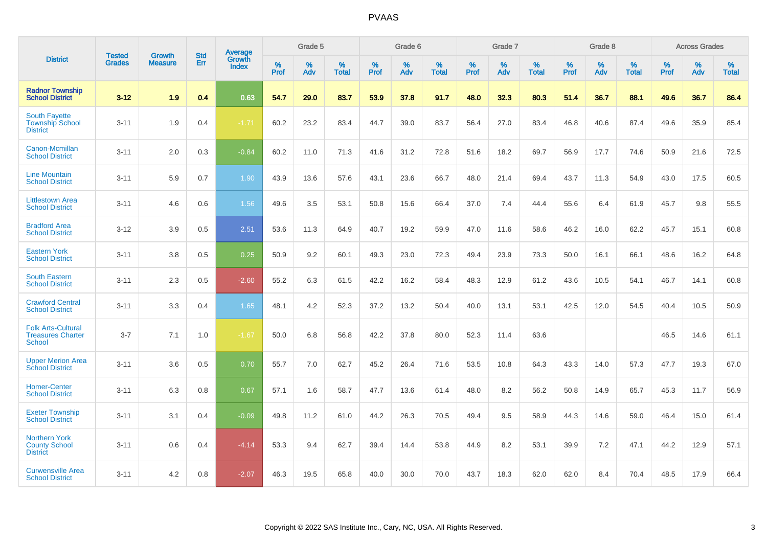|                                                                        |                                |                                 | <b>Std</b> | Average                       |           | Grade 5  |                   |           | Grade 6  |                   |           | Grade 7  |                   |           | Grade 8  |                   |           | <b>Across Grades</b> |                   |
|------------------------------------------------------------------------|--------------------------------|---------------------------------|------------|-------------------------------|-----------|----------|-------------------|-----------|----------|-------------------|-----------|----------|-------------------|-----------|----------|-------------------|-----------|----------------------|-------------------|
| <b>District</b>                                                        | <b>Tested</b><br><b>Grades</b> | <b>Growth</b><br><b>Measure</b> | Err        | <b>Growth</b><br><b>Index</b> | %<br>Prof | %<br>Adv | %<br><b>Total</b> | %<br>Prof | %<br>Adv | %<br><b>Total</b> | %<br>Prof | %<br>Adv | %<br><b>Total</b> | %<br>Prof | %<br>Adv | %<br><b>Total</b> | %<br>Prof | %<br>Adv             | %<br><b>Total</b> |
| <b>Radnor Township</b><br><b>School District</b>                       | $3 - 12$                       | 1.9                             | 0.4        | 0.63                          | 54.7      | 29.0     | 83.7              | 53.9      | 37.8     | 91.7              | 48.0      | 32.3     | 80.3              | 51.4      | 36.7     | 88.1              | 49.6      | 36.7                 | 86.4              |
| <b>South Fayette</b><br><b>Township School</b><br><b>District</b>      | $3 - 11$                       | 1.9                             | 0.4        | $-1.71$                       | 60.2      | 23.2     | 83.4              | 44.7      | 39.0     | 83.7              | 56.4      | 27.0     | 83.4              | 46.8      | 40.6     | 87.4              | 49.6      | 35.9                 | 85.4              |
| Canon-Mcmillan<br><b>School District</b>                               | $3 - 11$                       | 2.0                             | 0.3        | $-0.84$                       | 60.2      | 11.0     | 71.3              | 41.6      | 31.2     | 72.8              | 51.6      | 18.2     | 69.7              | 56.9      | 17.7     | 74.6              | 50.9      | 21.6                 | 72.5              |
| <b>Line Mountain</b><br><b>School District</b>                         | $3 - 11$                       | 5.9                             | 0.7        | 1.90                          | 43.9      | 13.6     | 57.6              | 43.1      | 23.6     | 66.7              | 48.0      | 21.4     | 69.4              | 43.7      | 11.3     | 54.9              | 43.0      | 17.5                 | 60.5              |
| <b>Littlestown Area</b><br><b>School District</b>                      | $3 - 11$                       | 4.6                             | 0.6        | 1.56                          | 49.6      | 3.5      | 53.1              | 50.8      | 15.6     | 66.4              | 37.0      | 7.4      | 44.4              | 55.6      | 6.4      | 61.9              | 45.7      | 9.8                  | 55.5              |
| <b>Bradford Area</b><br><b>School District</b>                         | $3 - 12$                       | 3.9                             | 0.5        | 2.51                          | 53.6      | 11.3     | 64.9              | 40.7      | 19.2     | 59.9              | 47.0      | 11.6     | 58.6              | 46.2      | 16.0     | 62.2              | 45.7      | 15.1                 | 60.8              |
| <b>Eastern York</b><br><b>School District</b>                          | $3 - 11$                       | 3.8                             | 0.5        | 0.25                          | 50.9      | 9.2      | 60.1              | 49.3      | 23.0     | 72.3              | 49.4      | 23.9     | 73.3              | 50.0      | 16.1     | 66.1              | 48.6      | 16.2                 | 64.8              |
| <b>South Eastern</b><br><b>School District</b>                         | $3 - 11$                       | 2.3                             | 0.5        | $-2.60$                       | 55.2      | 6.3      | 61.5              | 42.2      | 16.2     | 58.4              | 48.3      | 12.9     | 61.2              | 43.6      | 10.5     | 54.1              | 46.7      | 14.1                 | 60.8              |
| <b>Crawford Central</b><br><b>School District</b>                      | $3 - 11$                       | 3.3                             | 0.4        | 1.65                          | 48.1      | 4.2      | 52.3              | 37.2      | 13.2     | 50.4              | 40.0      | 13.1     | 53.1              | 42.5      | 12.0     | 54.5              | 40.4      | 10.5                 | 50.9              |
| <b>Folk Arts-Cultural</b><br><b>Treasures Charter</b><br><b>School</b> | $3 - 7$                        | 7.1                             | 1.0        | $-1.67$                       | 50.0      | 6.8      | 56.8              | 42.2      | 37.8     | 80.0              | 52.3      | 11.4     | 63.6              |           |          |                   | 46.5      | 14.6                 | 61.1              |
| <b>Upper Merion Area</b><br><b>School District</b>                     | $3 - 11$                       | 3.6                             | 0.5        | 0.70                          | 55.7      | 7.0      | 62.7              | 45.2      | 26.4     | 71.6              | 53.5      | 10.8     | 64.3              | 43.3      | 14.0     | 57.3              | 47.7      | 19.3                 | 67.0              |
| <b>Homer-Center</b><br><b>School District</b>                          | $3 - 11$                       | 6.3                             | 0.8        | 0.67                          | 57.1      | 1.6      | 58.7              | 47.7      | 13.6     | 61.4              | 48.0      | 8.2      | 56.2              | 50.8      | 14.9     | 65.7              | 45.3      | 11.7                 | 56.9              |
| <b>Exeter Township</b><br><b>School District</b>                       | $3 - 11$                       | 3.1                             | 0.4        | $-0.09$                       | 49.8      | 11.2     | 61.0              | 44.2      | 26.3     | 70.5              | 49.4      | 9.5      | 58.9              | 44.3      | 14.6     | 59.0              | 46.4      | 15.0                 | 61.4              |
| <b>Northern York</b><br><b>County School</b><br><b>District</b>        | $3 - 11$                       | 0.6                             | 0.4        | $-4.14$                       | 53.3      | 9.4      | 62.7              | 39.4      | 14.4     | 53.8              | 44.9      | 8.2      | 53.1              | 39.9      | 7.2      | 47.1              | 44.2      | 12.9                 | 57.1              |
| <b>Curwensville Area</b><br><b>School District</b>                     | $3 - 11$                       | 4.2                             | 0.8        | $-2.07$                       | 46.3      | 19.5     | 65.8              | 40.0      | 30.0     | 70.0              | 43.7      | 18.3     | 62.0              | 62.0      | 8.4      | 70.4              | 48.5      | 17.9                 | 66.4              |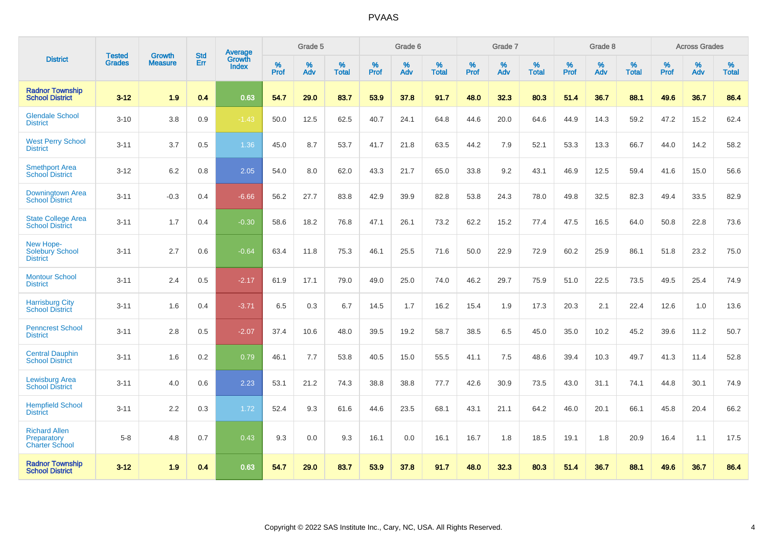|                                                              | <b>Tested</b> | <b>Growth</b>  | <b>Std</b> | Average                |           | Grade 5  |                   |           | Grade 6  |                   |                  | Grade 7  |                   |           | Grade 8  |                   |                  | <b>Across Grades</b> |                   |
|--------------------------------------------------------------|---------------|----------------|------------|------------------------|-----------|----------|-------------------|-----------|----------|-------------------|------------------|----------|-------------------|-----------|----------|-------------------|------------------|----------------------|-------------------|
| <b>District</b>                                              | <b>Grades</b> | <b>Measure</b> | <b>Err</b> | Growth<br><b>Index</b> | %<br>Prof | %<br>Adv | %<br><b>Total</b> | %<br>Prof | %<br>Adv | %<br><b>Total</b> | %<br><b>Prof</b> | %<br>Adv | %<br><b>Total</b> | %<br>Prof | %<br>Adv | %<br><b>Total</b> | %<br><b>Prof</b> | %<br>Adv             | %<br><b>Total</b> |
| <b>Radnor Township</b><br><b>School District</b>             | $3 - 12$      | 1.9            | 0.4        | 0.63                   | 54.7      | 29.0     | 83.7              | 53.9      | 37.8     | 91.7              | 48.0             | 32.3     | 80.3              | 51.4      | 36.7     | 88.1              | 49.6             | 36.7                 | 86.4              |
| <b>Glendale School</b><br><b>District</b>                    | $3 - 10$      | 3.8            | 0.9        | $-1.43$                | 50.0      | 12.5     | 62.5              | 40.7      | 24.1     | 64.8              | 44.6             | 20.0     | 64.6              | 44.9      | 14.3     | 59.2              | 47.2             | 15.2                 | 62.4              |
| <b>West Perry School</b><br><b>District</b>                  | $3 - 11$      | 3.7            | 0.5        | 1.36                   | 45.0      | 8.7      | 53.7              | 41.7      | 21.8     | 63.5              | 44.2             | 7.9      | 52.1              | 53.3      | 13.3     | 66.7              | 44.0             | 14.2                 | 58.2              |
| <b>Smethport Area</b><br>School District                     | $3 - 12$      | 6.2            | 0.8        | 2.05                   | 54.0      | 8.0      | 62.0              | 43.3      | 21.7     | 65.0              | 33.8             | 9.2      | 43.1              | 46.9      | 12.5     | 59.4              | 41.6             | 15.0                 | 56.6              |
| Downingtown Area<br><b>School District</b>                   | $3 - 11$      | $-0.3$         | 0.4        | $-6.66$                | 56.2      | 27.7     | 83.8              | 42.9      | 39.9     | 82.8              | 53.8             | 24.3     | 78.0              | 49.8      | 32.5     | 82.3              | 49.4             | 33.5                 | 82.9              |
| <b>State College Area</b><br><b>School District</b>          | $3 - 11$      | 1.7            | 0.4        | $-0.30$                | 58.6      | 18.2     | 76.8              | 47.1      | 26.1     | 73.2              | 62.2             | 15.2     | 77.4              | 47.5      | 16.5     | 64.0              | 50.8             | 22.8                 | 73.6              |
| New Hope-<br><b>Solebury School</b><br><b>District</b>       | $3 - 11$      | 2.7            | 0.6        | $-0.64$                | 63.4      | 11.8     | 75.3              | 46.1      | 25.5     | 71.6              | 50.0             | 22.9     | 72.9              | 60.2      | 25.9     | 86.1              | 51.8             | 23.2                 | 75.0              |
| <b>Montour School</b><br><b>District</b>                     | $3 - 11$      | 2.4            | 0.5        | $-2.17$                | 61.9      | 17.1     | 79.0              | 49.0      | 25.0     | 74.0              | 46.2             | 29.7     | 75.9              | 51.0      | 22.5     | 73.5              | 49.5             | 25.4                 | 74.9              |
| <b>Harrisburg City</b><br><b>School District</b>             | $3 - 11$      | 1.6            | 0.4        | $-3.71$                | 6.5       | 0.3      | 6.7               | 14.5      | 1.7      | 16.2              | 15.4             | 1.9      | 17.3              | 20.3      | 2.1      | 22.4              | 12.6             | 1.0                  | 13.6              |
| <b>Penncrest School</b><br><b>District</b>                   | $3 - 11$      | 2.8            | 0.5        | $-2.07$                | 37.4      | 10.6     | 48.0              | 39.5      | 19.2     | 58.7              | 38.5             | 6.5      | 45.0              | 35.0      | 10.2     | 45.2              | 39.6             | 11.2                 | 50.7              |
| <b>Central Dauphin</b><br><b>School District</b>             | $3 - 11$      | 1.6            | 0.2        | 0.79                   | 46.1      | 7.7      | 53.8              | 40.5      | 15.0     | 55.5              | 41.1             | 7.5      | 48.6              | 39.4      | 10.3     | 49.7              | 41.3             | 11.4                 | 52.8              |
| <b>Lewisburg Area</b><br><b>School District</b>              | $3 - 11$      | 4.0            | 0.6        | 2.23                   | 53.1      | 21.2     | 74.3              | 38.8      | 38.8     | 77.7              | 42.6             | 30.9     | 73.5              | 43.0      | 31.1     | 74.1              | 44.8             | 30.1                 | 74.9              |
| <b>Hempfield School</b><br><b>District</b>                   | $3 - 11$      | 2.2            | 0.3        | 1.72                   | 52.4      | 9.3      | 61.6              | 44.6      | 23.5     | 68.1              | 43.1             | 21.1     | 64.2              | 46.0      | 20.1     | 66.1              | 45.8             | 20.4                 | 66.2              |
| <b>Richard Allen</b><br>Preparatory<br><b>Charter School</b> | $5 - 8$       | 4.8            | 0.7        | 0.43                   | 9.3       | $0.0\,$  | 9.3               | 16.1      | 0.0      | 16.1              | 16.7             | 1.8      | 18.5              | 19.1      | 1.8      | 20.9              | 16.4             | 1.1                  | 17.5              |
| <b>Radnor Township</b><br><b>School District</b>             | $3 - 12$      | 1.9            | 0.4        | 0.63                   | 54.7      | 29.0     | 83.7              | 53.9      | 37.8     | 91.7              | 48.0             | 32.3     | 80.3              | 51.4      | 36.7     | 88.1              | 49.6             | 36.7                 | 86.4              |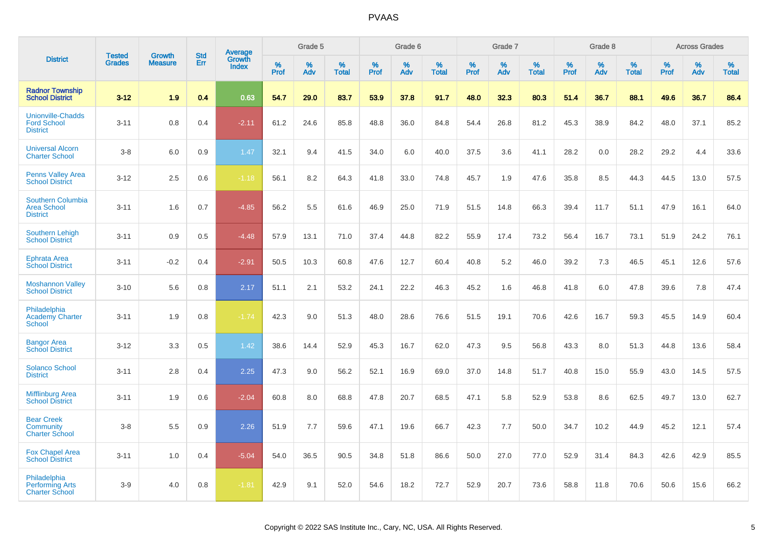|                                                                   |                                |                                 |                   | Average                |                  | Grade 5  |                   |                  | Grade 6  |                   |                  | Grade 7  |                   |           | Grade 8  |                   |                  | <b>Across Grades</b> |                   |
|-------------------------------------------------------------------|--------------------------------|---------------------------------|-------------------|------------------------|------------------|----------|-------------------|------------------|----------|-------------------|------------------|----------|-------------------|-----------|----------|-------------------|------------------|----------------------|-------------------|
| <b>District</b>                                                   | <b>Tested</b><br><b>Grades</b> | <b>Growth</b><br><b>Measure</b> | <b>Std</b><br>Err | Growth<br><b>Index</b> | %<br><b>Prof</b> | %<br>Adv | %<br><b>Total</b> | %<br><b>Prof</b> | %<br>Adv | %<br><b>Total</b> | %<br><b>Prof</b> | %<br>Adv | %<br><b>Total</b> | %<br>Prof | %<br>Adv | %<br><b>Total</b> | %<br><b>Prof</b> | %<br>Adv             | %<br><b>Total</b> |
| <b>Radnor Township</b><br><b>School District</b>                  | $3 - 12$                       | 1.9                             | 0.4               | 0.63                   | 54.7             | 29.0     | 83.7              | 53.9             | 37.8     | 91.7              | 48.0             | 32.3     | 80.3              | 51.4      | 36.7     | 88.1              | 49.6             | 36.7                 | 86.4              |
| <b>Unionville-Chadds</b><br><b>Ford School</b><br><b>District</b> | $3 - 11$                       | 0.8                             | 0.4               | $-2.11$                | 61.2             | 24.6     | 85.8              | 48.8             | 36.0     | 84.8              | 54.4             | 26.8     | 81.2              | 45.3      | 38.9     | 84.2              | 48.0             | 37.1                 | 85.2              |
| <b>Universal Alcorn</b><br><b>Charter School</b>                  | $3-8$                          | 6.0                             | 0.9               | 1.47                   | 32.1             | 9.4      | 41.5              | 34.0             | 6.0      | 40.0              | 37.5             | 3.6      | 41.1              | 28.2      | 0.0      | 28.2              | 29.2             | 4.4                  | 33.6              |
| <b>Penns Valley Area</b><br><b>School District</b>                | $3 - 12$                       | 2.5                             | 0.6               | $-1.18$                | 56.1             | 8.2      | 64.3              | 41.8             | 33.0     | 74.8              | 45.7             | 1.9      | 47.6              | 35.8      | 8.5      | 44.3              | 44.5             | 13.0                 | 57.5              |
| Southern Columbia<br><b>Area School</b><br><b>District</b>        | $3 - 11$                       | 1.6                             | 0.7               | $-4.85$                | 56.2             | 5.5      | 61.6              | 46.9             | 25.0     | 71.9              | 51.5             | 14.8     | 66.3              | 39.4      | 11.7     | 51.1              | 47.9             | 16.1                 | 64.0              |
| <b>Southern Lehigh</b><br><b>School District</b>                  | $3 - 11$                       | 0.9                             | 0.5               | $-4.48$                | 57.9             | 13.1     | 71.0              | 37.4             | 44.8     | 82.2              | 55.9             | 17.4     | 73.2              | 56.4      | 16.7     | 73.1              | 51.9             | 24.2                 | 76.1              |
| <b>Ephrata Area</b><br><b>School District</b>                     | $3 - 11$                       | $-0.2$                          | 0.4               | $-2.91$                | 50.5             | 10.3     | 60.8              | 47.6             | 12.7     | 60.4              | 40.8             | 5.2      | 46.0              | 39.2      | 7.3      | 46.5              | 45.1             | 12.6                 | 57.6              |
| <b>Moshannon Valley</b><br><b>School District</b>                 | $3 - 10$                       | 5.6                             | 0.8               | 2.17                   | 51.1             | 2.1      | 53.2              | 24.1             | 22.2     | 46.3              | 45.2             | 1.6      | 46.8              | 41.8      | 6.0      | 47.8              | 39.6             | 7.8                  | 47.4              |
| Philadelphia<br><b>Academy Charter</b><br><b>School</b>           | $3 - 11$                       | 1.9                             | 0.8               | $-1.74$                | 42.3             | 9.0      | 51.3              | 48.0             | 28.6     | 76.6              | 51.5             | 19.1     | 70.6              | 42.6      | 16.7     | 59.3              | 45.5             | 14.9                 | 60.4              |
| <b>Bangor Area</b><br><b>School District</b>                      | $3 - 12$                       | 3.3                             | 0.5               | 1.42                   | 38.6             | 14.4     | 52.9              | 45.3             | 16.7     | 62.0              | 47.3             | 9.5      | 56.8              | 43.3      | 8.0      | 51.3              | 44.8             | 13.6                 | 58.4              |
| <b>Solanco School</b><br><b>District</b>                          | $3 - 11$                       | 2.8                             | 0.4               | 2.25                   | 47.3             | 9.0      | 56.2              | 52.1             | 16.9     | 69.0              | 37.0             | 14.8     | 51.7              | 40.8      | 15.0     | 55.9              | 43.0             | 14.5                 | 57.5              |
| <b>Mifflinburg Area</b><br><b>School District</b>                 | $3 - 11$                       | 1.9                             | 0.6               | $-2.04$                | 60.8             | 8.0      | 68.8              | 47.8             | 20.7     | 68.5              | 47.1             | 5.8      | 52.9              | 53.8      | 8.6      | 62.5              | 49.7             | 13.0                 | 62.7              |
| <b>Bear Creek</b><br>Community<br><b>Charter School</b>           | $3-8$                          | 5.5                             | 0.9               | 2.26                   | 51.9             | 7.7      | 59.6              | 47.1             | 19.6     | 66.7              | 42.3             | 7.7      | 50.0              | 34.7      | 10.2     | 44.9              | 45.2             | 12.1                 | 57.4              |
| <b>Fox Chapel Area</b><br><b>School District</b>                  | $3 - 11$                       | 1.0                             | 0.4               | $-5.04$                | 54.0             | 36.5     | 90.5              | 34.8             | 51.8     | 86.6              | 50.0             | 27.0     | 77.0              | 52.9      | 31.4     | 84.3              | 42.6             | 42.9                 | 85.5              |
| Philadelphia<br><b>Performing Arts</b><br><b>Charter School</b>   | $3-9$                          | 4.0                             | 0.8               | $-1.81$                | 42.9             | 9.1      | 52.0              | 54.6             | 18.2     | 72.7              | 52.9             | 20.7     | 73.6              | 58.8      | 11.8     | 70.6              | 50.6             | 15.6                 | 66.2              |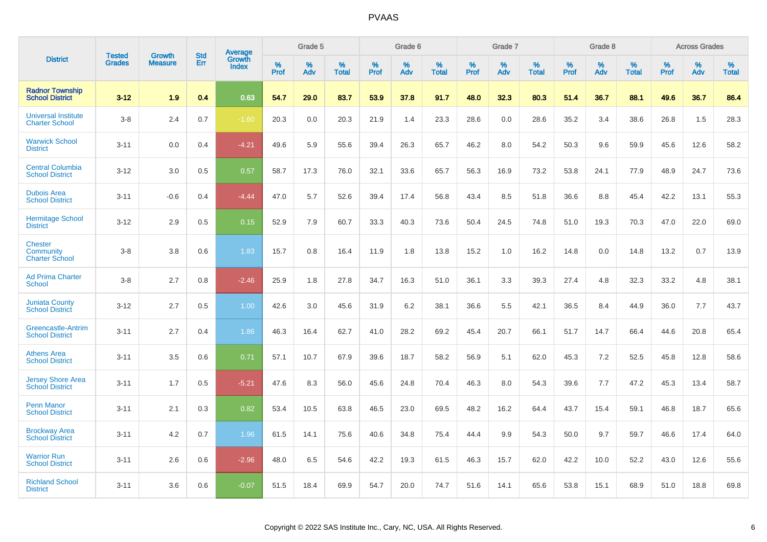|                                                      |                         | <b>Growth</b>  | <b>Std</b> | Average                |              | Grade 5     |                      |                     | Grade 6     |                      |              | Grade 7     |                      |              | Grade 8     |                   |                     | <b>Across Grades</b> |                      |
|------------------------------------------------------|-------------------------|----------------|------------|------------------------|--------------|-------------|----------------------|---------------------|-------------|----------------------|--------------|-------------|----------------------|--------------|-------------|-------------------|---------------------|----------------------|----------------------|
| <b>District</b>                                      | Tested<br><b>Grades</b> | <b>Measure</b> | Err        | Growth<br><b>Index</b> | $\%$<br>Prof | $\%$<br>Adv | $\%$<br><b>Total</b> | $\%$<br><b>Prof</b> | $\%$<br>Adv | $\%$<br><b>Total</b> | $\%$<br>Prof | $\%$<br>Adv | $\%$<br><b>Total</b> | $\%$<br>Prof | $\%$<br>Adv | %<br><b>Total</b> | $\%$<br><b>Prof</b> | $\%$<br>Adv          | $\%$<br><b>Total</b> |
| <b>Radnor Township</b><br><b>School District</b>     | $3 - 12$                | 1.9            | 0.4        | 0.63                   | 54.7         | 29.0        | 83.7                 | 53.9                | 37.8        | 91.7                 | 48.0         | 32.3        | 80.3                 | 51.4         | 36.7        | 88.1              | 49.6                | 36.7                 | 86.4                 |
| <b>Universal Institute</b><br><b>Charter School</b>  | $3 - 8$                 | 2.4            | 0.7        | $-1.60$                | 20.3         | 0.0         | 20.3                 | 21.9                | 1.4         | 23.3                 | 28.6         | 0.0         | 28.6                 | 35.2         | 3.4         | 38.6              | 26.8                | 1.5                  | 28.3                 |
| <b>Warwick School</b><br><b>District</b>             | $3 - 11$                | 0.0            | 0.4        | $-4.21$                | 49.6         | 5.9         | 55.6                 | 39.4                | 26.3        | 65.7                 | 46.2         | 8.0         | 54.2                 | 50.3         | 9.6         | 59.9              | 45.6                | 12.6                 | 58.2                 |
| <b>Central Columbia</b><br><b>School District</b>    | $3 - 12$                | 3.0            | 0.5        | 0.57                   | 58.7         | 17.3        | 76.0                 | 32.1                | 33.6        | 65.7                 | 56.3         | 16.9        | 73.2                 | 53.8         | 24.1        | 77.9              | 48.9                | 24.7                 | 73.6                 |
| <b>Dubois Area</b><br><b>School District</b>         | $3 - 11$                | $-0.6$         | 0.4        | $-4.44$                | 47.0         | 5.7         | 52.6                 | 39.4                | 17.4        | 56.8                 | 43.4         | 8.5         | 51.8                 | 36.6         | 8.8         | 45.4              | 42.2                | 13.1                 | 55.3                 |
| <b>Hermitage School</b><br><b>District</b>           | $3 - 12$                | 2.9            | 0.5        | 0.15                   | 52.9         | 7.9         | 60.7                 | 33.3                | 40.3        | 73.6                 | 50.4         | 24.5        | 74.8                 | 51.0         | 19.3        | 70.3              | 47.0                | 22.0                 | 69.0                 |
| <b>Chester</b><br>Community<br><b>Charter School</b> | $3 - 8$                 | 3.8            | 0.6        | 1.83                   | 15.7         | 0.8         | 16.4                 | 11.9                | 1.8         | 13.8                 | 15.2         | 1.0         | 16.2                 | 14.8         | 0.0         | 14.8              | 13.2                | 0.7                  | 13.9                 |
| <b>Ad Prima Charter</b><br><b>School</b>             | $3 - 8$                 | 2.7            | 0.8        | $-2.46$                | 25.9         | 1.8         | 27.8                 | 34.7                | 16.3        | 51.0                 | 36.1         | 3.3         | 39.3                 | 27.4         | 4.8         | 32.3              | 33.2                | 4.8                  | 38.1                 |
| <b>Juniata County</b><br><b>School District</b>      | $3 - 12$                | 2.7            | 0.5        | 1.00                   | 42.6         | 3.0         | 45.6                 | 31.9                | 6.2         | 38.1                 | 36.6         | 5.5         | 42.1                 | 36.5         | 8.4         | 44.9              | 36.0                | 7.7                  | 43.7                 |
| Greencastle-Antrim<br><b>School District</b>         | $3 - 11$                | 2.7            | 0.4        | 1.86                   | 46.3         | 16.4        | 62.7                 | 41.0                | 28.2        | 69.2                 | 45.4         | 20.7        | 66.1                 | 51.7         | 14.7        | 66.4              | 44.6                | 20.8                 | 65.4                 |
| <b>Athens Area</b><br><b>School District</b>         | $3 - 11$                | 3.5            | 0.6        | 0.71                   | 57.1         | 10.7        | 67.9                 | 39.6                | 18.7        | 58.2                 | 56.9         | 5.1         | 62.0                 | 45.3         | 7.2         | 52.5              | 45.8                | 12.8                 | 58.6                 |
| <b>Jersey Shore Area</b><br><b>School District</b>   | $3 - 11$                | 1.7            | 0.5        | $-5.21$                | 47.6         | 8.3         | 56.0                 | 45.6                | 24.8        | 70.4                 | 46.3         | 8.0         | 54.3                 | 39.6         | 7.7         | 47.2              | 45.3                | 13.4                 | 58.7                 |
| <b>Penn Manor</b><br><b>School District</b>          | $3 - 11$                | 2.1            | 0.3        | 0.82                   | 53.4         | 10.5        | 63.8                 | 46.5                | 23.0        | 69.5                 | 48.2         | 16.2        | 64.4                 | 43.7         | 15.4        | 59.1              | 46.8                | 18.7                 | 65.6                 |
| <b>Brockway Area</b><br><b>School District</b>       | $3 - 11$                | 4.2            | 0.7        | 1.96                   | 61.5         | 14.1        | 75.6                 | 40.6                | 34.8        | 75.4                 | 44.4         | 9.9         | 54.3                 | 50.0         | 9.7         | 59.7              | 46.6                | 17.4                 | 64.0                 |
| <b>Warrior Run</b><br><b>School District</b>         | $3 - 11$                | 2.6            | 0.6        | $-2.96$                | 48.0         | 6.5         | 54.6                 | 42.2                | 19.3        | 61.5                 | 46.3         | 15.7        | 62.0                 | 42.2         | 10.0        | 52.2              | 43.0                | 12.6                 | 55.6                 |
| <b>Richland School</b><br><b>District</b>            | $3 - 11$                | 3.6            | 0.6        | $-0.07$                | 51.5         | 18.4        | 69.9                 | 54.7                | 20.0        | 74.7                 | 51.6         | 14.1        | 65.6                 | 53.8         | 15.1        | 68.9              | 51.0                | 18.8                 | 69.8                 |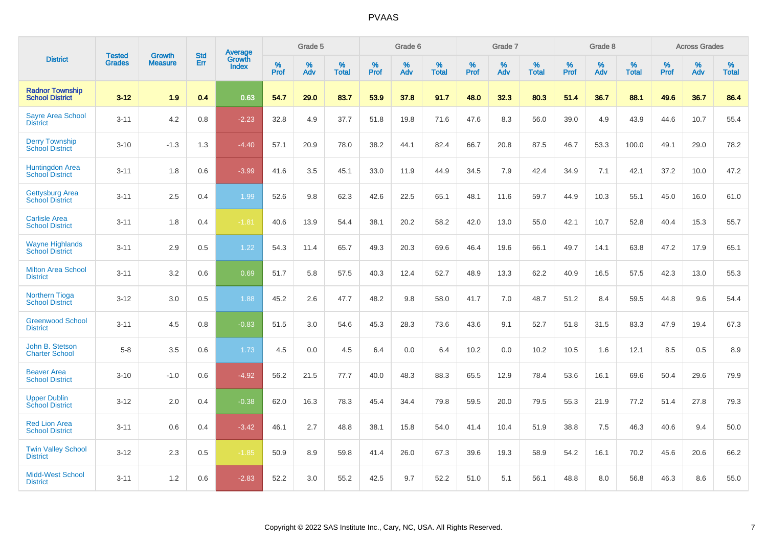|                                                  |                                |                                 | <b>Std</b> | Average                |           | Grade 5  |                   |           | Grade 6  |                   |           | Grade 7  |                   |              | Grade 8  |                   |              | <b>Across Grades</b> |                   |
|--------------------------------------------------|--------------------------------|---------------------------------|------------|------------------------|-----------|----------|-------------------|-----------|----------|-------------------|-----------|----------|-------------------|--------------|----------|-------------------|--------------|----------------------|-------------------|
| <b>District</b>                                  | <b>Tested</b><br><b>Grades</b> | <b>Growth</b><br><b>Measure</b> | Err        | Growth<br><b>Index</b> | %<br>Prof | %<br>Adv | %<br><b>Total</b> | %<br>Prof | %<br>Adv | %<br><b>Total</b> | %<br>Prof | %<br>Adv | %<br><b>Total</b> | $\%$<br>Prof | %<br>Adv | %<br><b>Total</b> | $\%$<br>Prof | %<br>Adv             | %<br><b>Total</b> |
| <b>Radnor Township</b><br><b>School District</b> | $3 - 12$                       | 1.9                             | 0.4        | 0.63                   | 54.7      | 29.0     | 83.7              | 53.9      | 37.8     | 91.7              | 48.0      | 32.3     | 80.3              | 51.4         | 36.7     | 88.1              | 49.6         | 36.7                 | 86.4              |
| <b>Sayre Area School</b><br><b>District</b>      | $3 - 11$                       | 4.2                             | 0.8        | $-2.23$                | 32.8      | 4.9      | 37.7              | 51.8      | 19.8     | 71.6              | 47.6      | 8.3      | 56.0              | 39.0         | 4.9      | 43.9              | 44.6         | 10.7                 | 55.4              |
| <b>Derry Township</b><br><b>School District</b>  | $3 - 10$                       | $-1.3$                          | 1.3        | $-4.40$                | 57.1      | 20.9     | 78.0              | 38.2      | 44.1     | 82.4              | 66.7      | 20.8     | 87.5              | 46.7         | 53.3     | 100.0             | 49.1         | 29.0                 | 78.2              |
| <b>Huntingdon Area</b><br><b>School District</b> | $3 - 11$                       | 1.8                             | 0.6        | $-3.99$                | 41.6      | 3.5      | 45.1              | 33.0      | 11.9     | 44.9              | 34.5      | 7.9      | 42.4              | 34.9         | 7.1      | 42.1              | 37.2         | 10.0                 | 47.2              |
| <b>Gettysburg Area</b><br><b>School District</b> | $3 - 11$                       | 2.5                             | 0.4        | 1.99                   | 52.6      | 9.8      | 62.3              | 42.6      | 22.5     | 65.1              | 48.1      | 11.6     | 59.7              | 44.9         | 10.3     | 55.1              | 45.0         | 16.0                 | 61.0              |
| <b>Carlisle Area</b><br><b>School District</b>   | $3 - 11$                       | 1.8                             | 0.4        | $-1.81$                | 40.6      | 13.9     | 54.4              | 38.1      | 20.2     | 58.2              | 42.0      | 13.0     | 55.0              | 42.1         | 10.7     | 52.8              | 40.4         | 15.3                 | 55.7              |
| <b>Wayne Highlands</b><br><b>School District</b> | $3 - 11$                       | 2.9                             | 0.5        | 1.22                   | 54.3      | 11.4     | 65.7              | 49.3      | 20.3     | 69.6              | 46.4      | 19.6     | 66.1              | 49.7         | 14.1     | 63.8              | 47.2         | 17.9                 | 65.1              |
| <b>Milton Area School</b><br><b>District</b>     | $3 - 11$                       | 3.2                             | 0.6        | 0.69                   | 51.7      | 5.8      | 57.5              | 40.3      | 12.4     | 52.7              | 48.9      | 13.3     | 62.2              | 40.9         | 16.5     | 57.5              | 42.3         | 13.0                 | 55.3              |
| <b>Northern Tioga</b><br><b>School District</b>  | $3 - 12$                       | 3.0                             | 0.5        | 1.88                   | 45.2      | 2.6      | 47.7              | 48.2      | 9.8      | 58.0              | 41.7      | 7.0      | 48.7              | 51.2         | 8.4      | 59.5              | 44.8         | 9.6                  | 54.4              |
| <b>Greenwood School</b><br><b>District</b>       | $3 - 11$                       | 4.5                             | 0.8        | $-0.83$                | 51.5      | 3.0      | 54.6              | 45.3      | 28.3     | 73.6              | 43.6      | 9.1      | 52.7              | 51.8         | 31.5     | 83.3              | 47.9         | 19.4                 | 67.3              |
| John B. Stetson<br><b>Charter School</b>         | $5 - 8$                        | 3.5                             | 0.6        | 1.73                   | 4.5       | 0.0      | 4.5               | 6.4       | 0.0      | 6.4               | 10.2      | 0.0      | 10.2              | 10.5         | 1.6      | 12.1              | 8.5          | 0.5                  | 8.9               |
| <b>Beaver Area</b><br><b>School District</b>     | $3 - 10$                       | $-1.0$                          | 0.6        | $-4.92$                | 56.2      | 21.5     | 77.7              | 40.0      | 48.3     | 88.3              | 65.5      | 12.9     | 78.4              | 53.6         | 16.1     | 69.6              | 50.4         | 29.6                 | 79.9              |
| <b>Upper Dublin</b><br><b>School District</b>    | $3 - 12$                       | 2.0                             | 0.4        | $-0.38$                | 62.0      | 16.3     | 78.3              | 45.4      | 34.4     | 79.8              | 59.5      | 20.0     | 79.5              | 55.3         | 21.9     | 77.2              | 51.4         | 27.8                 | 79.3              |
| <b>Red Lion Area</b><br><b>School District</b>   | $3 - 11$                       | 0.6                             | 0.4        | $-3.42$                | 46.1      | 2.7      | 48.8              | 38.1      | 15.8     | 54.0              | 41.4      | 10.4     | 51.9              | 38.8         | 7.5      | 46.3              | 40.6         | 9.4                  | 50.0              |
| <b>Twin Valley School</b><br><b>District</b>     | $3 - 12$                       | 2.3                             | 0.5        | $-1.85$                | 50.9      | 8.9      | 59.8              | 41.4      | 26.0     | 67.3              | 39.6      | 19.3     | 58.9              | 54.2         | 16.1     | 70.2              | 45.6         | 20.6                 | 66.2              |
| <b>Midd-West School</b><br><b>District</b>       | $3 - 11$                       | 1.2                             | 0.6        | $-2.83$                | 52.2      | 3.0      | 55.2              | 42.5      | 9.7      | 52.2              | 51.0      | 5.1      | 56.1              | 48.8         | 8.0      | 56.8              | 46.3         | 8.6                  | 55.0              |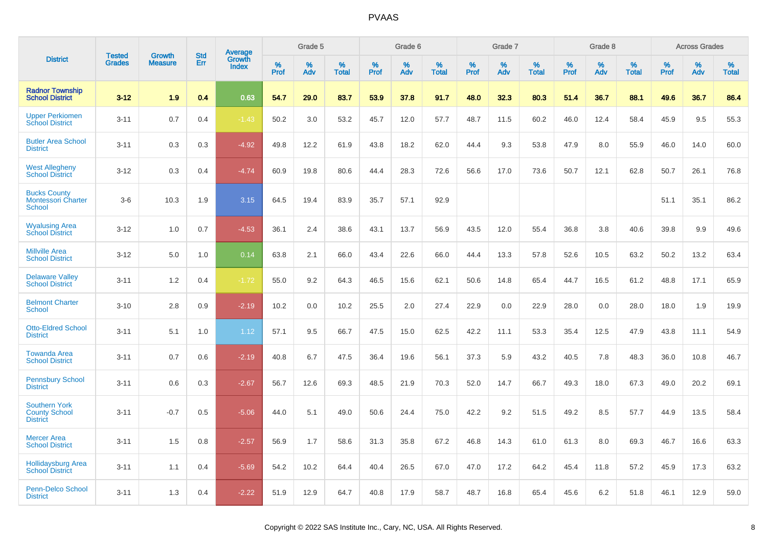|                                                                 | <b>Tested</b> | <b>Growth</b>  | <b>Std</b> | <b>Average</b>         |              | Grade 5  |                   |              | Grade 6  |                   |              | Grade 7  |                   |              | Grade 8  |                   |              | <b>Across Grades</b> |                   |
|-----------------------------------------------------------------|---------------|----------------|------------|------------------------|--------------|----------|-------------------|--------------|----------|-------------------|--------------|----------|-------------------|--------------|----------|-------------------|--------------|----------------------|-------------------|
| <b>District</b>                                                 | <b>Grades</b> | <b>Measure</b> | Err        | Growth<br><b>Index</b> | $\%$<br>Prof | %<br>Adv | %<br><b>Total</b> | $\%$<br>Prof | %<br>Adv | %<br><b>Total</b> | $\%$<br>Prof | %<br>Adv | %<br><b>Total</b> | $\%$<br>Prof | %<br>Adv | %<br><b>Total</b> | $\%$<br>Prof | %<br>Adv             | %<br><b>Total</b> |
| <b>Radnor Township</b><br><b>School District</b>                | $3 - 12$      | 1.9            | 0.4        | 0.63                   | 54.7         | 29.0     | 83.7              | 53.9         | 37.8     | 91.7              | 48.0         | 32.3     | 80.3              | 51.4         | 36.7     | 88.1              | 49.6         | 36.7                 | 86.4              |
| <b>Upper Perkiomen</b><br><b>School District</b>                | $3 - 11$      | 0.7            | 0.4        | $-1.43$                | 50.2         | 3.0      | 53.2              | 45.7         | 12.0     | 57.7              | 48.7         | 11.5     | 60.2              | 46.0         | 12.4     | 58.4              | 45.9         | 9.5                  | 55.3              |
| <b>Butler Area School</b><br><b>District</b>                    | $3 - 11$      | 0.3            | 0.3        | $-4.92$                | 49.8         | 12.2     | 61.9              | 43.8         | 18.2     | 62.0              | 44.4         | 9.3      | 53.8              | 47.9         | 8.0      | 55.9              | 46.0         | 14.0                 | 60.0              |
| <b>West Allegheny</b><br><b>School District</b>                 | $3 - 12$      | 0.3            | 0.4        | $-4.74$                | 60.9         | 19.8     | 80.6              | 44.4         | 28.3     | 72.6              | 56.6         | 17.0     | 73.6              | 50.7         | 12.1     | 62.8              | 50.7         | 26.1                 | 76.8              |
| <b>Bucks County</b><br><b>Montessori Charter</b><br>School      | $3-6$         | 10.3           | 1.9        | 3.15                   | 64.5         | 19.4     | 83.9              | 35.7         | 57.1     | 92.9              |              |          |                   |              |          |                   | 51.1         | 35.1                 | 86.2              |
| <b>Wyalusing Area</b><br><b>School District</b>                 | $3 - 12$      | 1.0            | 0.7        | $-4.53$                | 36.1         | 2.4      | 38.6              | 43.1         | 13.7     | 56.9              | 43.5         | 12.0     | 55.4              | 36.8         | 3.8      | 40.6              | 39.8         | 9.9                  | 49.6              |
| <b>Millville Area</b><br><b>School District</b>                 | $3 - 12$      | 5.0            | 1.0        | 0.14                   | 63.8         | 2.1      | 66.0              | 43.4         | 22.6     | 66.0              | 44.4         | 13.3     | 57.8              | 52.6         | 10.5     | 63.2              | 50.2         | 13.2                 | 63.4              |
| <b>Delaware Valley</b><br><b>School District</b>                | $3 - 11$      | 1.2            | 0.4        | $-1.72$                | 55.0         | 9.2      | 64.3              | 46.5         | 15.6     | 62.1              | 50.6         | 14.8     | 65.4              | 44.7         | 16.5     | 61.2              | 48.8         | 17.1                 | 65.9              |
| <b>Belmont Charter</b><br><b>School</b>                         | $3 - 10$      | 2.8            | 0.9        | $-2.19$                | 10.2         | 0.0      | 10.2              | 25.5         | 2.0      | 27.4              | 22.9         | 0.0      | 22.9              | 28.0         | 0.0      | 28.0              | 18.0         | 1.9                  | 19.9              |
| <b>Otto-Eldred School</b><br><b>District</b>                    | $3 - 11$      | 5.1            | 1.0        | 1.12                   | 57.1         | 9.5      | 66.7              | 47.5         | 15.0     | 62.5              | 42.2         | 11.1     | 53.3              | 35.4         | 12.5     | 47.9              | 43.8         | 11.1                 | 54.9              |
| <b>Towanda Area</b><br><b>School District</b>                   | $3 - 11$      | 0.7            | 0.6        | $-2.19$                | 40.8         | 6.7      | 47.5              | 36.4         | 19.6     | 56.1              | 37.3         | 5.9      | 43.2              | 40.5         | 7.8      | 48.3              | 36.0         | 10.8                 | 46.7              |
| <b>Pennsbury School</b><br><b>District</b>                      | $3 - 11$      | 0.6            | 0.3        | $-2.67$                | 56.7         | 12.6     | 69.3              | 48.5         | 21.9     | 70.3              | 52.0         | 14.7     | 66.7              | 49.3         | 18.0     | 67.3              | 49.0         | 20.2                 | 69.1              |
| <b>Southern York</b><br><b>County School</b><br><b>District</b> | $3 - 11$      | $-0.7$         | 0.5        | $-5.06$                | 44.0         | 5.1      | 49.0              | 50.6         | 24.4     | 75.0              | 42.2         | 9.2      | 51.5              | 49.2         | 8.5      | 57.7              | 44.9         | 13.5                 | 58.4              |
| <b>Mercer Area</b><br><b>School District</b>                    | $3 - 11$      | 1.5            | 0.8        | $-2.57$                | 56.9         | 1.7      | 58.6              | 31.3         | 35.8     | 67.2              | 46.8         | 14.3     | 61.0              | 61.3         | 8.0      | 69.3              | 46.7         | 16.6                 | 63.3              |
| <b>Hollidaysburg Area</b><br><b>School District</b>             | $3 - 11$      | 1.1            | 0.4        | $-5.69$                | 54.2         | 10.2     | 64.4              | 40.4         | 26.5     | 67.0              | 47.0         | 17.2     | 64.2              | 45.4         | 11.8     | 57.2              | 45.9         | 17.3                 | 63.2              |
| <b>Penn-Delco School</b><br><b>District</b>                     | $3 - 11$      | 1.3            | 0.4        | $-2.22$                | 51.9         | 12.9     | 64.7              | 40.8         | 17.9     | 58.7              | 48.7         | 16.8     | 65.4              | 45.6         | 6.2      | 51.8              | 46.1         | 12.9                 | 59.0              |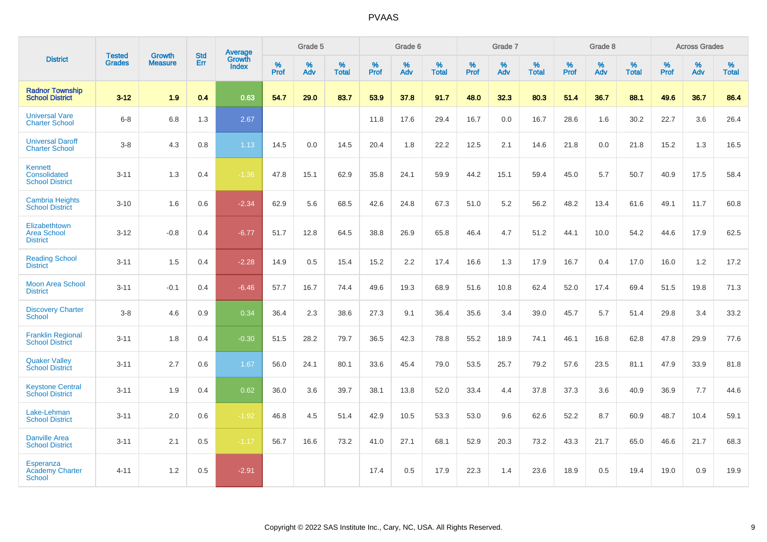|                                                             |                                |                                 | <b>Std</b> | Average                       |           | Grade 5  |                   |           | Grade 6  |                   |           | Grade 7  |                   |           | Grade 8  |                   |           | <b>Across Grades</b> |                   |
|-------------------------------------------------------------|--------------------------------|---------------------------------|------------|-------------------------------|-----------|----------|-------------------|-----------|----------|-------------------|-----------|----------|-------------------|-----------|----------|-------------------|-----------|----------------------|-------------------|
| <b>District</b>                                             | <b>Tested</b><br><b>Grades</b> | <b>Growth</b><br><b>Measure</b> | Err        | <b>Growth</b><br><b>Index</b> | %<br>Prof | %<br>Adv | %<br><b>Total</b> | %<br>Prof | %<br>Adv | %<br><b>Total</b> | %<br>Prof | %<br>Adv | %<br><b>Total</b> | %<br>Prof | %<br>Adv | %<br><b>Total</b> | %<br>Prof | %<br>Adv             | %<br><b>Total</b> |
| <b>Radnor Township</b><br><b>School District</b>            | $3 - 12$                       | 1.9                             | 0.4        | 0.63                          | 54.7      | 29.0     | 83.7              | 53.9      | 37.8     | 91.7              | 48.0      | 32.3     | 80.3              | 51.4      | 36.7     | 88.1              | 49.6      | 36.7                 | 86.4              |
| <b>Universal Vare</b><br><b>Charter School</b>              | $6 - 8$                        | 6.8                             | 1.3        | 2.67                          |           |          |                   | 11.8      | 17.6     | 29.4              | 16.7      | 0.0      | 16.7              | 28.6      | 1.6      | 30.2              | 22.7      | 3.6                  | 26.4              |
| <b>Universal Daroff</b><br><b>Charter School</b>            | $3-8$                          | 4.3                             | 0.8        | 1.13                          | 14.5      | 0.0      | 14.5              | 20.4      | 1.8      | 22.2              | 12.5      | 2.1      | 14.6              | 21.8      | 0.0      | 21.8              | 15.2      | 1.3                  | 16.5              |
| <b>Kennett</b><br>Consolidated<br><b>School District</b>    | $3 - 11$                       | 1.3                             | 0.4        | $-1.36$                       | 47.8      | 15.1     | 62.9              | 35.8      | 24.1     | 59.9              | 44.2      | 15.1     | 59.4              | 45.0      | 5.7      | 50.7              | 40.9      | 17.5                 | 58.4              |
| <b>Cambria Heights</b><br><b>School District</b>            | $3 - 10$                       | 1.6                             | 0.6        | $-2.34$                       | 62.9      | 5.6      | 68.5              | 42.6      | 24.8     | 67.3              | 51.0      | 5.2      | 56.2              | 48.2      | 13.4     | 61.6              | 49.1      | 11.7                 | 60.8              |
| Elizabethtown<br><b>Area School</b><br><b>District</b>      | $3 - 12$                       | $-0.8$                          | 0.4        | $-6.77$                       | 51.7      | 12.8     | 64.5              | 38.8      | 26.9     | 65.8              | 46.4      | 4.7      | 51.2              | 44.1      | 10.0     | 54.2              | 44.6      | 17.9                 | 62.5              |
| <b>Reading School</b><br><b>District</b>                    | $3 - 11$                       | 1.5                             | 0.4        | $-2.28$                       | 14.9      | 0.5      | 15.4              | 15.2      | 2.2      | 17.4              | 16.6      | 1.3      | 17.9              | 16.7      | 0.4      | 17.0              | 16.0      | 1.2                  | 17.2              |
| <b>Moon Area School</b><br><b>District</b>                  | $3 - 11$                       | $-0.1$                          | 0.4        | $-6.46$                       | 57.7      | 16.7     | 74.4              | 49.6      | 19.3     | 68.9              | 51.6      | 10.8     | 62.4              | 52.0      | 17.4     | 69.4              | 51.5      | 19.8                 | 71.3              |
| <b>Discovery Charter</b><br><b>School</b>                   | $3 - 8$                        | 4.6                             | 0.9        | 0.34                          | 36.4      | 2.3      | 38.6              | 27.3      | 9.1      | 36.4              | 35.6      | 3.4      | 39.0              | 45.7      | 5.7      | 51.4              | 29.8      | 3.4                  | 33.2              |
| <b>Franklin Regional</b><br><b>School District</b>          | $3 - 11$                       | 1.8                             | 0.4        | $-0.30$                       | 51.5      | 28.2     | 79.7              | 36.5      | 42.3     | 78.8              | 55.2      | 18.9     | 74.1              | 46.1      | 16.8     | 62.8              | 47.8      | 29.9                 | 77.6              |
| <b>Quaker Valley</b><br><b>School District</b>              | $3 - 11$                       | 2.7                             | 0.6        | 1.67                          | 56.0      | 24.1     | 80.1              | 33.6      | 45.4     | 79.0              | 53.5      | 25.7     | 79.2              | 57.6      | 23.5     | 81.1              | 47.9      | 33.9                 | 81.8              |
| <b>Keystone Central</b><br><b>School District</b>           | $3 - 11$                       | 1.9                             | 0.4        | 0.62                          | 36.0      | 3.6      | 39.7              | 38.1      | 13.8     | 52.0              | 33.4      | 4.4      | 37.8              | 37.3      | 3.6      | 40.9              | 36.9      | 7.7                  | 44.6              |
| Lake-Lehman<br><b>School District</b>                       | $3 - 11$                       | 2.0                             | 0.6        | $-1.92$                       | 46.8      | 4.5      | 51.4              | 42.9      | 10.5     | 53.3              | 53.0      | 9.6      | 62.6              | 52.2      | 8.7      | 60.9              | 48.7      | 10.4                 | 59.1              |
| <b>Danville Area</b><br><b>School District</b>              | $3 - 11$                       | 2.1                             | $0.5\,$    | $-1.17$                       | 56.7      | 16.6     | 73.2              | 41.0      | 27.1     | 68.1              | 52.9      | 20.3     | 73.2              | 43.3      | 21.7     | 65.0              | 46.6      | 21.7                 | 68.3              |
| <b>Esperanza</b><br><b>Academy Charter</b><br><b>School</b> | $4 - 11$                       | 1.2                             | 0.5        | $-2.91$                       |           |          |                   | 17.4      | 0.5      | 17.9              | 22.3      | 1.4      | 23.6              | 18.9      | 0.5      | 19.4              | 19.0      | 0.9                  | 19.9              |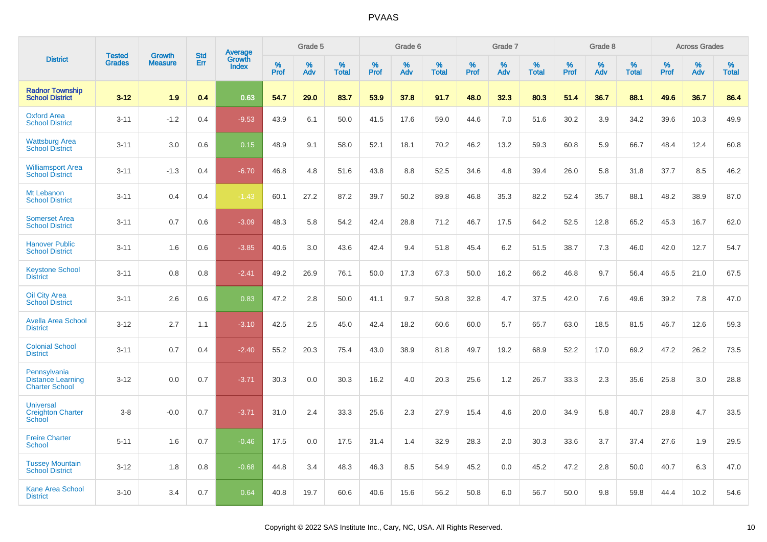|                                                                   |                                |                                 | <b>Std</b> | Average                |              | Grade 5  |                   |              | Grade 6  |                   |              | Grade 7  |                   |              | Grade 8  |                   |              | <b>Across Grades</b> |                   |
|-------------------------------------------------------------------|--------------------------------|---------------------------------|------------|------------------------|--------------|----------|-------------------|--------------|----------|-------------------|--------------|----------|-------------------|--------------|----------|-------------------|--------------|----------------------|-------------------|
| <b>District</b>                                                   | <b>Tested</b><br><b>Grades</b> | <b>Growth</b><br><b>Measure</b> | Err        | Growth<br><b>Index</b> | $\%$<br>Prof | %<br>Adv | %<br><b>Total</b> | $\%$<br>Prof | %<br>Adv | %<br><b>Total</b> | $\%$<br>Prof | %<br>Adv | %<br><b>Total</b> | $\%$<br>Prof | %<br>Adv | %<br><b>Total</b> | $\%$<br>Prof | $\%$<br>Adv          | %<br><b>Total</b> |
| <b>Radnor Township</b><br><b>School District</b>                  | $3 - 12$                       | 1.9                             | 0.4        | 0.63                   | 54.7         | 29.0     | 83.7              | 53.9         | 37.8     | 91.7              | 48.0         | 32.3     | 80.3              | 51.4         | 36.7     | 88.1              | 49.6         | 36.7                 | 86.4              |
| <b>Oxford Area</b><br><b>School District</b>                      | $3 - 11$                       | $-1.2$                          | 0.4        | $-9.53$                | 43.9         | 6.1      | 50.0              | 41.5         | 17.6     | 59.0              | 44.6         | 7.0      | 51.6              | 30.2         | 3.9      | 34.2              | 39.6         | 10.3                 | 49.9              |
| <b>Wattsburg Area</b><br><b>School District</b>                   | $3 - 11$                       | 3.0                             | 0.6        | 0.15                   | 48.9         | 9.1      | 58.0              | 52.1         | 18.1     | 70.2              | 46.2         | 13.2     | 59.3              | 60.8         | 5.9      | 66.7              | 48.4         | 12.4                 | 60.8              |
| <b>Williamsport Area</b><br><b>School District</b>                | $3 - 11$                       | $-1.3$                          | 0.4        | $-6.70$                | 46.8         | 4.8      | 51.6              | 43.8         | 8.8      | 52.5              | 34.6         | 4.8      | 39.4              | 26.0         | 5.8      | 31.8              | 37.7         | 8.5                  | 46.2              |
| Mt Lebanon<br><b>School District</b>                              | $3 - 11$                       | 0.4                             | 0.4        | $-1.43$                | 60.1         | 27.2     | 87.2              | 39.7         | 50.2     | 89.8              | 46.8         | 35.3     | 82.2              | 52.4         | 35.7     | 88.1              | 48.2         | 38.9                 | 87.0              |
| <b>Somerset Area</b><br><b>School District</b>                    | $3 - 11$                       | 0.7                             | 0.6        | $-3.09$                | 48.3         | 5.8      | 54.2              | 42.4         | 28.8     | 71.2              | 46.7         | 17.5     | 64.2              | 52.5         | 12.8     | 65.2              | 45.3         | 16.7                 | 62.0              |
| <b>Hanover Public</b><br><b>School District</b>                   | $3 - 11$                       | 1.6                             | 0.6        | $-3.85$                | 40.6         | 3.0      | 43.6              | 42.4         | 9.4      | 51.8              | 45.4         | 6.2      | 51.5              | 38.7         | 7.3      | 46.0              | 42.0         | 12.7                 | 54.7              |
| <b>Keystone School</b><br><b>District</b>                         | $3 - 11$                       | 0.8                             | 0.8        | $-2.41$                | 49.2         | 26.9     | 76.1              | 50.0         | 17.3     | 67.3              | 50.0         | 16.2     | 66.2              | 46.8         | 9.7      | 56.4              | 46.5         | 21.0                 | 67.5              |
| <b>Oil City Area</b><br><b>School District</b>                    | $3 - 11$                       | 2.6                             | 0.6        | 0.83                   | 47.2         | 2.8      | 50.0              | 41.1         | 9.7      | 50.8              | 32.8         | 4.7      | 37.5              | 42.0         | 7.6      | 49.6              | 39.2         | 7.8                  | 47.0              |
| <b>Avella Area School</b><br><b>District</b>                      | $3 - 12$                       | 2.7                             | 1.1        | $-3.10$                | 42.5         | 2.5      | 45.0              | 42.4         | 18.2     | 60.6              | 60.0         | 5.7      | 65.7              | 63.0         | 18.5     | 81.5              | 46.7         | 12.6                 | 59.3              |
| <b>Colonial School</b><br><b>District</b>                         | $3 - 11$                       | 0.7                             | 0.4        | $-2.40$                | 55.2         | 20.3     | 75.4              | 43.0         | 38.9     | 81.8              | 49.7         | 19.2     | 68.9              | 52.2         | 17.0     | 69.2              | 47.2         | 26.2                 | 73.5              |
| Pennsylvania<br><b>Distance Learning</b><br><b>Charter School</b> | $3 - 12$                       | 0.0                             | 0.7        | $-3.71$                | 30.3         | 0.0      | 30.3              | 16.2         | 4.0      | 20.3              | 25.6         | 1.2      | 26.7              | 33.3         | 2.3      | 35.6              | 25.8         | 3.0                  | 28.8              |
| <b>Universal</b><br><b>Creighton Charter</b><br>School            | $3 - 8$                        | $-0.0$                          | 0.7        | $-3.71$                | 31.0         | 2.4      | 33.3              | 25.6         | 2.3      | 27.9              | 15.4         | 4.6      | 20.0              | 34.9         | 5.8      | 40.7              | 28.8         | 4.7                  | 33.5              |
| <b>Freire Charter</b><br><b>School</b>                            | $5 - 11$                       | 1.6                             | 0.7        | $-0.46$                | 17.5         | 0.0      | 17.5              | 31.4         | 1.4      | 32.9              | 28.3         | 2.0      | 30.3              | 33.6         | 3.7      | 37.4              | 27.6         | 1.9                  | 29.5              |
| <b>Tussey Mountain</b><br><b>School District</b>                  | $3 - 12$                       | 1.8                             | 0.8        | $-0.68$                | 44.8         | 3.4      | 48.3              | 46.3         | 8.5      | 54.9              | 45.2         | 0.0      | 45.2              | 47.2         | 2.8      | 50.0              | 40.7         | 6.3                  | 47.0              |
| <b>Kane Area School</b><br><b>District</b>                        | $3 - 10$                       | 3.4                             | 0.7        | 0.64                   | 40.8         | 19.7     | 60.6              | 40.6         | 15.6     | 56.2              | 50.8         | 6.0      | 56.7              | 50.0         | 9.8      | 59.8              | 44.4         | 10.2                 | 54.6              |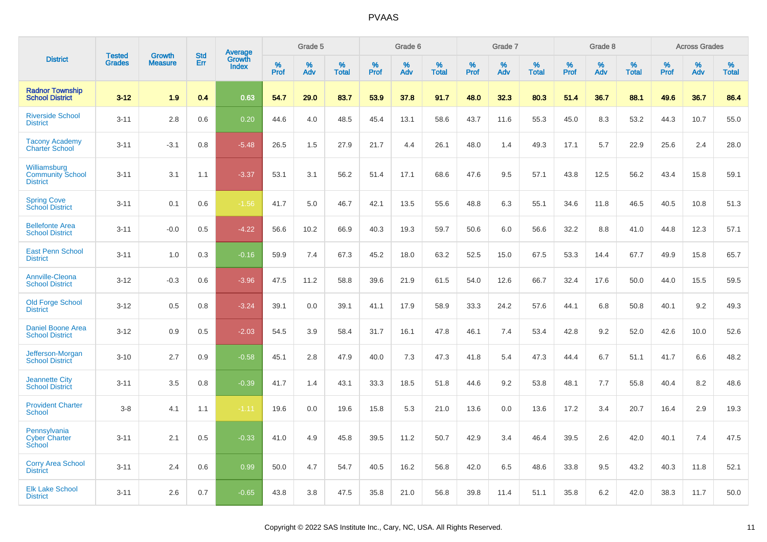|                                                            | <b>Tested</b> | <b>Growth</b>  | <b>Std</b> | Average                |              | Grade 5  |                   |              | Grade 6  |                   |              | Grade 7  |                   |              | Grade 8  |                   |              | <b>Across Grades</b> |                   |
|------------------------------------------------------------|---------------|----------------|------------|------------------------|--------------|----------|-------------------|--------------|----------|-------------------|--------------|----------|-------------------|--------------|----------|-------------------|--------------|----------------------|-------------------|
| <b>District</b>                                            | <b>Grades</b> | <b>Measure</b> | Err        | Growth<br><b>Index</b> | $\%$<br>Prof | %<br>Adv | %<br><b>Total</b> | $\%$<br>Prof | %<br>Adv | %<br><b>Total</b> | $\%$<br>Prof | %<br>Adv | %<br><b>Total</b> | $\%$<br>Prof | %<br>Adv | %<br><b>Total</b> | $\%$<br>Prof | %<br>Adv             | %<br><b>Total</b> |
| <b>Radnor Township</b><br><b>School District</b>           | $3 - 12$      | 1.9            | 0.4        | 0.63                   | 54.7         | 29.0     | 83.7              | 53.9         | 37.8     | 91.7              | 48.0         | 32.3     | 80.3              | 51.4         | 36.7     | 88.1              | 49.6         | 36.7                 | 86.4              |
| <b>Riverside School</b><br><b>District</b>                 | $3 - 11$      | 2.8            | 0.6        | 0.20                   | 44.6         | 4.0      | 48.5              | 45.4         | 13.1     | 58.6              | 43.7         | 11.6     | 55.3              | 45.0         | 8.3      | 53.2              | 44.3         | 10.7                 | 55.0              |
| <b>Tacony Academy</b><br><b>Charter School</b>             | $3 - 11$      | $-3.1$         | 0.8        | $-5.48$                | 26.5         | 1.5      | 27.9              | 21.7         | 4.4      | 26.1              | 48.0         | 1.4      | 49.3              | 17.1         | 5.7      | 22.9              | 25.6         | 2.4                  | 28.0              |
| Williamsburg<br><b>Community School</b><br><b>District</b> | $3 - 11$      | 3.1            | 1.1        | $-3.37$                | 53.1         | 3.1      | 56.2              | 51.4         | 17.1     | 68.6              | 47.6         | 9.5      | 57.1              | 43.8         | 12.5     | 56.2              | 43.4         | 15.8                 | 59.1              |
| <b>Spring Cove</b><br>School District                      | $3 - 11$      | 0.1            | 0.6        | $-1.56$                | 41.7         | 5.0      | 46.7              | 42.1         | 13.5     | 55.6              | 48.8         | 6.3      | 55.1              | 34.6         | 11.8     | 46.5              | 40.5         | 10.8                 | 51.3              |
| <b>Bellefonte Area</b><br><b>School District</b>           | $3 - 11$      | $-0.0$         | 0.5        | $-4.22$                | 56.6         | 10.2     | 66.9              | 40.3         | 19.3     | 59.7              | 50.6         | 6.0      | 56.6              | 32.2         | 8.8      | 41.0              | 44.8         | 12.3                 | 57.1              |
| <b>East Penn School</b><br><b>District</b>                 | $3 - 11$      | 1.0            | 0.3        | $-0.16$                | 59.9         | 7.4      | 67.3              | 45.2         | 18.0     | 63.2              | 52.5         | 15.0     | 67.5              | 53.3         | 14.4     | 67.7              | 49.9         | 15.8                 | 65.7              |
| <b>Annville-Cleona</b><br><b>School District</b>           | $3 - 12$      | $-0.3$         | 0.6        | $-3.96$                | 47.5         | 11.2     | 58.8              | 39.6         | 21.9     | 61.5              | 54.0         | 12.6     | 66.7              | 32.4         | 17.6     | 50.0              | 44.0         | 15.5                 | 59.5              |
| <b>Old Forge School</b><br><b>District</b>                 | $3 - 12$      | 0.5            | 0.8        | $-3.24$                | 39.1         | 0.0      | 39.1              | 41.1         | 17.9     | 58.9              | 33.3         | 24.2     | 57.6              | 44.1         | 6.8      | 50.8              | 40.1         | 9.2                  | 49.3              |
| <b>Daniel Boone Area</b><br><b>School District</b>         | $3 - 12$      | 0.9            | 0.5        | $-2.03$                | 54.5         | 3.9      | 58.4              | 31.7         | 16.1     | 47.8              | 46.1         | 7.4      | 53.4              | 42.8         | 9.2      | 52.0              | 42.6         | 10.0                 | 52.6              |
| Jefferson-Morgan<br><b>School District</b>                 | $3 - 10$      | 2.7            | 0.9        | $-0.58$                | 45.1         | 2.8      | 47.9              | 40.0         | 7.3      | 47.3              | 41.8         | 5.4      | 47.3              | 44.4         | 6.7      | 51.1              | 41.7         | 6.6                  | 48.2              |
| <b>Jeannette City</b><br><b>School District</b>            | $3 - 11$      | 3.5            | 0.8        | $-0.39$                | 41.7         | 1.4      | 43.1              | 33.3         | 18.5     | 51.8              | 44.6         | 9.2      | 53.8              | 48.1         | 7.7      | 55.8              | 40.4         | 8.2                  | 48.6              |
| <b>Provident Charter</b><br><b>School</b>                  | $3 - 8$       | 4.1            | 1.1        | $-1.11$                | 19.6         | 0.0      | 19.6              | 15.8         | 5.3      | 21.0              | 13.6         | 0.0      | 13.6              | 17.2         | 3.4      | 20.7              | 16.4         | 2.9                  | 19.3              |
| Pennsylvania<br><b>Cyber Charter</b><br>School             | $3 - 11$      | 2.1            | 0.5        | $-0.33$                | 41.0         | 4.9      | 45.8              | 39.5         | 11.2     | 50.7              | 42.9         | 3.4      | 46.4              | 39.5         | 2.6      | 42.0              | 40.1         | 7.4                  | 47.5              |
| <b>Corry Area School</b><br><b>District</b>                | $3 - 11$      | 2.4            | 0.6        | 0.99                   | 50.0         | 4.7      | 54.7              | 40.5         | 16.2     | 56.8              | 42.0         | 6.5      | 48.6              | 33.8         | 9.5      | 43.2              | 40.3         | 11.8                 | 52.1              |
| <b>Elk Lake School</b><br><b>District</b>                  | $3 - 11$      | 2.6            | 0.7        | $-0.65$                | 43.8         | 3.8      | 47.5              | 35.8         | 21.0     | 56.8              | 39.8         | 11.4     | 51.1              | 35.8         | 6.2      | 42.0              | 38.3         | 11.7                 | 50.0              |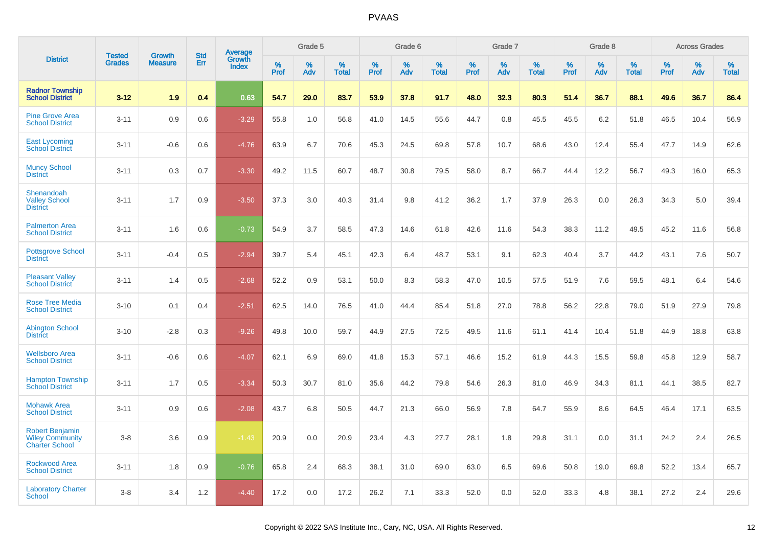|                                                                           | <b>Tested</b> | <b>Growth</b>  | <b>Std</b> | Average         |              | Grade 5  |                   |              | Grade 6  |                   |              | Grade 7  |                   |              | Grade 8  |                   |              | <b>Across Grades</b> |                   |
|---------------------------------------------------------------------------|---------------|----------------|------------|-----------------|--------------|----------|-------------------|--------------|----------|-------------------|--------------|----------|-------------------|--------------|----------|-------------------|--------------|----------------------|-------------------|
| <b>District</b>                                                           | <b>Grades</b> | <b>Measure</b> | Err        | Growth<br>Index | $\%$<br>Prof | %<br>Adv | %<br><b>Total</b> | $\%$<br>Prof | %<br>Adv | %<br><b>Total</b> | $\%$<br>Prof | %<br>Adv | %<br><b>Total</b> | $\%$<br>Prof | %<br>Adv | %<br><b>Total</b> | $\%$<br>Prof | $\%$<br>Adv          | %<br><b>Total</b> |
| <b>Radnor Township</b><br><b>School District</b>                          | $3 - 12$      | 1.9            | 0.4        | 0.63            | 54.7         | 29.0     | 83.7              | 53.9         | 37.8     | 91.7              | 48.0         | 32.3     | 80.3              | 51.4         | 36.7     | 88.1              | 49.6         | 36.7                 | 86.4              |
| <b>Pine Grove Area</b><br><b>School District</b>                          | $3 - 11$      | 0.9            | 0.6        | $-3.29$         | 55.8         | 1.0      | 56.8              | 41.0         | 14.5     | 55.6              | 44.7         | 0.8      | 45.5              | 45.5         | 6.2      | 51.8              | 46.5         | 10.4                 | 56.9              |
| <b>East Lycoming</b><br><b>School District</b>                            | $3 - 11$      | $-0.6$         | 0.6        | $-4.76$         | 63.9         | 6.7      | 70.6              | 45.3         | 24.5     | 69.8              | 57.8         | 10.7     | 68.6              | 43.0         | 12.4     | 55.4              | 47.7         | 14.9                 | 62.6              |
| <b>Muncy School</b><br><b>District</b>                                    | $3 - 11$      | 0.3            | 0.7        | $-3.30$         | 49.2         | 11.5     | 60.7              | 48.7         | 30.8     | 79.5              | 58.0         | 8.7      | 66.7              | 44.4         | 12.2     | 56.7              | 49.3         | 16.0                 | 65.3              |
| Shenandoah<br><b>Valley School</b><br><b>District</b>                     | $3 - 11$      | 1.7            | 0.9        | $-3.50$         | 37.3         | 3.0      | 40.3              | 31.4         | 9.8      | 41.2              | 36.2         | 1.7      | 37.9              | 26.3         | 0.0      | 26.3              | 34.3         | 5.0                  | 39.4              |
| <b>Palmerton Area</b><br><b>School District</b>                           | $3 - 11$      | 1.6            | 0.6        | $-0.73$         | 54.9         | 3.7      | 58.5              | 47.3         | 14.6     | 61.8              | 42.6         | 11.6     | 54.3              | 38.3         | 11.2     | 49.5              | 45.2         | 11.6                 | 56.8              |
| <b>Pottsgrove School</b><br><b>District</b>                               | $3 - 11$      | $-0.4$         | 0.5        | $-2.94$         | 39.7         | 5.4      | 45.1              | 42.3         | 6.4      | 48.7              | 53.1         | 9.1      | 62.3              | 40.4         | 3.7      | 44.2              | 43.1         | 7.6                  | 50.7              |
| <b>Pleasant Valley</b><br><b>School District</b>                          | $3 - 11$      | 1.4            | 0.5        | $-2.68$         | 52.2         | 0.9      | 53.1              | 50.0         | 8.3      | 58.3              | 47.0         | 10.5     | 57.5              | 51.9         | 7.6      | 59.5              | 48.1         | 6.4                  | 54.6              |
| <b>Rose Tree Media</b><br><b>School District</b>                          | $3 - 10$      | 0.1            | 0.4        | $-2.51$         | 62.5         | 14.0     | 76.5              | 41.0         | 44.4     | 85.4              | 51.8         | 27.0     | 78.8              | 56.2         | 22.8     | 79.0              | 51.9         | 27.9                 | 79.8              |
| <b>Abington School</b><br><b>District</b>                                 | $3 - 10$      | $-2.8$         | 0.3        | $-9.26$         | 49.8         | 10.0     | 59.7              | 44.9         | 27.5     | 72.5              | 49.5         | 11.6     | 61.1              | 41.4         | 10.4     | 51.8              | 44.9         | 18.8                 | 63.8              |
| <b>Wellsboro Area</b><br><b>School District</b>                           | $3 - 11$      | $-0.6$         | 0.6        | $-4.07$         | 62.1         | 6.9      | 69.0              | 41.8         | 15.3     | 57.1              | 46.6         | 15.2     | 61.9              | 44.3         | 15.5     | 59.8              | 45.8         | 12.9                 | 58.7              |
| <b>Hampton Township</b><br><b>School District</b>                         | $3 - 11$      | 1.7            | 0.5        | $-3.34$         | 50.3         | 30.7     | 81.0              | 35.6         | 44.2     | 79.8              | 54.6         | 26.3     | 81.0              | 46.9         | 34.3     | 81.1              | 44.1         | 38.5                 | 82.7              |
| <b>Mohawk Area</b><br><b>School District</b>                              | $3 - 11$      | 0.9            | 0.6        | $-2.08$         | 43.7         | 6.8      | 50.5              | 44.7         | 21.3     | 66.0              | 56.9         | 7.8      | 64.7              | 55.9         | 8.6      | 64.5              | 46.4         | 17.1                 | 63.5              |
| <b>Robert Benjamin</b><br><b>Wiley Community</b><br><b>Charter School</b> | $3 - 8$       | 3.6            | 0.9        | $-1.43$         | 20.9         | 0.0      | 20.9              | 23.4         | 4.3      | 27.7              | 28.1         | 1.8      | 29.8              | 31.1         | 0.0      | 31.1              | 24.2         | 2.4                  | 26.5              |
| <b>Rockwood Area</b><br><b>School District</b>                            | $3 - 11$      | 1.8            | 0.9        | $-0.76$         | 65.8         | 2.4      | 68.3              | 38.1         | 31.0     | 69.0              | 63.0         | 6.5      | 69.6              | 50.8         | 19.0     | 69.8              | 52.2         | 13.4                 | 65.7              |
| <b>Laboratory Charter</b><br><b>School</b>                                | $3 - 8$       | 3.4            | 1.2        | $-4.40$         | 17.2         | 0.0      | 17.2              | 26.2         | 7.1      | 33.3              | 52.0         | 0.0      | 52.0              | 33.3         | 4.8      | 38.1              | 27.2         | 2.4                  | 29.6              |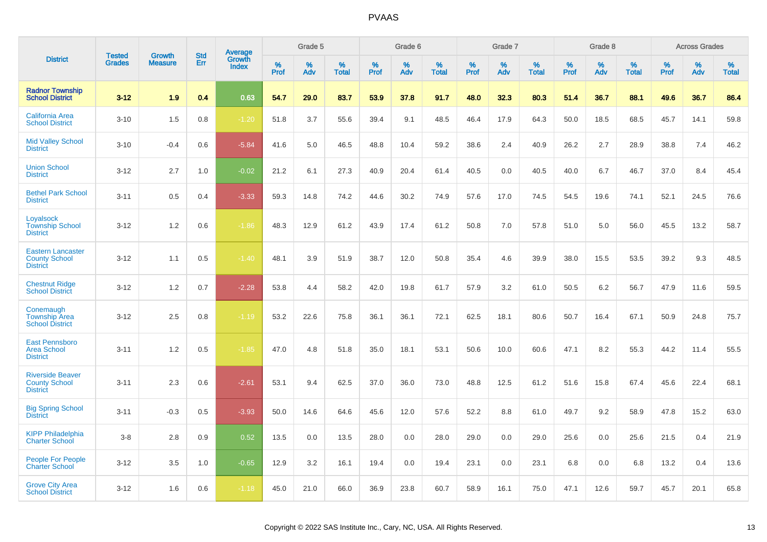|                                                                     | <b>Tested</b> | <b>Growth</b>  | <b>Std</b> | Average                |           | Grade 5  |                   |           | Grade 6  |                   |           | Grade 7  |                   |           | Grade 8  |                   |                  | <b>Across Grades</b> |                   |
|---------------------------------------------------------------------|---------------|----------------|------------|------------------------|-----------|----------|-------------------|-----------|----------|-------------------|-----------|----------|-------------------|-----------|----------|-------------------|------------------|----------------------|-------------------|
| <b>District</b>                                                     | <b>Grades</b> | <b>Measure</b> | Err        | Growth<br><b>Index</b> | %<br>Prof | %<br>Adv | %<br><b>Total</b> | %<br>Prof | %<br>Adv | %<br><b>Total</b> | %<br>Prof | %<br>Adv | %<br><b>Total</b> | %<br>Prof | %<br>Adv | %<br><b>Total</b> | %<br><b>Prof</b> | %<br>Adv             | %<br><b>Total</b> |
| <b>Radnor Township</b><br><b>School District</b>                    | $3 - 12$      | 1.9            | 0.4        | 0.63                   | 54.7      | 29.0     | 83.7              | 53.9      | 37.8     | 91.7              | 48.0      | 32.3     | 80.3              | 51.4      | 36.7     | 88.1              | 49.6             | 36.7                 | 86.4              |
| <b>California Area</b><br><b>School District</b>                    | $3 - 10$      | 1.5            | 0.8        | $-1.20$                | 51.8      | 3.7      | 55.6              | 39.4      | 9.1      | 48.5              | 46.4      | 17.9     | 64.3              | 50.0      | 18.5     | 68.5              | 45.7             | 14.1                 | 59.8              |
| <b>Mid Valley School</b><br><b>District</b>                         | $3 - 10$      | $-0.4$         | 0.6        | $-5.84$                | 41.6      | 5.0      | 46.5              | 48.8      | 10.4     | 59.2              | 38.6      | 2.4      | 40.9              | 26.2      | 2.7      | 28.9              | 38.8             | 7.4                  | 46.2              |
| <b>Union School</b><br><b>District</b>                              | $3 - 12$      | 2.7            | 1.0        | $-0.02$                | 21.2      | 6.1      | 27.3              | 40.9      | 20.4     | 61.4              | 40.5      | 0.0      | 40.5              | 40.0      | 6.7      | 46.7              | 37.0             | 8.4                  | 45.4              |
| <b>Bethel Park School</b><br><b>District</b>                        | $3 - 11$      | 0.5            | 0.4        | $-3.33$                | 59.3      | 14.8     | 74.2              | 44.6      | 30.2     | 74.9              | 57.6      | 17.0     | 74.5              | 54.5      | 19.6     | 74.1              | 52.1             | 24.5                 | 76.6              |
| Loyalsock<br><b>Township School</b><br><b>District</b>              | $3 - 12$      | 1.2            | 0.6        | $-1.86$                | 48.3      | 12.9     | 61.2              | 43.9      | 17.4     | 61.2              | 50.8      | 7.0      | 57.8              | 51.0      | 5.0      | 56.0              | 45.5             | 13.2                 | 58.7              |
| <b>Eastern Lancaster</b><br><b>County School</b><br><b>District</b> | $3 - 12$      | 1.1            | 0.5        | $-1.40$                | 48.1      | 3.9      | 51.9              | 38.7      | 12.0     | 50.8              | 35.4      | 4.6      | 39.9              | 38.0      | 15.5     | 53.5              | 39.2             | 9.3                  | 48.5              |
| <b>Chestnut Ridge</b><br><b>School District</b>                     | $3 - 12$      | 1.2            | 0.7        | $-2.28$                | 53.8      | 4.4      | 58.2              | 42.0      | 19.8     | 61.7              | 57.9      | 3.2      | 61.0              | 50.5      | 6.2      | 56.7              | 47.9             | 11.6                 | 59.5              |
| Conemaugh<br><b>Township Area</b><br><b>School District</b>         | $3 - 12$      | 2.5            | 0.8        | $-1.19$                | 53.2      | 22.6     | 75.8              | 36.1      | 36.1     | 72.1              | 62.5      | 18.1     | 80.6              | 50.7      | 16.4     | 67.1              | 50.9             | 24.8                 | 75.7              |
| <b>East Pennsboro</b><br><b>Area School</b><br><b>District</b>      | $3 - 11$      | 1.2            | 0.5        | $-1.85$                | 47.0      | 4.8      | 51.8              | 35.0      | 18.1     | 53.1              | 50.6      | 10.0     | 60.6              | 47.1      | 8.2      | 55.3              | 44.2             | 11.4                 | 55.5              |
| <b>Riverside Beaver</b><br><b>County School</b><br><b>District</b>  | $3 - 11$      | 2.3            | 0.6        | $-2.61$                | 53.1      | 9.4      | 62.5              | 37.0      | 36.0     | 73.0              | 48.8      | 12.5     | 61.2              | 51.6      | 15.8     | 67.4              | 45.6             | 22.4                 | 68.1              |
| <b>Big Spring School</b><br><b>District</b>                         | $3 - 11$      | $-0.3$         | 0.5        | $-3.93$                | 50.0      | 14.6     | 64.6              | 45.6      | 12.0     | 57.6              | 52.2      | 8.8      | 61.0              | 49.7      | 9.2      | 58.9              | 47.8             | 15.2                 | 63.0              |
| <b>KIPP Philadelphia</b><br><b>Charter School</b>                   | $3-8$         | 2.8            | 0.9        | 0.52                   | 13.5      | 0.0      | 13.5              | 28.0      | 0.0      | 28.0              | 29.0      | 0.0      | 29.0              | 25.6      | 0.0      | 25.6              | 21.5             | 0.4                  | 21.9              |
| <b>People For People</b><br><b>Charter School</b>                   | $3 - 12$      | 3.5            | 1.0        | $-0.65$                | 12.9      | 3.2      | 16.1              | 19.4      | 0.0      | 19.4              | 23.1      | 0.0      | 23.1              | 6.8       | 0.0      | 6.8               | 13.2             | 0.4                  | 13.6              |
| <b>Grove City Area</b><br><b>School District</b>                    | $3 - 12$      | 1.6            | 0.6        | $-1.18$                | 45.0      | 21.0     | 66.0              | 36.9      | 23.8     | 60.7              | 58.9      | 16.1     | 75.0              | 47.1      | 12.6     | 59.7              | 45.7             | 20.1                 | 65.8              |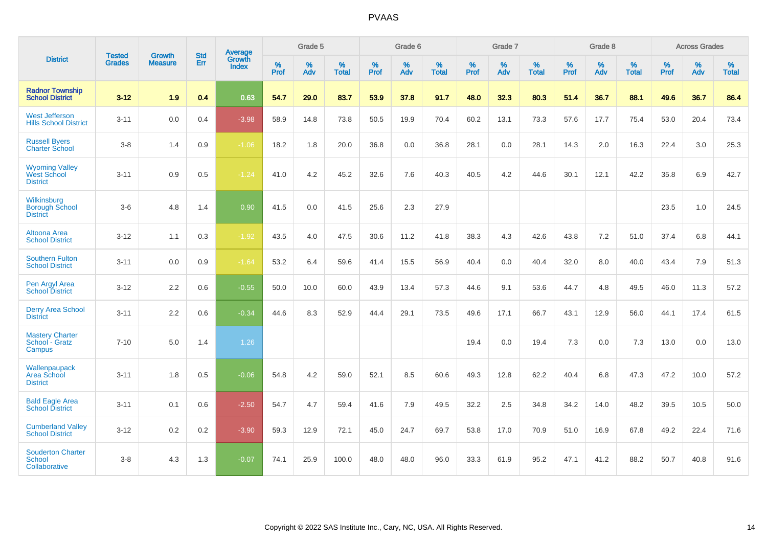|                                                                | <b>Tested</b> | <b>Growth</b>  | <b>Std</b> | Average                |              | Grade 5  |                   |                     | Grade 6  |                   |              | Grade 7  |                   |                     | Grade 8  |                   |                     | <b>Across Grades</b> |                   |
|----------------------------------------------------------------|---------------|----------------|------------|------------------------|--------------|----------|-------------------|---------------------|----------|-------------------|--------------|----------|-------------------|---------------------|----------|-------------------|---------------------|----------------------|-------------------|
| <b>District</b>                                                | <b>Grades</b> | <b>Measure</b> | Err        | Growth<br><b>Index</b> | $\%$<br>Prof | %<br>Adv | %<br><b>Total</b> | $\%$<br><b>Prof</b> | %<br>Adv | %<br><b>Total</b> | $\%$<br>Prof | %<br>Adv | %<br><b>Total</b> | $\%$<br><b>Prof</b> | %<br>Adv | %<br><b>Total</b> | $\%$<br><b>Prof</b> | $\%$<br>Adv          | %<br><b>Total</b> |
| <b>Radnor Township</b><br><b>School District</b>               | $3 - 12$      | 1.9            | 0.4        | 0.63                   | 54.7         | 29.0     | 83.7              | 53.9                | 37.8     | 91.7              | 48.0         | 32.3     | 80.3              | 51.4                | 36.7     | 88.1              | 49.6                | 36.7                 | 86.4              |
| <b>West Jefferson</b><br><b>Hills School District</b>          | $3 - 11$      | 0.0            | 0.4        | $-3.98$                | 58.9         | 14.8     | 73.8              | 50.5                | 19.9     | 70.4              | 60.2         | 13.1     | 73.3              | 57.6                | 17.7     | 75.4              | 53.0                | 20.4                 | 73.4              |
| <b>Russell Byers</b><br><b>Charter School</b>                  | $3 - 8$       | 1.4            | 0.9        | $-1.06$                | 18.2         | 1.8      | 20.0              | 36.8                | 0.0      | 36.8              | 28.1         | 0.0      | 28.1              | 14.3                | 2.0      | 16.3              | 22.4                | 3.0                  | 25.3              |
| <b>Wyoming Valley</b><br><b>West School</b><br><b>District</b> | $3 - 11$      | 0.9            | 0.5        | $-1.24$                | 41.0         | 4.2      | 45.2              | 32.6                | 7.6      | 40.3              | 40.5         | 4.2      | 44.6              | 30.1                | 12.1     | 42.2              | 35.8                | 6.9                  | 42.7              |
| Wilkinsburg<br><b>Borough School</b><br><b>District</b>        | $3-6$         | 4.8            | 1.4        | 0.90                   | 41.5         | 0.0      | 41.5              | 25.6                | 2.3      | 27.9              |              |          |                   |                     |          |                   | 23.5                | 1.0                  | 24.5              |
| Altoona Area<br><b>School District</b>                         | $3 - 12$      | 1.1            | 0.3        | $-1.92$                | 43.5         | 4.0      | 47.5              | 30.6                | 11.2     | 41.8              | 38.3         | 4.3      | 42.6              | 43.8                | 7.2      | 51.0              | 37.4                | 6.8                  | 44.1              |
| <b>Southern Fulton</b><br><b>School District</b>               | $3 - 11$      | 0.0            | 0.9        | $-1.64$                | 53.2         | 6.4      | 59.6              | 41.4                | 15.5     | 56.9              | 40.4         | 0.0      | 40.4              | 32.0                | 8.0      | 40.0              | 43.4                | 7.9                  | 51.3              |
| Pen Argyl Area<br><b>School District</b>                       | $3 - 12$      | 2.2            | 0.6        | $-0.55$                | 50.0         | 10.0     | 60.0              | 43.9                | 13.4     | 57.3              | 44.6         | 9.1      | 53.6              | 44.7                | 4.8      | 49.5              | 46.0                | 11.3                 | 57.2              |
| <b>Derry Area School</b><br><b>District</b>                    | $3 - 11$      | 2.2            | 0.6        | $-0.34$                | 44.6         | 8.3      | 52.9              | 44.4                | 29.1     | 73.5              | 49.6         | 17.1     | 66.7              | 43.1                | 12.9     | 56.0              | 44.1                | 17.4                 | 61.5              |
| <b>Mastery Charter</b><br>School - Gratz<br>Campus             | $7 - 10$      | 5.0            | 1.4        | 1.26                   |              |          |                   |                     |          |                   | 19.4         | 0.0      | 19.4              | 7.3                 | 0.0      | 7.3               | 13.0                | 0.0                  | 13.0              |
| Wallenpaupack<br>Area School<br><b>District</b>                | $3 - 11$      | 1.8            | 0.5        | $-0.06$                | 54.8         | 4.2      | 59.0              | 52.1                | 8.5      | 60.6              | 49.3         | 12.8     | 62.2              | 40.4                | 6.8      | 47.3              | 47.2                | 10.0                 | 57.2              |
| <b>Bald Eagle Area</b><br><b>School District</b>               | $3 - 11$      | 0.1            | 0.6        | $-2.50$                | 54.7         | 4.7      | 59.4              | 41.6                | 7.9      | 49.5              | 32.2         | 2.5      | 34.8              | 34.2                | 14.0     | 48.2              | 39.5                | 10.5                 | 50.0              |
| <b>Cumberland Valley</b><br><b>School District</b>             | $3 - 12$      | $0.2\,$        | 0.2        | $-3.90$                | 59.3         | 12.9     | 72.1              | 45.0                | 24.7     | 69.7              | 53.8         | 17.0     | 70.9              | 51.0                | 16.9     | 67.8              | 49.2                | 22.4                 | 71.6              |
| <b>Souderton Charter</b><br>School<br>Collaborative            | $3 - 8$       | 4.3            | 1.3        | $-0.07$                | 74.1         | 25.9     | 100.0             | 48.0                | 48.0     | 96.0              | 33.3         | 61.9     | 95.2              | 47.1                | 41.2     | 88.2              | 50.7                | 40.8                 | 91.6              |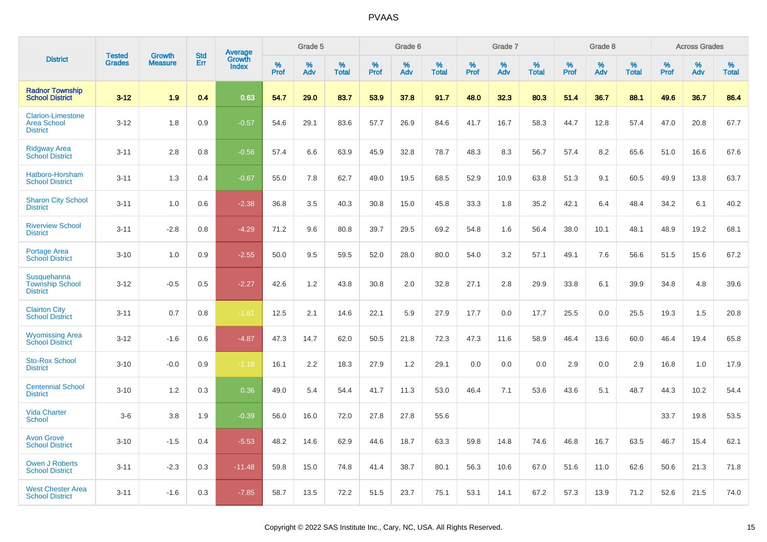|                                                                   | <b>Tested</b> | <b>Growth</b>  | <b>Std</b> | Average                |              | Grade 5  |                   |              | Grade 6  |                   |              | Grade 7  |                   |              | Grade 8  |                   |              | <b>Across Grades</b> |                   |
|-------------------------------------------------------------------|---------------|----------------|------------|------------------------|--------------|----------|-------------------|--------------|----------|-------------------|--------------|----------|-------------------|--------------|----------|-------------------|--------------|----------------------|-------------------|
| <b>District</b>                                                   | <b>Grades</b> | <b>Measure</b> | Err        | Growth<br><b>Index</b> | $\%$<br>Prof | %<br>Adv | %<br><b>Total</b> | $\%$<br>Prof | %<br>Adv | %<br><b>Total</b> | $\%$<br>Prof | %<br>Adv | %<br><b>Total</b> | $\%$<br>Prof | %<br>Adv | %<br><b>Total</b> | $\%$<br>Prof | %<br>Adv             | %<br><b>Total</b> |
| <b>Radnor Township</b><br><b>School District</b>                  | $3 - 12$      | 1.9            | 0.4        | 0.63                   | 54.7         | 29.0     | 83.7              | 53.9         | 37.8     | 91.7              | 48.0         | 32.3     | 80.3              | 51.4         | 36.7     | 88.1              | 49.6         | 36.7                 | 86.4              |
| <b>Clarion-Limestone</b><br><b>Area School</b><br><b>District</b> | $3 - 12$      | 1.8            | 0.9        | $-0.57$                | 54.6         | 29.1     | 83.6              | 57.7         | 26.9     | 84.6              | 41.7         | 16.7     | 58.3              | 44.7         | 12.8     | 57.4              | 47.0         | 20.8                 | 67.7              |
| <b>Ridgway Area</b><br><b>School District</b>                     | $3 - 11$      | 2.8            | 0.8        | $-0.56$                | 57.4         | 6.6      | 63.9              | 45.9         | 32.8     | 78.7              | 48.3         | 8.3      | 56.7              | 57.4         | 8.2      | 65.6              | 51.0         | 16.6                 | 67.6              |
| Hatboro-Horsham<br><b>School District</b>                         | $3 - 11$      | 1.3            | 0.4        | $-0.67$                | 55.0         | 7.8      | 62.7              | 49.0         | 19.5     | 68.5              | 52.9         | 10.9     | 63.8              | 51.3         | 9.1      | 60.5              | 49.9         | 13.8                 | 63.7              |
| <b>Sharon City School</b><br><b>District</b>                      | $3 - 11$      | 1.0            | 0.6        | $-2.38$                | 36.8         | 3.5      | 40.3              | 30.8         | 15.0     | 45.8              | 33.3         | 1.8      | 35.2              | 42.1         | 6.4      | 48.4              | 34.2         | 6.1                  | 40.2              |
| <b>Riverview School</b><br><b>District</b>                        | $3 - 11$      | $-2.8$         | 0.8        | $-4.29$                | 71.2         | 9.6      | 80.8              | 39.7         | 29.5     | 69.2              | 54.8         | 1.6      | 56.4              | 38.0         | 10.1     | 48.1              | 48.9         | 19.2                 | 68.1              |
| <b>Portage Area</b><br><b>School District</b>                     | $3 - 10$      | 1.0            | 0.9        | $-2.55$                | 50.0         | 9.5      | 59.5              | 52.0         | 28.0     | 80.0              | 54.0         | 3.2      | 57.1              | 49.1         | 7.6      | 56.6              | 51.5         | 15.6                 | 67.2              |
| Susquehanna<br><b>Township School</b><br><b>District</b>          | $3 - 12$      | $-0.5$         | 0.5        | $-2.27$                | 42.6         | 1.2      | 43.8              | 30.8         | 2.0      | 32.8              | 27.1         | 2.8      | 29.9              | 33.8         | 6.1      | 39.9              | 34.8         | 4.8                  | 39.6              |
| <b>Clairton City</b><br><b>School District</b>                    | $3 - 11$      | 0.7            | 0.8        | $-1.61$                | 12.5         | 2.1      | 14.6              | 22.1         | 5.9      | 27.9              | 17.7         | 0.0      | 17.7              | 25.5         | 0.0      | 25.5              | 19.3         | 1.5                  | 20.8              |
| <b>Wyomissing Area</b><br><b>School District</b>                  | $3 - 12$      | $-1.6$         | 0.6        | $-4.87$                | 47.3         | 14.7     | 62.0              | 50.5         | 21.8     | 72.3              | 47.3         | 11.6     | 58.9              | 46.4         | 13.6     | 60.0              | 46.4         | 19.4                 | 65.8              |
| <b>Sto-Rox School</b><br><b>District</b>                          | $3 - 10$      | $-0.0$         | 0.9        | $-1.18$                | 16.1         | 2.2      | 18.3              | 27.9         | 1.2      | 29.1              | 0.0          | 0.0      | 0.0               | 2.9          | 0.0      | 2.9               | 16.8         | 1.0                  | 17.9              |
| <b>Centennial School</b><br><b>District</b>                       | $3 - 10$      | 1.2            | 0.3        | 0.36                   | 49.0         | 5.4      | 54.4              | 41.7         | 11.3     | 53.0              | 46.4         | 7.1      | 53.6              | 43.6         | 5.1      | 48.7              | 44.3         | 10.2                 | 54.4              |
| <b>Vida Charter</b><br><b>School</b>                              | $3-6$         | 3.8            | 1.9        | $-0.39$                | 56.0         | 16.0     | 72.0              | 27.8         | 27.8     | 55.6              |              |          |                   |              |          |                   | 33.7         | 19.8                 | 53.5              |
| <b>Avon Grove</b><br><b>School District</b>                       | $3 - 10$      | $-1.5$         | 0.4        | $-5.53$                | 48.2         | 14.6     | 62.9              | 44.6         | 18.7     | 63.3              | 59.8         | 14.8     | 74.6              | 46.8         | 16.7     | 63.5              | 46.7         | 15.4                 | 62.1              |
| <b>Owen J Roberts</b><br><b>School District</b>                   | $3 - 11$      | $-2.3$         | 0.3        | $-11.48$               | 59.8         | 15.0     | 74.8              | 41.4         | 38.7     | 80.1              | 56.3         | 10.6     | 67.0              | 51.6         | 11.0     | 62.6              | 50.6         | 21.3                 | 71.8              |
| <b>West Chester Area</b><br><b>School District</b>                | $3 - 11$      | $-1.6$         | 0.3        | $-7.85$                | 58.7         | 13.5     | 72.2              | 51.5         | 23.7     | 75.1              | 53.1         | 14.1     | 67.2              | 57.3         | 13.9     | 71.2              | 52.6         | 21.5                 | 74.0              |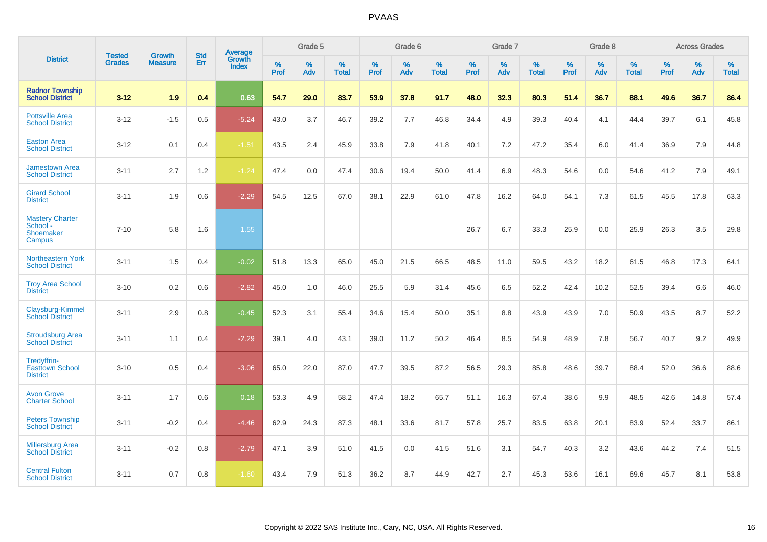|                                                           |                                |                                 | <b>Std</b> | Average                       |           | Grade 5  |                   |           | Grade 6  |                   |           | Grade 7  |                   |           | Grade 8  |                   |           | <b>Across Grades</b> |                   |
|-----------------------------------------------------------|--------------------------------|---------------------------------|------------|-------------------------------|-----------|----------|-------------------|-----------|----------|-------------------|-----------|----------|-------------------|-----------|----------|-------------------|-----------|----------------------|-------------------|
| <b>District</b>                                           | <b>Tested</b><br><b>Grades</b> | <b>Growth</b><br><b>Measure</b> | Err        | <b>Growth</b><br><b>Index</b> | %<br>Prof | %<br>Adv | %<br><b>Total</b> | %<br>Prof | %<br>Adv | %<br><b>Total</b> | %<br>Prof | %<br>Adv | %<br><b>Total</b> | %<br>Prof | %<br>Adv | %<br><b>Total</b> | %<br>Prof | %<br>Adv             | %<br><b>Total</b> |
| <b>Radnor Township</b><br><b>School District</b>          | $3 - 12$                       | 1.9                             | 0.4        | 0.63                          | 54.7      | 29.0     | 83.7              | 53.9      | 37.8     | 91.7              | 48.0      | 32.3     | 80.3              | 51.4      | 36.7     | 88.1              | 49.6      | 36.7                 | 86.4              |
| <b>Pottsville Area</b><br><b>School District</b>          | $3 - 12$                       | $-1.5$                          | 0.5        | $-5.24$                       | 43.0      | 3.7      | 46.7              | 39.2      | 7.7      | 46.8              | 34.4      | 4.9      | 39.3              | 40.4      | 4.1      | 44.4              | 39.7      | 6.1                  | 45.8              |
| <b>Easton Area</b><br><b>School District</b>              | $3 - 12$                       | 0.1                             | 0.4        | $-1.51$                       | 43.5      | 2.4      | 45.9              | 33.8      | 7.9      | 41.8              | 40.1      | 7.2      | 47.2              | 35.4      | 6.0      | 41.4              | 36.9      | 7.9                  | 44.8              |
| <b>Jamestown Area</b><br><b>School District</b>           | $3 - 11$                       | 2.7                             | 1.2        | $-1.24$                       | 47.4      | 0.0      | 47.4              | 30.6      | 19.4     | 50.0              | 41.4      | 6.9      | 48.3              | 54.6      | 0.0      | 54.6              | 41.2      | 7.9                  | 49.1              |
| <b>Girard School</b><br><b>District</b>                   | $3 - 11$                       | 1.9                             | 0.6        | $-2.29$                       | 54.5      | 12.5     | 67.0              | 38.1      | 22.9     | 61.0              | 47.8      | 16.2     | 64.0              | 54.1      | 7.3      | 61.5              | 45.5      | 17.8                 | 63.3              |
| <b>Mastery Charter</b><br>School -<br>Shoemaker<br>Campus | $7 - 10$                       | 5.8                             | 1.6        | 1.55                          |           |          |                   |           |          |                   | 26.7      | 6.7      | 33.3              | 25.9      | 0.0      | 25.9              | 26.3      | 3.5                  | 29.8              |
| <b>Northeastern York</b><br><b>School District</b>        | $3 - 11$                       | 1.5                             | 0.4        | $-0.02$                       | 51.8      | 13.3     | 65.0              | 45.0      | 21.5     | 66.5              | 48.5      | 11.0     | 59.5              | 43.2      | 18.2     | 61.5              | 46.8      | 17.3                 | 64.1              |
| <b>Troy Area School</b><br><b>District</b>                | $3 - 10$                       | 0.2                             | 0.6        | $-2.82$                       | 45.0      | 1.0      | 46.0              | 25.5      | 5.9      | 31.4              | 45.6      | 6.5      | 52.2              | 42.4      | 10.2     | 52.5              | 39.4      | 6.6                  | 46.0              |
| Claysburg-Kimmel<br><b>School District</b>                | $3 - 11$                       | 2.9                             | 0.8        | $-0.45$                       | 52.3      | 3.1      | 55.4              | 34.6      | 15.4     | 50.0              | 35.1      | 8.8      | 43.9              | 43.9      | 7.0      | 50.9              | 43.5      | 8.7                  | 52.2              |
| <b>Stroudsburg Area</b><br><b>School District</b>         | $3 - 11$                       | 1.1                             | 0.4        | $-2.29$                       | 39.1      | 4.0      | 43.1              | 39.0      | 11.2     | 50.2              | 46.4      | 8.5      | 54.9              | 48.9      | 7.8      | 56.7              | 40.7      | 9.2                  | 49.9              |
| Tredyffrin-<br><b>Easttown School</b><br><b>District</b>  | $3 - 10$                       | 0.5                             | 0.4        | $-3.06$                       | 65.0      | 22.0     | 87.0              | 47.7      | 39.5     | 87.2              | 56.5      | 29.3     | 85.8              | 48.6      | 39.7     | 88.4              | 52.0      | 36.6                 | 88.6              |
| <b>Avon Grove</b><br><b>Charter School</b>                | $3 - 11$                       | 1.7                             | 0.6        | 0.18                          | 53.3      | 4.9      | 58.2              | 47.4      | 18.2     | 65.7              | 51.1      | 16.3     | 67.4              | 38.6      | 9.9      | 48.5              | 42.6      | 14.8                 | 57.4              |
| <b>Peters Township</b><br><b>School District</b>          | $3 - 11$                       | $-0.2$                          | 0.4        | $-4.46$                       | 62.9      | 24.3     | 87.3              | 48.1      | 33.6     | 81.7              | 57.8      | 25.7     | 83.5              | 63.8      | 20.1     | 83.9              | 52.4      | 33.7                 | 86.1              |
| <b>Millersburg Area</b><br><b>School District</b>         | $3 - 11$                       | $-0.2$                          | 0.8        | $-2.79$                       | 47.1      | 3.9      | 51.0              | 41.5      | 0.0      | 41.5              | 51.6      | 3.1      | 54.7              | 40.3      | 3.2      | 43.6              | 44.2      | 7.4                  | 51.5              |
| <b>Central Fulton</b><br><b>School District</b>           | $3 - 11$                       | 0.7                             | 0.8        | $-1.60$                       | 43.4      | 7.9      | 51.3              | 36.2      | 8.7      | 44.9              | 42.7      | 2.7      | 45.3              | 53.6      | 16.1     | 69.6              | 45.7      | 8.1                  | 53.8              |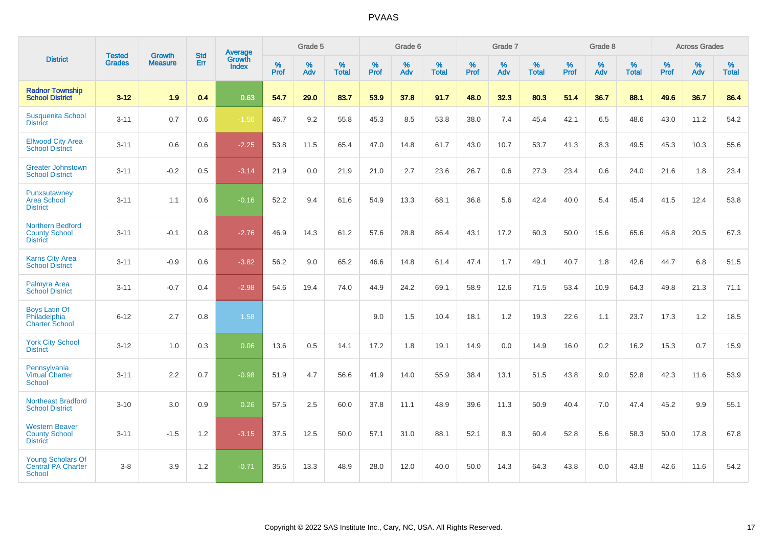|                                                                        |                                |                          | <b>Std</b> | <b>Average</b>         |           | Grade 5  |                   |           | Grade 6  |                   |           | Grade 7  |                   |           | Grade 8  |                   |           | <b>Across Grades</b> |                   |
|------------------------------------------------------------------------|--------------------------------|--------------------------|------------|------------------------|-----------|----------|-------------------|-----------|----------|-------------------|-----------|----------|-------------------|-----------|----------|-------------------|-----------|----------------------|-------------------|
| <b>District</b>                                                        | <b>Tested</b><br><b>Grades</b> | Growth<br><b>Measure</b> | Err        | Growth<br><b>Index</b> | %<br>Prof | %<br>Adv | %<br><b>Total</b> | %<br>Prof | %<br>Adv | %<br><b>Total</b> | %<br>Prof | %<br>Adv | %<br><b>Total</b> | %<br>Prof | %<br>Adv | %<br><b>Total</b> | %<br>Prof | %<br>Adv             | %<br><b>Total</b> |
| <b>Radnor Township</b><br><b>School District</b>                       | $3 - 12$                       | 1.9                      | 0.4        | 0.63                   | 54.7      | 29.0     | 83.7              | 53.9      | 37.8     | 91.7              | 48.0      | 32.3     | 80.3              | 51.4      | 36.7     | 88.1              | 49.6      | 36.7                 | 86.4              |
| <b>Susquenita School</b><br><b>District</b>                            | $3 - 11$                       | 0.7                      | 0.6        | $-1.50$                | 46.7      | 9.2      | 55.8              | 45.3      | 8.5      | 53.8              | 38.0      | 7.4      | 45.4              | 42.1      | 6.5      | 48.6              | 43.0      | 11.2                 | 54.2              |
| <b>Ellwood City Area</b><br><b>School District</b>                     | $3 - 11$                       | 0.6                      | 0.6        | $-2.25$                | 53.8      | 11.5     | 65.4              | 47.0      | 14.8     | 61.7              | 43.0      | 10.7     | 53.7              | 41.3      | 8.3      | 49.5              | 45.3      | 10.3                 | 55.6              |
| <b>Greater Johnstown</b><br><b>School District</b>                     | $3 - 11$                       | $-0.2$                   | 0.5        | $-3.14$                | 21.9      | 0.0      | 21.9              | 21.0      | 2.7      | 23.6              | 26.7      | 0.6      | 27.3              | 23.4      | 0.6      | 24.0              | 21.6      | 1.8                  | 23.4              |
| Punxsutawney<br><b>Area School</b><br><b>District</b>                  | $3 - 11$                       | 1.1                      | 0.6        | $-0.16$                | 52.2      | 9.4      | 61.6              | 54.9      | 13.3     | 68.1              | 36.8      | 5.6      | 42.4              | 40.0      | 5.4      | 45.4              | 41.5      | 12.4                 | 53.8              |
| <b>Northern Bedford</b><br><b>County School</b><br><b>District</b>     | $3 - 11$                       | $-0.1$                   | 0.8        | $-2.76$                | 46.9      | 14.3     | 61.2              | 57.6      | 28.8     | 86.4              | 43.1      | 17.2     | 60.3              | 50.0      | 15.6     | 65.6              | 46.8      | 20.5                 | 67.3              |
| <b>Karns City Area</b><br><b>School District</b>                       | $3 - 11$                       | $-0.9$                   | 0.6        | $-3.82$                | 56.2      | 9.0      | 65.2              | 46.6      | 14.8     | 61.4              | 47.4      | 1.7      | 49.1              | 40.7      | 1.8      | 42.6              | 44.7      | 6.8                  | 51.5              |
| Palmyra Area<br><b>School District</b>                                 | $3 - 11$                       | $-0.7$                   | 0.4        | $-2.98$                | 54.6      | 19.4     | 74.0              | 44.9      | 24.2     | 69.1              | 58.9      | 12.6     | 71.5              | 53.4      | 10.9     | 64.3              | 49.8      | 21.3                 | 71.1              |
| <b>Boys Latin Of</b><br>Philadelphia<br><b>Charter School</b>          | $6 - 12$                       | 2.7                      | 0.8        | 1.58                   |           |          |                   | 9.0       | 1.5      | 10.4              | 18.1      | 1.2      | 19.3              | 22.6      | 1.1      | 23.7              | 17.3      | 1.2                  | 18.5              |
| <b>York City School</b><br><b>District</b>                             | $3 - 12$                       | 1.0                      | 0.3        | 0.06                   | 13.6      | 0.5      | 14.1              | 17.2      | 1.8      | 19.1              | 14.9      | 0.0      | 14.9              | 16.0      | 0.2      | 16.2              | 15.3      | 0.7                  | 15.9              |
| Pennsylvania<br>Virtual Charter<br><b>School</b>                       | $3 - 11$                       | 2.2                      | 0.7        | $-0.98$                | 51.9      | 4.7      | 56.6              | 41.9      | 14.0     | 55.9              | 38.4      | 13.1     | 51.5              | 43.8      | 9.0      | 52.8              | 42.3      | 11.6                 | 53.9              |
| <b>Northeast Bradford</b><br><b>School District</b>                    | $3 - 10$                       | 3.0                      | 0.9        | 0.26                   | 57.5      | 2.5      | 60.0              | 37.8      | 11.1     | 48.9              | 39.6      | 11.3     | 50.9              | 40.4      | 7.0      | 47.4              | 45.2      | 9.9                  | 55.1              |
| <b>Western Beaver</b><br><b>County School</b><br><b>District</b>       | $3 - 11$                       | $-1.5$                   | 1.2        | $-3.15$                | 37.5      | 12.5     | 50.0              | 57.1      | 31.0     | 88.1              | 52.1      | 8.3      | 60.4              | 52.8      | 5.6      | 58.3              | 50.0      | 17.8                 | 67.8              |
| <b>Young Scholars Of</b><br><b>Central PA Charter</b><br><b>School</b> | $3 - 8$                        | 3.9                      | 1.2        | $-0.71$                | 35.6      | 13.3     | 48.9              | 28.0      | 12.0     | 40.0              | 50.0      | 14.3     | 64.3              | 43.8      | 0.0      | 43.8              | 42.6      | 11.6                 | 54.2              |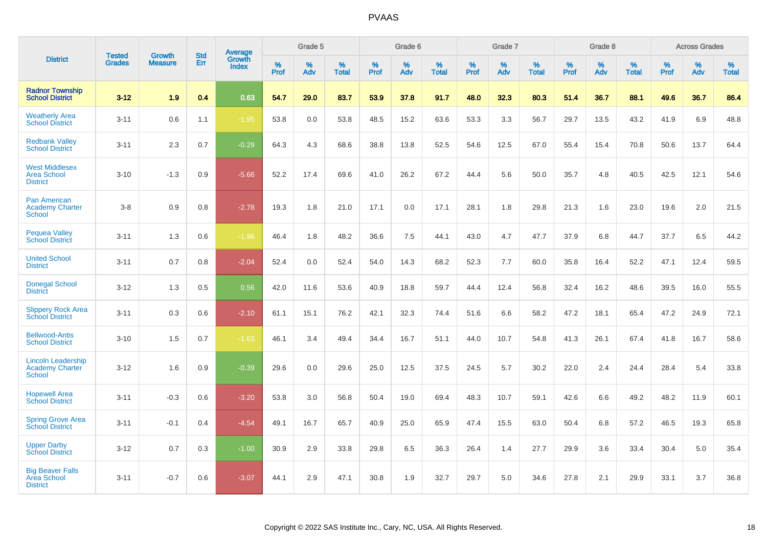|                                                                      |                                |                                 | <b>Std</b> | Average         |           | Grade 5  |                   |           | Grade 6  |                   |           | Grade 7  |                   |           | Grade 8  |                   |           | <b>Across Grades</b> |                   |
|----------------------------------------------------------------------|--------------------------------|---------------------------------|------------|-----------------|-----------|----------|-------------------|-----------|----------|-------------------|-----------|----------|-------------------|-----------|----------|-------------------|-----------|----------------------|-------------------|
| <b>District</b>                                                      | <b>Tested</b><br><b>Grades</b> | <b>Growth</b><br><b>Measure</b> | Err        | Growth<br>Index | %<br>Prof | %<br>Adv | %<br><b>Total</b> | %<br>Prof | %<br>Adv | %<br><b>Total</b> | %<br>Prof | %<br>Adv | %<br><b>Total</b> | %<br>Prof | %<br>Adv | %<br><b>Total</b> | %<br>Prof | %<br>Adv             | %<br><b>Total</b> |
| <b>Radnor Township</b><br><b>School District</b>                     | $3 - 12$                       | 1.9                             | 0.4        | 0.63            | 54.7      | 29.0     | 83.7              | 53.9      | 37.8     | 91.7              | 48.0      | 32.3     | 80.3              | 51.4      | 36.7     | 88.1              | 49.6      | 36.7                 | 86.4              |
| <b>Weatherly Area</b><br><b>School District</b>                      | $3 - 11$                       | 0.6                             | 1.1        | $-1.95$         | 53.8      | 0.0      | 53.8              | 48.5      | 15.2     | 63.6              | 53.3      | 3.3      | 56.7              | 29.7      | 13.5     | 43.2              | 41.9      | 6.9                  | 48.8              |
| <b>Redbank Valley</b><br><b>School District</b>                      | $3 - 11$                       | 2.3                             | 0.7        | $-0.29$         | 64.3      | 4.3      | 68.6              | 38.8      | 13.8     | 52.5              | 54.6      | 12.5     | 67.0              | 55.4      | 15.4     | 70.8              | 50.6      | 13.7                 | 64.4              |
| <b>West Middlesex</b><br><b>Area School</b><br><b>District</b>       | $3 - 10$                       | $-1.3$                          | 0.9        | $-5.66$         | 52.2      | 17.4     | 69.6              | 41.0      | 26.2     | 67.2              | 44.4      | 5.6      | 50.0              | 35.7      | 4.8      | 40.5              | 42.5      | 12.1                 | 54.6              |
| <b>Pan American</b><br><b>Academy Charter</b><br><b>School</b>       | $3 - 8$                        | 0.9                             | 0.8        | $-2.78$         | 19.3      | 1.8      | 21.0              | 17.1      | 0.0      | 17.1              | 28.1      | 1.8      | 29.8              | 21.3      | 1.6      | 23.0              | 19.6      | 2.0                  | 21.5              |
| <b>Pequea Valley</b><br><b>School District</b>                       | $3 - 11$                       | 1.3                             | 0.6        | $-1.96$         | 46.4      | 1.8      | 48.2              | 36.6      | 7.5      | 44.1              | 43.0      | 4.7      | 47.7              | 37.9      | 6.8      | 44.7              | 37.7      | 6.5                  | 44.2              |
| <b>United School</b><br><b>District</b>                              | $3 - 11$                       | 0.7                             | 0.8        | $-2.04$         | 52.4      | 0.0      | 52.4              | 54.0      | 14.3     | 68.2              | 52.3      | 7.7      | 60.0              | 35.8      | 16.4     | 52.2              | 47.1      | 12.4                 | 59.5              |
| <b>Donegal School</b><br><b>District</b>                             | $3 - 12$                       | 1.3                             | 0.5        | 0.56            | 42.0      | 11.6     | 53.6              | 40.9      | 18.8     | 59.7              | 44.4      | 12.4     | 56.8              | 32.4      | 16.2     | 48.6              | 39.5      | 16.0                 | 55.5              |
| <b>Slippery Rock Area</b><br><b>School District</b>                  | $3 - 11$                       | 0.3                             | 0.6        | $-2.10$         | 61.1      | 15.1     | 76.2              | 42.1      | 32.3     | 74.4              | 51.6      | 6.6      | 58.2              | 47.2      | 18.1     | 65.4              | 47.2      | 24.9                 | 72.1              |
| <b>Bellwood-Antis</b><br><b>School District</b>                      | $3 - 10$                       | 1.5                             | 0.7        | $-1.63$         | 46.1      | 3.4      | 49.4              | 34.4      | 16.7     | 51.1              | 44.0      | 10.7     | 54.8              | 41.3      | 26.1     | 67.4              | 41.8      | 16.7                 | 58.6              |
| <b>Lincoln Leadership</b><br><b>Academy Charter</b><br><b>School</b> | $3 - 12$                       | 1.6                             | 0.9        | $-0.39$         | 29.6      | 0.0      | 29.6              | 25.0      | 12.5     | 37.5              | 24.5      | 5.7      | 30.2              | 22.0      | 2.4      | 24.4              | 28.4      | 5.4                  | 33.8              |
| <b>Hopewell Area</b><br><b>School District</b>                       | $3 - 11$                       | $-0.3$                          | 0.6        | $-3.20$         | 53.8      | 3.0      | 56.8              | 50.4      | 19.0     | 69.4              | 48.3      | 10.7     | 59.1              | 42.6      | 6.6      | 49.2              | 48.2      | 11.9                 | 60.1              |
| <b>Spring Grove Area</b><br><b>School District</b>                   | $3 - 11$                       | $-0.1$                          | 0.4        | $-4.54$         | 49.1      | 16.7     | 65.7              | 40.9      | 25.0     | 65.9              | 47.4      | 15.5     | 63.0              | 50.4      | 6.8      | 57.2              | 46.5      | 19.3                 | 65.8              |
| <b>Upper Darby</b><br><b>School District</b>                         | $3 - 12$                       | 0.7                             | 0.3        | $-1.00$         | 30.9      | 2.9      | 33.8              | 29.8      | 6.5      | 36.3              | 26.4      | 1.4      | 27.7              | 29.9      | 3.6      | 33.4              | 30.4      | 5.0                  | 35.4              |
| <b>Big Beaver Falls</b><br>Area School<br><b>District</b>            | $3 - 11$                       | $-0.7$                          | 0.6        | $-3.07$         | 44.1      | 2.9      | 47.1              | 30.8      | 1.9      | 32.7              | 29.7      | 5.0      | 34.6              | 27.8      | 2.1      | 29.9              | 33.1      | 3.7                  | 36.8              |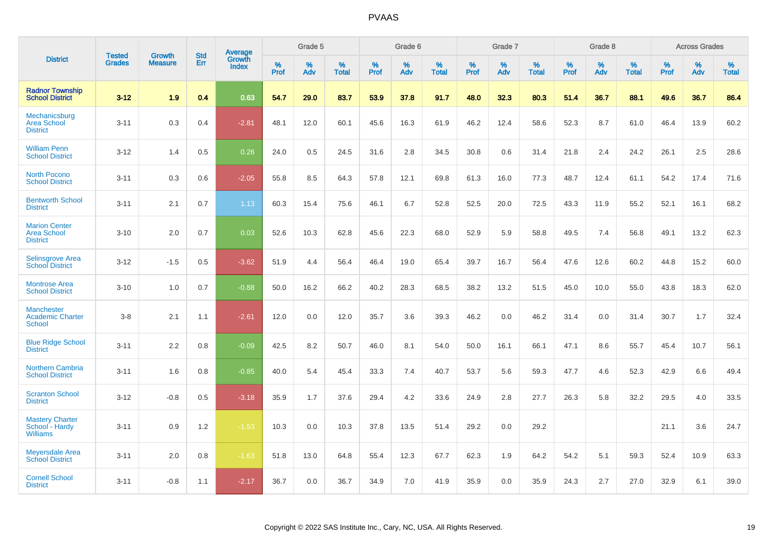|                                                               |                                | <b>Growth</b>  | <b>Std</b> | Average<br>Growth |              | Grade 5  |                   |           | Grade 6  |                   |              | Grade 7  |                   |              | Grade 8  |                   |              | <b>Across Grades</b> |                   |
|---------------------------------------------------------------|--------------------------------|----------------|------------|-------------------|--------------|----------|-------------------|-----------|----------|-------------------|--------------|----------|-------------------|--------------|----------|-------------------|--------------|----------------------|-------------------|
| <b>District</b>                                               | <b>Tested</b><br><b>Grades</b> | <b>Measure</b> | <b>Err</b> | Index             | $\%$<br>Prof | %<br>Adv | %<br><b>Total</b> | %<br>Prof | %<br>Adv | %<br><b>Total</b> | $\%$<br>Prof | %<br>Adv | %<br><b>Total</b> | $\%$<br>Prof | %<br>Adv | %<br><b>Total</b> | $\%$<br>Prof | %<br>Adv             | %<br><b>Total</b> |
| <b>Radnor Township</b><br><b>School District</b>              | $3 - 12$                       | 1.9            | 0.4        | 0.63              | 54.7         | 29.0     | 83.7              | 53.9      | 37.8     | 91.7              | 48.0         | 32.3     | 80.3              | 51.4         | 36.7     | 88.1              | 49.6         | 36.7                 | 86.4              |
| Mechanicsburg<br><b>Area School</b><br><b>District</b>        | $3 - 11$                       | 0.3            | 0.4        | $-2.81$           | 48.1         | 12.0     | 60.1              | 45.6      | 16.3     | 61.9              | 46.2         | 12.4     | 58.6              | 52.3         | 8.7      | 61.0              | 46.4         | 13.9                 | 60.2              |
| <b>William Penn</b><br><b>School District</b>                 | $3 - 12$                       | 1.4            | 0.5        | 0.26              | 24.0         | 0.5      | 24.5              | 31.6      | 2.8      | 34.5              | 30.8         | 0.6      | 31.4              | 21.8         | 2.4      | 24.2              | 26.1         | 2.5                  | 28.6              |
| <b>North Pocono</b><br><b>School District</b>                 | $3 - 11$                       | 0.3            | 0.6        | $-2.05$           | 55.8         | 8.5      | 64.3              | 57.8      | 12.1     | 69.8              | 61.3         | 16.0     | 77.3              | 48.7         | 12.4     | 61.1              | 54.2         | 17.4                 | 71.6              |
| <b>Bentworth School</b><br><b>District</b>                    | $3 - 11$                       | 2.1            | 0.7        | 1.13              | 60.3         | 15.4     | 75.6              | 46.1      | 6.7      | 52.8              | 52.5         | 20.0     | 72.5              | 43.3         | 11.9     | 55.2              | 52.1         | 16.1                 | 68.2              |
| <b>Marion Center</b><br><b>Area School</b><br><b>District</b> | $3 - 10$                       | 2.0            | 0.7        | 0.03              | 52.6         | 10.3     | 62.8              | 45.6      | 22.3     | 68.0              | 52.9         | 5.9      | 58.8              | 49.5         | 7.4      | 56.8              | 49.1         | 13.2                 | 62.3              |
| Selinsgrove Area<br><b>School District</b>                    | $3 - 12$                       | $-1.5$         | 0.5        | $-3.62$           | 51.9         | 4.4      | 56.4              | 46.4      | 19.0     | 65.4              | 39.7         | 16.7     | 56.4              | 47.6         | 12.6     | 60.2              | 44.8         | 15.2                 | 60.0              |
| <b>Montrose Area</b><br><b>School District</b>                | $3 - 10$                       | 1.0            | 0.7        | $-0.88$           | 50.0         | 16.2     | 66.2              | 40.2      | 28.3     | 68.5              | 38.2         | 13.2     | 51.5              | 45.0         | 10.0     | 55.0              | 43.8         | 18.3                 | 62.0              |
| <b>Manchester</b><br><b>Academic Charter</b><br>School        | $3 - 8$                        | 2.1            | 1.1        | $-2.61$           | 12.0         | 0.0      | 12.0              | 35.7      | 3.6      | 39.3              | 46.2         | 0.0      | 46.2              | 31.4         | 0.0      | 31.4              | 30.7         | 1.7                  | 32.4              |
| <b>Blue Ridge School</b><br><b>District</b>                   | $3 - 11$                       | 2.2            | 0.8        | $-0.09$           | 42.5         | 8.2      | 50.7              | 46.0      | 8.1      | 54.0              | 50.0         | 16.1     | 66.1              | 47.1         | 8.6      | 55.7              | 45.4         | 10.7                 | 56.1              |
| <b>Northern Cambria</b><br><b>School District</b>             | $3 - 11$                       | 1.6            | 0.8        | $-0.85$           | 40.0         | 5.4      | 45.4              | 33.3      | 7.4      | 40.7              | 53.7         | 5.6      | 59.3              | 47.7         | 4.6      | 52.3              | 42.9         | 6.6                  | 49.4              |
| <b>Scranton School</b><br><b>District</b>                     | $3 - 12$                       | $-0.8$         | 0.5        | $-3.18$           | 35.9         | 1.7      | 37.6              | 29.4      | 4.2      | 33.6              | 24.9         | 2.8      | 27.7              | 26.3         | 5.8      | 32.2              | 29.5         | 4.0                  | 33.5              |
| <b>Mastery Charter</b><br>School - Hardy<br><b>Williams</b>   | $3 - 11$                       | 0.9            | 1.2        | $-1.53$           | 10.3         | 0.0      | 10.3              | 37.8      | 13.5     | 51.4              | 29.2         | 0.0      | 29.2              |              |          |                   | 21.1         | 3.6                  | 24.7              |
| <b>Meyersdale Area</b><br><b>School District</b>              | $3 - 11$                       | 2.0            | 0.8        | $-1.63$           | 51.8         | 13.0     | 64.8              | 55.4      | 12.3     | 67.7              | 62.3         | 1.9      | 64.2              | 54.2         | 5.1      | 59.3              | 52.4         | 10.9                 | 63.3              |
| <b>Cornell School</b><br><b>District</b>                      | $3 - 11$                       | $-0.8$         | 1.1        | $-2.17$           | 36.7         | 0.0      | 36.7              | 34.9      | 7.0      | 41.9              | 35.9         | 0.0      | 35.9              | 24.3         | 2.7      | 27.0              | 32.9         | 6.1                  | 39.0              |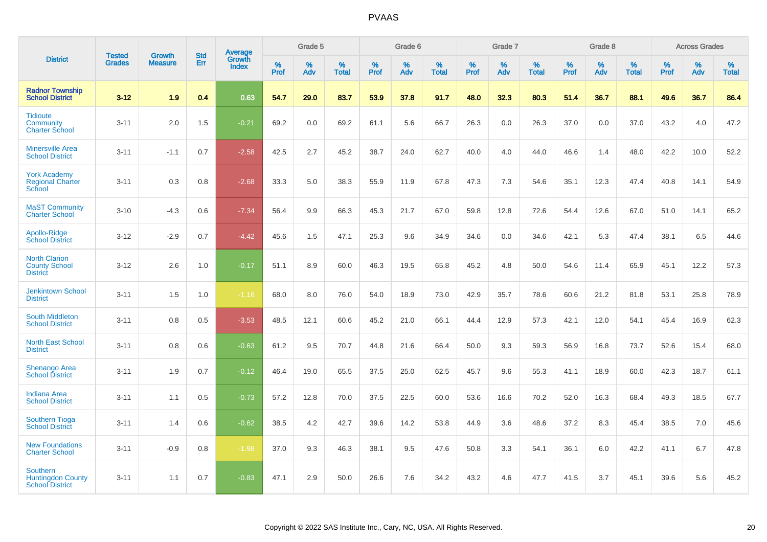|                                                                       |                                |                                 | <b>Std</b> | Average                |              | Grade 5  |                   |           | Grade 6  |                   |           | Grade 7  |                   |           | Grade 8  |                   |              | <b>Across Grades</b> |                   |
|-----------------------------------------------------------------------|--------------------------------|---------------------------------|------------|------------------------|--------------|----------|-------------------|-----------|----------|-------------------|-----------|----------|-------------------|-----------|----------|-------------------|--------------|----------------------|-------------------|
| <b>District</b>                                                       | <b>Tested</b><br><b>Grades</b> | <b>Growth</b><br><b>Measure</b> | Err        | Growth<br><b>Index</b> | $\%$<br>Prof | %<br>Adv | %<br><b>Total</b> | %<br>Prof | %<br>Adv | %<br><b>Total</b> | %<br>Prof | %<br>Adv | %<br><b>Total</b> | %<br>Prof | %<br>Adv | %<br><b>Total</b> | $\%$<br>Prof | %<br>Adv             | %<br><b>Total</b> |
| <b>Radnor Township</b><br><b>School District</b>                      | $3 - 12$                       | 1.9                             | 0.4        | 0.63                   | 54.7         | 29.0     | 83.7              | 53.9      | 37.8     | 91.7              | 48.0      | 32.3     | 80.3              | 51.4      | 36.7     | 88.1              | 49.6         | 36.7                 | 86.4              |
| <b>Tidioute</b><br>Community<br><b>Charter School</b>                 | $3 - 11$                       | 2.0                             | 1.5        | $-0.21$                | 69.2         | 0.0      | 69.2              | 61.1      | 5.6      | 66.7              | 26.3      | 0.0      | 26.3              | 37.0      | 0.0      | 37.0              | 43.2         | 4.0                  | 47.2              |
| <b>Minersville Area</b><br><b>School District</b>                     | $3 - 11$                       | $-1.1$                          | 0.7        | $-2.58$                | 42.5         | 2.7      | 45.2              | 38.7      | 24.0     | 62.7              | 40.0      | 4.0      | 44.0              | 46.6      | 1.4      | 48.0              | 42.2         | 10.0                 | 52.2              |
| <b>York Academy</b><br><b>Regional Charter</b><br>School              | $3 - 11$                       | 0.3                             | 0.8        | $-2.68$                | 33.3         | 5.0      | 38.3              | 55.9      | 11.9     | 67.8              | 47.3      | 7.3      | 54.6              | 35.1      | 12.3     | 47.4              | 40.8         | 14.1                 | 54.9              |
| <b>MaST Community</b><br><b>Charter School</b>                        | $3 - 10$                       | $-4.3$                          | 0.6        | $-7.34$                | 56.4         | 9.9      | 66.3              | 45.3      | 21.7     | 67.0              | 59.8      | 12.8     | 72.6              | 54.4      | 12.6     | 67.0              | 51.0         | 14.1                 | 65.2              |
| Apollo-Ridge<br><b>School District</b>                                | $3 - 12$                       | $-2.9$                          | 0.7        | $-4.42$                | 45.6         | 1.5      | 47.1              | 25.3      | 9.6      | 34.9              | 34.6      | 0.0      | 34.6              | 42.1      | 5.3      | 47.4              | 38.1         | 6.5                  | 44.6              |
| <b>North Clarion</b><br><b>County School</b><br><b>District</b>       | $3 - 12$                       | 2.6                             | 1.0        | $-0.17$                | 51.1         | 8.9      | 60.0              | 46.3      | 19.5     | 65.8              | 45.2      | 4.8      | 50.0              | 54.6      | 11.4     | 65.9              | 45.1         | 12.2                 | 57.3              |
| <b>Jenkintown School</b><br><b>District</b>                           | $3 - 11$                       | 1.5                             | 1.0        | $-1.16$                | 68.0         | 8.0      | 76.0              | 54.0      | 18.9     | 73.0              | 42.9      | 35.7     | 78.6              | 60.6      | 21.2     | 81.8              | 53.1         | 25.8                 | 78.9              |
| <b>South Middleton</b><br><b>School District</b>                      | $3 - 11$                       | 0.8                             | 0.5        | $-3.53$                | 48.5         | 12.1     | 60.6              | 45.2      | 21.0     | 66.1              | 44.4      | 12.9     | 57.3              | 42.1      | 12.0     | 54.1              | 45.4         | 16.9                 | 62.3              |
| <b>North East School</b><br><b>District</b>                           | $3 - 11$                       | 0.8                             | 0.6        | $-0.63$                | 61.2         | 9.5      | 70.7              | 44.8      | 21.6     | 66.4              | 50.0      | 9.3      | 59.3              | 56.9      | 16.8     | 73.7              | 52.6         | 15.4                 | 68.0              |
| <b>Shenango Area</b><br><b>School District</b>                        | $3 - 11$                       | 1.9                             | 0.7        | $-0.12$                | 46.4         | 19.0     | 65.5              | 37.5      | 25.0     | 62.5              | 45.7      | 9.6      | 55.3              | 41.1      | 18.9     | 60.0              | 42.3         | 18.7                 | 61.1              |
| <b>Indiana Area</b><br><b>School District</b>                         | $3 - 11$                       | 1.1                             | 0.5        | $-0.73$                | 57.2         | 12.8     | 70.0              | 37.5      | 22.5     | 60.0              | 53.6      | 16.6     | 70.2              | 52.0      | 16.3     | 68.4              | 49.3         | 18.5                 | 67.7              |
| <b>Southern Tioga</b><br><b>School District</b>                       | $3 - 11$                       | 1.4                             | 0.6        | $-0.62$                | 38.5         | 4.2      | 42.7              | 39.6      | 14.2     | 53.8              | 44.9      | 3.6      | 48.6              | 37.2      | 8.3      | 45.4              | 38.5         | 7.0                  | 45.6              |
| <b>New Foundations</b><br><b>Charter School</b>                       | $3 - 11$                       | $-0.9$                          | 0.8        | $-1.98$                | 37.0         | 9.3      | 46.3              | 38.1      | 9.5      | 47.6              | 50.8      | 3.3      | 54.1              | 36.1      | 6.0      | 42.2              | 41.1         | 6.7                  | 47.8              |
| <b>Southern</b><br><b>Huntingdon County</b><br><b>School District</b> | $3 - 11$                       | 1.1                             | 0.7        | $-0.83$                | 47.1         | 2.9      | 50.0              | 26.6      | 7.6      | 34.2              | 43.2      | 4.6      | 47.7              | 41.5      | 3.7      | 45.1              | 39.6         | 5.6                  | 45.2              |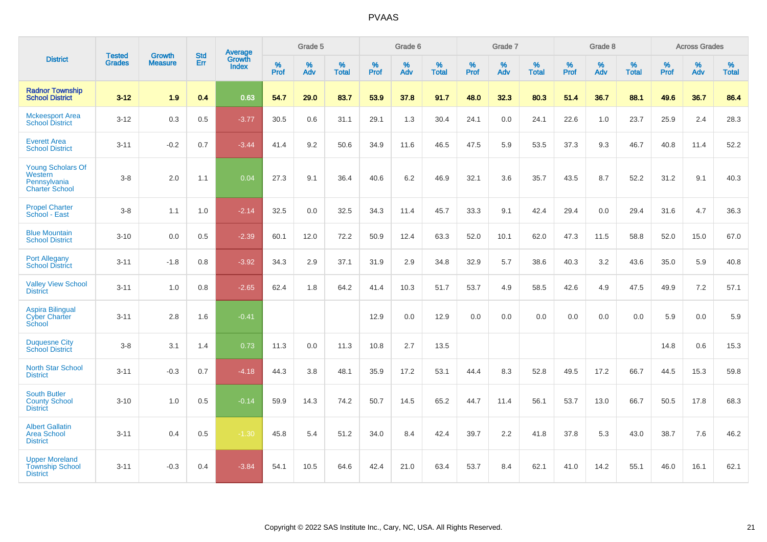|                                                                       |                                |                                 | <b>Std</b> | <b>Average</b>         |           | Grade 5  |                   |           | Grade 6  |                   |           | Grade 7  |                   |           | Grade 8  |                   |           | <b>Across Grades</b> |                   |
|-----------------------------------------------------------------------|--------------------------------|---------------------------------|------------|------------------------|-----------|----------|-------------------|-----------|----------|-------------------|-----------|----------|-------------------|-----------|----------|-------------------|-----------|----------------------|-------------------|
| <b>District</b>                                                       | <b>Tested</b><br><b>Grades</b> | <b>Growth</b><br><b>Measure</b> | Err        | Growth<br><b>Index</b> | %<br>Prof | %<br>Adv | %<br><b>Total</b> | %<br>Prof | %<br>Adv | %<br><b>Total</b> | %<br>Prof | %<br>Adv | %<br><b>Total</b> | %<br>Prof | %<br>Adv | %<br><b>Total</b> | %<br>Prof | %<br>Adv             | %<br><b>Total</b> |
| <b>Radnor Township</b><br><b>School District</b>                      | $3 - 12$                       | 1.9                             | 0.4        | 0.63                   | 54.7      | 29.0     | 83.7              | 53.9      | 37.8     | 91.7              | 48.0      | 32.3     | 80.3              | 51.4      | 36.7     | 88.1              | 49.6      | 36.7                 | 86.4              |
| <b>Mckeesport Area</b><br><b>School District</b>                      | $3 - 12$                       | 0.3                             | 0.5        | $-3.77$                | 30.5      | 0.6      | 31.1              | 29.1      | 1.3      | 30.4              | 24.1      | 0.0      | 24.1              | 22.6      | 1.0      | 23.7              | 25.9      | 2.4                  | 28.3              |
| <b>Everett Area</b><br><b>School District</b>                         | $3 - 11$                       | $-0.2$                          | 0.7        | $-3.44$                | 41.4      | 9.2      | 50.6              | 34.9      | 11.6     | 46.5              | 47.5      | 5.9      | 53.5              | 37.3      | 9.3      | 46.7              | 40.8      | 11.4                 | 52.2              |
| Young Scholars Of<br>Western<br>Pennsylvania<br><b>Charter School</b> | $3 - 8$                        | 2.0                             | 1.1        | 0.04                   | 27.3      | 9.1      | 36.4              | 40.6      | 6.2      | 46.9              | 32.1      | 3.6      | 35.7              | 43.5      | 8.7      | 52.2              | 31.2      | 9.1                  | 40.3              |
| <b>Propel Charter</b><br>School - East                                | $3 - 8$                        | 1.1                             | 1.0        | $-2.14$                | 32.5      | 0.0      | 32.5              | 34.3      | 11.4     | 45.7              | 33.3      | 9.1      | 42.4              | 29.4      | 0.0      | 29.4              | 31.6      | 4.7                  | 36.3              |
| <b>Blue Mountain</b><br><b>School District</b>                        | $3 - 10$                       | 0.0                             | 0.5        | $-2.39$                | 60.1      | 12.0     | 72.2              | 50.9      | 12.4     | 63.3              | 52.0      | 10.1     | 62.0              | 47.3      | 11.5     | 58.8              | 52.0      | 15.0                 | 67.0              |
| <b>Port Allegany</b><br><b>School District</b>                        | $3 - 11$                       | $-1.8$                          | 0.8        | $-3.92$                | 34.3      | 2.9      | 37.1              | 31.9      | 2.9      | 34.8              | 32.9      | 5.7      | 38.6              | 40.3      | 3.2      | 43.6              | 35.0      | 5.9                  | 40.8              |
| <b>Valley View School</b><br><b>District</b>                          | $3 - 11$                       | 1.0                             | 0.8        | $-2.65$                | 62.4      | 1.8      | 64.2              | 41.4      | 10.3     | 51.7              | 53.7      | 4.9      | 58.5              | 42.6      | 4.9      | 47.5              | 49.9      | 7.2                  | 57.1              |
| <b>Aspira Bilingual</b><br><b>Cyber Charter</b><br>School             | $3 - 11$                       | 2.8                             | 1.6        | $-0.41$                |           |          |                   | 12.9      | 0.0      | 12.9              | 0.0       | 0.0      | 0.0               | 0.0       | 0.0      | 0.0               | 5.9       | 0.0                  | 5.9               |
| <b>Duquesne City</b><br><b>School District</b>                        | $3 - 8$                        | 3.1                             | 1.4        | 0.73                   | 11.3      | $0.0\,$  | 11.3              | 10.8      | 2.7      | 13.5              |           |          |                   |           |          |                   | 14.8      | 0.6                  | 15.3              |
| North Star School<br><b>District</b>                                  | $3 - 11$                       | $-0.3$                          | 0.7        | $-4.18$                | 44.3      | 3.8      | 48.1              | 35.9      | 17.2     | 53.1              | 44.4      | 8.3      | 52.8              | 49.5      | 17.2     | 66.7              | 44.5      | 15.3                 | 59.8              |
| <b>South Butler</b><br><b>County School</b><br><b>District</b>        | $3 - 10$                       | 1.0                             | 0.5        | $-0.14$                | 59.9      | 14.3     | 74.2              | 50.7      | 14.5     | 65.2              | 44.7      | 11.4     | 56.1              | 53.7      | 13.0     | 66.7              | 50.5      | 17.8                 | 68.3              |
| <b>Albert Gallatin</b><br><b>Area School</b><br><b>District</b>       | $3 - 11$                       | 0.4                             | 0.5        | $-1.30$                | 45.8      | 5.4      | 51.2              | 34.0      | 8.4      | 42.4              | 39.7      | 2.2      | 41.8              | 37.8      | 5.3      | 43.0              | 38.7      | 7.6                  | 46.2              |
| <b>Upper Moreland</b><br><b>Township School</b><br><b>District</b>    | $3 - 11$                       | $-0.3$                          | 0.4        | $-3.84$                | 54.1      | 10.5     | 64.6              | 42.4      | 21.0     | 63.4              | 53.7      | 8.4      | 62.1              | 41.0      | 14.2     | 55.1              | 46.0      | 16.1                 | 62.1              |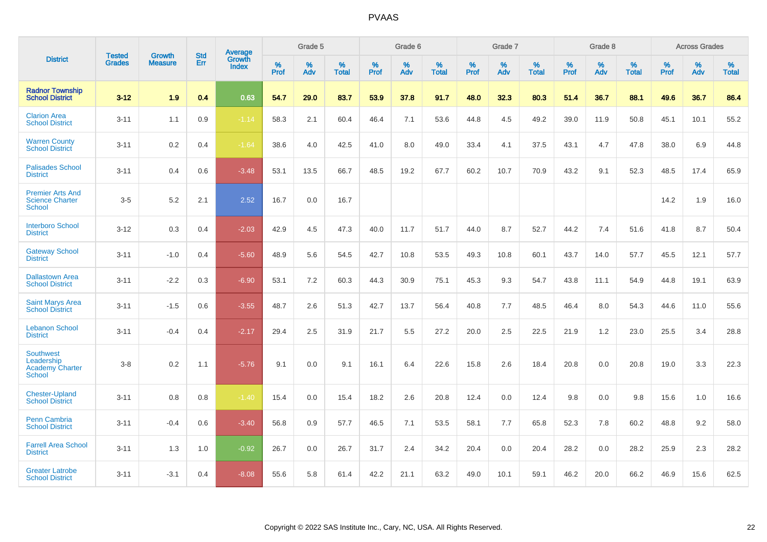|                                                                           |                                |                                 | <b>Std</b> | <b>Average</b>                |           | Grade 5  |                   |           | Grade 6  |                   |           | Grade 7  |                   |           | Grade 8  |                   |           | <b>Across Grades</b> |                   |
|---------------------------------------------------------------------------|--------------------------------|---------------------------------|------------|-------------------------------|-----------|----------|-------------------|-----------|----------|-------------------|-----------|----------|-------------------|-----------|----------|-------------------|-----------|----------------------|-------------------|
| <b>District</b>                                                           | <b>Tested</b><br><b>Grades</b> | <b>Growth</b><br><b>Measure</b> | Err        | <b>Growth</b><br><b>Index</b> | %<br>Prof | %<br>Adv | %<br><b>Total</b> | %<br>Prof | %<br>Adv | %<br><b>Total</b> | %<br>Prof | %<br>Adv | %<br><b>Total</b> | %<br>Prof | %<br>Adv | %<br><b>Total</b> | %<br>Prof | %<br>Adv             | %<br><b>Total</b> |
| <b>Radnor Township</b><br><b>School District</b>                          | $3 - 12$                       | 1.9                             | 0.4        | 0.63                          | 54.7      | 29.0     | 83.7              | 53.9      | 37.8     | 91.7              | 48.0      | 32.3     | 80.3              | 51.4      | 36.7     | 88.1              | 49.6      | 36.7                 | 86.4              |
| <b>Clarion Area</b><br><b>School District</b>                             | $3 - 11$                       | 1.1                             | 0.9        | $-1.14$                       | 58.3      | 2.1      | 60.4              | 46.4      | 7.1      | 53.6              | 44.8      | 4.5      | 49.2              | 39.0      | 11.9     | 50.8              | 45.1      | 10.1                 | 55.2              |
| <b>Warren County</b><br><b>School District</b>                            | $3 - 11$                       | $0.2\,$                         | 0.4        | $-1.64$                       | 38.6      | 4.0      | 42.5              | 41.0      | 8.0      | 49.0              | 33.4      | 4.1      | 37.5              | 43.1      | 4.7      | 47.8              | 38.0      | 6.9                  | 44.8              |
| <b>Palisades School</b><br><b>District</b>                                | $3 - 11$                       | 0.4                             | 0.6        | $-3.48$                       | 53.1      | 13.5     | 66.7              | 48.5      | 19.2     | 67.7              | 60.2      | 10.7     | 70.9              | 43.2      | 9.1      | 52.3              | 48.5      | 17.4                 | 65.9              |
| <b>Premier Arts And</b><br><b>Science Charter</b><br><b>School</b>        | $3-5$                          | 5.2                             | 2.1        | 2.52                          | 16.7      | 0.0      | 16.7              |           |          |                   |           |          |                   |           |          |                   | 14.2      | 1.9                  | 16.0              |
| <b>Interboro School</b><br><b>District</b>                                | $3 - 12$                       | 0.3                             | 0.4        | $-2.03$                       | 42.9      | 4.5      | 47.3              | 40.0      | 11.7     | 51.7              | 44.0      | 8.7      | 52.7              | 44.2      | 7.4      | 51.6              | 41.8      | 8.7                  | 50.4              |
| <b>Gateway School</b><br><b>District</b>                                  | $3 - 11$                       | $-1.0$                          | 0.4        | $-5.60$                       | 48.9      | 5.6      | 54.5              | 42.7      | 10.8     | 53.5              | 49.3      | 10.8     | 60.1              | 43.7      | 14.0     | 57.7              | 45.5      | 12.1                 | 57.7              |
| <b>Dallastown Area</b><br><b>School District</b>                          | $3 - 11$                       | $-2.2$                          | 0.3        | $-6.90$                       | 53.1      | 7.2      | 60.3              | 44.3      | 30.9     | 75.1              | 45.3      | 9.3      | 54.7              | 43.8      | 11.1     | 54.9              | 44.8      | 19.1                 | 63.9              |
| <b>Saint Marys Area</b><br><b>School District</b>                         | $3 - 11$                       | $-1.5$                          | 0.6        | $-3.55$                       | 48.7      | 2.6      | 51.3              | 42.7      | 13.7     | 56.4              | 40.8      | 7.7      | 48.5              | 46.4      | 8.0      | 54.3              | 44.6      | 11.0                 | 55.6              |
| <b>Lebanon School</b><br><b>District</b>                                  | $3 - 11$                       | $-0.4$                          | 0.4        | $-2.17$                       | 29.4      | 2.5      | 31.9              | 21.7      | 5.5      | 27.2              | 20.0      | 2.5      | 22.5              | 21.9      | 1.2      | 23.0              | 25.5      | 3.4                  | 28.8              |
| <b>Southwest</b><br>Leadership<br><b>Academy Charter</b><br><b>School</b> | $3 - 8$                        | 0.2                             | 1.1        | $-5.76$                       | 9.1       | 0.0      | 9.1               | 16.1      | 6.4      | 22.6              | 15.8      | 2.6      | 18.4              | 20.8      | 0.0      | 20.8              | 19.0      | 3.3                  | 22.3              |
| <b>Chester-Upland</b><br><b>School District</b>                           | $3 - 11$                       | 0.8                             | 0.8        | $-1.40$                       | 15.4      | 0.0      | 15.4              | 18.2      | 2.6      | 20.8              | 12.4      | 0.0      | 12.4              | 9.8       | 0.0      | 9.8               | 15.6      | 1.0                  | 16.6              |
| Penn Cambria<br><b>School District</b>                                    | $3 - 11$                       | $-0.4$                          | 0.6        | $-3.40$                       | 56.8      | 0.9      | 57.7              | 46.5      | 7.1      | 53.5              | 58.1      | 7.7      | 65.8              | 52.3      | 7.8      | 60.2              | 48.8      | 9.2                  | 58.0              |
| <b>Farrell Area School</b><br><b>District</b>                             | $3 - 11$                       | 1.3                             | 1.0        | $-0.92$                       | 26.7      | 0.0      | 26.7              | 31.7      | 2.4      | 34.2              | 20.4      | 0.0      | 20.4              | 28.2      | 0.0      | 28.2              | 25.9      | 2.3                  | 28.2              |
| <b>Greater Latrobe</b><br><b>School District</b>                          | $3 - 11$                       | $-3.1$                          | 0.4        | $-8.08$                       | 55.6      | 5.8      | 61.4              | 42.2      | 21.1     | 63.2              | 49.0      | 10.1     | 59.1              | 46.2      | 20.0     | 66.2              | 46.9      | 15.6                 | 62.5              |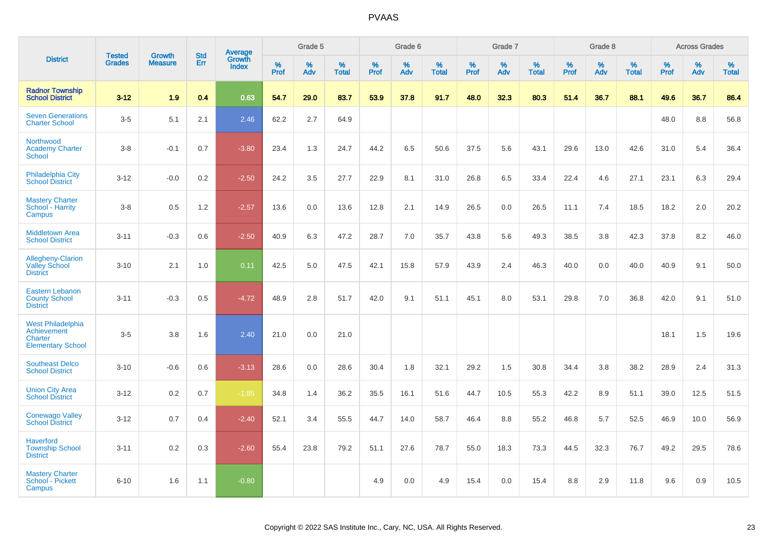|                                                                                |                                |                                 | <b>Std</b> | Average                |              | Grade 5  |                      |              | Grade 6  |                   |              | Grade 7  |                   |              | Grade 8  |                   |              | <b>Across Grades</b> |            |
|--------------------------------------------------------------------------------|--------------------------------|---------------------------------|------------|------------------------|--------------|----------|----------------------|--------------|----------|-------------------|--------------|----------|-------------------|--------------|----------|-------------------|--------------|----------------------|------------|
| <b>District</b>                                                                | <b>Tested</b><br><b>Grades</b> | <b>Growth</b><br><b>Measure</b> | Err        | Growth<br><b>Index</b> | $\%$<br>Prof | %<br>Adv | $\%$<br><b>Total</b> | $\%$<br>Prof | %<br>Adv | %<br><b>Total</b> | $\%$<br>Prof | %<br>Adv | %<br><b>Total</b> | $\%$<br>Prof | %<br>Adv | %<br><b>Total</b> | $\%$<br>Prof | $\%$<br>Adv          | %<br>Total |
| <b>Radnor Township</b><br><b>School District</b>                               | $3 - 12$                       | 1.9                             | 0.4        | 0.63                   | 54.7         | 29.0     | 83.7                 | 53.9         | 37.8     | 91.7              | 48.0         | 32.3     | 80.3              | 51.4         | 36.7     | 88.1              | 49.6         | 36.7                 | 86.4       |
| <b>Seven Generations</b><br><b>Charter School</b>                              | $3-5$                          | 5.1                             | 2.1        | 2.46                   | 62.2         | 2.7      | 64.9                 |              |          |                   |              |          |                   |              |          |                   | 48.0         | $8.8\,$              | 56.8       |
| Northwood<br><b>Academy Charter</b><br>School                                  | $3 - 8$                        | $-0.1$                          | 0.7        | $-3.80$                | 23.4         | 1.3      | 24.7                 | 44.2         | 6.5      | 50.6              | 37.5         | 5.6      | 43.1              | 29.6         | 13.0     | 42.6              | 31.0         | 5.4                  | 36.4       |
| Philadelphia City<br><b>School District</b>                                    | $3 - 12$                       | $-0.0$                          | 0.2        | $-2.50$                | 24.2         | 3.5      | 27.7                 | 22.9         | 8.1      | 31.0              | 26.8         | 6.5      | 33.4              | 22.4         | 4.6      | 27.1              | 23.1         | 6.3                  | 29.4       |
| <b>Mastery Charter</b><br>School - Harrity<br>Campus                           | $3 - 8$                        | 0.5                             | 1.2        | $-2.57$                | 13.6         | 0.0      | 13.6                 | 12.8         | 2.1      | 14.9              | 26.5         | 0.0      | 26.5              | 11.1         | 7.4      | 18.5              | 18.2         | 2.0                  | 20.2       |
| <b>Middletown Area</b><br><b>School District</b>                               | $3 - 11$                       | $-0.3$                          | 0.6        | $-2.50$                | 40.9         | 6.3      | 47.2                 | 28.7         | 7.0      | 35.7              | 43.8         | 5.6      | 49.3              | 38.5         | 3.8      | 42.3              | 37.8         | 8.2                  | 46.0       |
| <b>Allegheny-Clarion</b><br><b>Valley School</b><br><b>District</b>            | $3 - 10$                       | 2.1                             | 1.0        | 0.11                   | 42.5         | 5.0      | 47.5                 | 42.1         | 15.8     | 57.9              | 43.9         | 2.4      | 46.3              | 40.0         | 0.0      | 40.0              | 40.9         | 9.1                  | 50.0       |
| <b>Eastern Lebanon</b><br><b>County School</b><br><b>District</b>              | $3 - 11$                       | $-0.3$                          | 0.5        | $-4.72$                | 48.9         | 2.8      | 51.7                 | 42.0         | 9.1      | 51.1              | 45.1         | 8.0      | 53.1              | 29.8         | 7.0      | 36.8              | 42.0         | 9.1                  | 51.0       |
| <b>West Philadelphia</b><br>Achievement<br>Charter<br><b>Elementary School</b> | $3-5$                          | 3.8                             | 1.6        | 2.40                   | 21.0         | 0.0      | 21.0                 |              |          |                   |              |          |                   |              |          |                   | 18.1         | 1.5                  | 19.6       |
| <b>Southeast Delco</b><br><b>School District</b>                               | $3 - 10$                       | $-0.6$                          | 0.6        | $-3.13$                | 28.6         | 0.0      | 28.6                 | 30.4         | 1.8      | 32.1              | 29.2         | 1.5      | 30.8              | 34.4         | 3.8      | 38.2              | 28.9         | 2.4                  | 31.3       |
| <b>Union City Area</b><br><b>School District</b>                               | $3 - 12$                       | 0.2                             | 0.7        | $-1.85$                | 34.8         | 1.4      | 36.2                 | 35.5         | 16.1     | 51.6              | 44.7         | 10.5     | 55.3              | 42.2         | 8.9      | 51.1              | 39.0         | 12.5                 | 51.5       |
| <b>Conewago Valley</b><br><b>School District</b>                               | $3 - 12$                       | 0.7                             | 0.4        | $-2.40$                | 52.1         | 3.4      | 55.5                 | 44.7         | 14.0     | 58.7              | 46.4         | 8.8      | 55.2              | 46.8         | $5.7\,$  | 52.5              | 46.9         | 10.0                 | 56.9       |
| <b>Haverford</b><br><b>Township School</b><br><b>District</b>                  | $3 - 11$                       | 0.2                             | 0.3        | $-2.60$                | 55.4         | 23.8     | 79.2                 | 51.1         | 27.6     | 78.7              | 55.0         | 18.3     | 73.3              | 44.5         | 32.3     | 76.7              | 49.2         | 29.5                 | 78.6       |
| <b>Mastery Charter</b><br>School - Pickett<br>Campus                           | $6 - 10$                       | 1.6                             | 1.1        | $-0.80$                |              |          |                      | 4.9          | 0.0      | 4.9               | 15.4         | 0.0      | 15.4              | 8.8          | 2.9      | 11.8              | 9.6          | 0.9                  | 10.5       |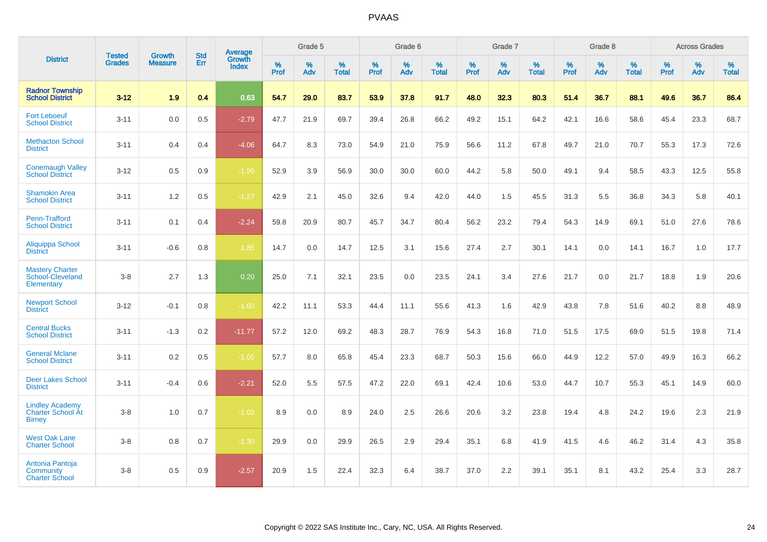|                                                                     |                                |                                 | <b>Std</b> | Average                       |           | Grade 5  |                   |           | Grade 6  |                   |           | Grade 7  |                   |           | Grade 8  |                   |           | <b>Across Grades</b> |                   |
|---------------------------------------------------------------------|--------------------------------|---------------------------------|------------|-------------------------------|-----------|----------|-------------------|-----------|----------|-------------------|-----------|----------|-------------------|-----------|----------|-------------------|-----------|----------------------|-------------------|
| <b>District</b>                                                     | <b>Tested</b><br><b>Grades</b> | <b>Growth</b><br><b>Measure</b> | Err        | <b>Growth</b><br><b>Index</b> | %<br>Prof | %<br>Adv | %<br><b>Total</b> | %<br>Prof | %<br>Adv | %<br><b>Total</b> | %<br>Prof | %<br>Adv | %<br><b>Total</b> | %<br>Prof | %<br>Adv | %<br><b>Total</b> | %<br>Prof | %<br>Adv             | %<br><b>Total</b> |
| <b>Radnor Township</b><br><b>School District</b>                    | $3 - 12$                       | 1.9                             | 0.4        | 0.63                          | 54.7      | 29.0     | 83.7              | 53.9      | 37.8     | 91.7              | 48.0      | 32.3     | 80.3              | 51.4      | 36.7     | 88.1              | 49.6      | 36.7                 | 86.4              |
| <b>Fort Leboeuf</b><br><b>School District</b>                       | $3 - 11$                       | 0.0                             | 0.5        | $-2.79$                       | 47.7      | 21.9     | 69.7              | 39.4      | 26.8     | 66.2              | 49.2      | 15.1     | 64.2              | 42.1      | 16.6     | 58.6              | 45.4      | 23.3                 | 68.7              |
| <b>Methacton School</b><br><b>District</b>                          | $3 - 11$                       | 0.4                             | 0.4        | $-4.06$                       | 64.7      | 8.3      | 73.0              | 54.9      | 21.0     | 75.9              | 56.6      | 11.2     | 67.8              | 49.7      | 21.0     | 70.7              | 55.3      | 17.3                 | 72.6              |
| <b>Conemaugh Valley</b><br><b>School District</b>                   | $3 - 12$                       | 0.5                             | 0.9        | $-1.99$                       | 52.9      | 3.9      | 56.9              | 30.0      | 30.0     | 60.0              | 44.2      | 5.8      | 50.0              | 49.1      | 9.4      | 58.5              | 43.3      | 12.5                 | 55.8              |
| <b>Shamokin Area</b><br><b>School District</b>                      | $3 - 11$                       | 1.2                             | 0.5        | $-1.27$                       | 42.9      | 2.1      | 45.0              | 32.6      | 9.4      | 42.0              | 44.0      | 1.5      | 45.5              | 31.3      | 5.5      | 36.8              | 34.3      | 5.8                  | 40.1              |
| Penn-Trafford<br><b>School District</b>                             | $3 - 11$                       | 0.1                             | 0.4        | $-2.24$                       | 59.8      | 20.9     | 80.7              | 45.7      | 34.7     | 80.4              | 56.2      | 23.2     | 79.4              | 54.3      | 14.9     | 69.1              | 51.0      | 27.6                 | 78.6              |
| Aliquippa School<br><b>District</b>                                 | $3 - 11$                       | $-0.6$                          | 0.8        | $-1.85$                       | 14.7      | 0.0      | 14.7              | 12.5      | 3.1      | 15.6              | 27.4      | 2.7      | 30.1              | 14.1      | 0.0      | 14.1              | 16.7      | 1.0                  | 17.7              |
| <b>Mastery Charter</b><br>School-Cleveland<br>Elementary            | $3 - 8$                        | 2.7                             | 1.3        | 0.20                          | 25.0      | 7.1      | 32.1              | 23.5      | 0.0      | 23.5              | 24.1      | 3.4      | 27.6              | 21.7      | 0.0      | 21.7              | 18.8      | 1.9                  | 20.6              |
| <b>Newport School</b><br><b>District</b>                            | $3 - 12$                       | $-0.1$                          | 0.8        | $-1.60$                       | 42.2      | 11.1     | 53.3              | 44.4      | 11.1     | 55.6              | 41.3      | 1.6      | 42.9              | 43.8      | 7.8      | 51.6              | 40.2      | 8.8                  | 48.9              |
| <b>Central Bucks</b><br><b>School District</b>                      | $3 - 11$                       | $-1.3$                          | 0.2        | $-11.77$                      | 57.2      | 12.0     | 69.2              | 48.3      | 28.7     | 76.9              | 54.3      | 16.8     | 71.0              | 51.5      | 17.5     | 69.0              | 51.5      | 19.8                 | 71.4              |
| <b>General Mclane</b><br><b>School District</b>                     | $3 - 11$                       | 0.2                             | 0.5        | $-1.05$                       | 57.7      | 8.0      | 65.8              | 45.4      | 23.3     | 68.7              | 50.3      | 15.6     | 66.0              | 44.9      | 12.2     | 57.0              | 49.9      | 16.3                 | 66.2              |
| <b>Deer Lakes School</b><br><b>District</b>                         | $3 - 11$                       | $-0.4$                          | 0.6        | $-2.21$                       | 52.0      | 5.5      | 57.5              | 47.2      | 22.0     | 69.1              | 42.4      | 10.6     | 53.0              | 44.7      | 10.7     | 55.3              | 45.1      | 14.9                 | 60.0              |
| <b>Lindley Academy</b><br><b>Charter School At</b><br><b>Birney</b> | $3 - 8$                        | 1.0                             | 0.7        | $-1.02$                       | 8.9       | 0.0      | 8.9               | 24.0      | 2.5      | 26.6              | 20.6      | 3.2      | 23.8              | 19.4      | 4.8      | 24.2              | 19.6      | 2.3                  | 21.9              |
| <b>West Oak Lane</b><br><b>Charter School</b>                       | $3 - 8$                        | 0.8                             | 0.7        | $-1.30$                       | 29.9      | 0.0      | 29.9              | 26.5      | 2.9      | 29.4              | 35.1      | 6.8      | 41.9              | 41.5      | 4.6      | 46.2              | 31.4      | 4.3                  | 35.8              |
| Antonia Pantoja<br>Community<br><b>Charter School</b>               | $3 - 8$                        | 0.5                             | 0.9        | $-2.57$                       | 20.9      | 1.5      | 22.4              | 32.3      | 6.4      | 38.7              | 37.0      | 2.2      | 39.1              | 35.1      | 8.1      | 43.2              | 25.4      | 3.3                  | 28.7              |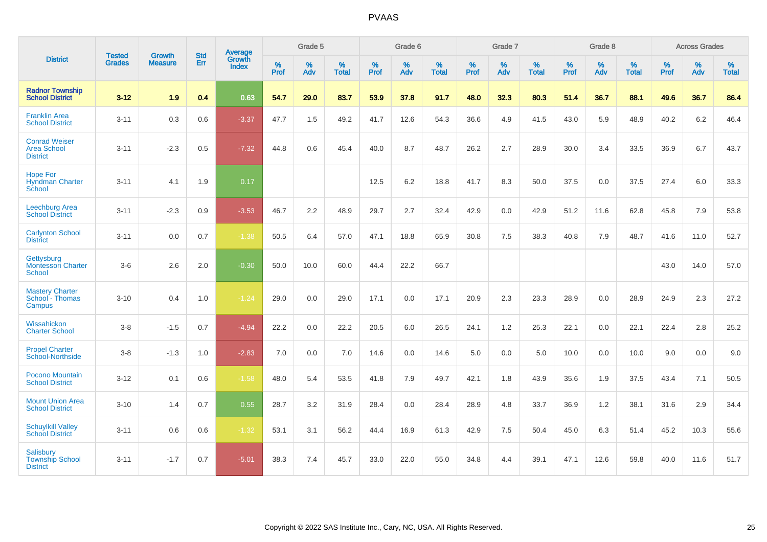|                                                               | <b>Tested</b> | <b>Growth</b>  | <b>Std</b> | Average                |              | Grade 5  |                   |                     | Grade 6  |                   |              | Grade 7  |                   |                     | Grade 8  |                   |                     | <b>Across Grades</b> |                   |
|---------------------------------------------------------------|---------------|----------------|------------|------------------------|--------------|----------|-------------------|---------------------|----------|-------------------|--------------|----------|-------------------|---------------------|----------|-------------------|---------------------|----------------------|-------------------|
| <b>District</b>                                               | <b>Grades</b> | <b>Measure</b> | Err        | Growth<br><b>Index</b> | $\%$<br>Prof | %<br>Adv | %<br><b>Total</b> | $\%$<br><b>Prof</b> | %<br>Adv | %<br><b>Total</b> | $\%$<br>Prof | %<br>Adv | %<br><b>Total</b> | $\%$<br><b>Prof</b> | %<br>Adv | %<br><b>Total</b> | $\%$<br><b>Prof</b> | $\%$<br>Adv          | %<br><b>Total</b> |
| <b>Radnor Township</b><br><b>School District</b>              | $3-12$        | 1.9            | 0.4        | 0.63                   | 54.7         | 29.0     | 83.7              | 53.9                | 37.8     | 91.7              | 48.0         | 32.3     | 80.3              | 51.4                | 36.7     | 88.1              | 49.6                | 36.7                 | 86.4              |
| <b>Franklin Area</b><br><b>School District</b>                | $3 - 11$      | 0.3            | 0.6        | $-3.37$                | 47.7         | 1.5      | 49.2              | 41.7                | 12.6     | 54.3              | 36.6         | 4.9      | 41.5              | 43.0                | 5.9      | 48.9              | 40.2                | 6.2                  | 46.4              |
| <b>Conrad Weiser</b><br><b>Area School</b><br><b>District</b> | $3 - 11$      | $-2.3$         | 0.5        | $-7.32$                | 44.8         | 0.6      | 45.4              | 40.0                | 8.7      | 48.7              | 26.2         | 2.7      | 28.9              | 30.0                | 3.4      | 33.5              | 36.9                | 6.7                  | 43.7              |
| <b>Hope For</b><br><b>Hyndman Charter</b><br>School           | $3 - 11$      | 4.1            | 1.9        | 0.17                   |              |          |                   | 12.5                | 6.2      | 18.8              | 41.7         | 8.3      | 50.0              | 37.5                | 0.0      | 37.5              | 27.4                | 6.0                  | 33.3              |
| <b>Leechburg Area</b><br><b>School District</b>               | $3 - 11$      | $-2.3$         | 0.9        | $-3.53$                | 46.7         | 2.2      | 48.9              | 29.7                | 2.7      | 32.4              | 42.9         | 0.0      | 42.9              | 51.2                | 11.6     | 62.8              | 45.8                | 7.9                  | 53.8              |
| <b>Carlynton School</b><br><b>District</b>                    | $3 - 11$      | 0.0            | 0.7        | $-1.38$                | 50.5         | 6.4      | 57.0              | 47.1                | 18.8     | 65.9              | 30.8         | 7.5      | 38.3              | 40.8                | 7.9      | 48.7              | 41.6                | 11.0                 | 52.7              |
| Gettysburg<br><b>Montessori Charter</b><br><b>School</b>      | $3-6$         | 2.6            | 2.0        | $-0.30$                | 50.0         | 10.0     | 60.0              | 44.4                | 22.2     | 66.7              |              |          |                   |                     |          |                   | 43.0                | 14.0                 | 57.0              |
| <b>Mastery Charter</b><br>School - Thomas<br>Campus           | $3 - 10$      | 0.4            | 1.0        | $-1.24$                | 29.0         | 0.0      | 29.0              | 17.1                | 0.0      | 17.1              | 20.9         | 2.3      | 23.3              | 28.9                | 0.0      | 28.9              | 24.9                | 2.3                  | 27.2              |
| Wissahickon<br><b>Charter School</b>                          | $3 - 8$       | $-1.5$         | 0.7        | $-4.94$                | 22.2         | 0.0      | 22.2              | 20.5                | 6.0      | 26.5              | 24.1         | 1.2      | 25.3              | 22.1                | 0.0      | 22.1              | 22.4                | 2.8                  | 25.2              |
| <b>Propel Charter</b><br>School-Northside                     | $3-8$         | $-1.3$         | 1.0        | $-2.83$                | 7.0          | 0.0      | 7.0               | 14.6                | 0.0      | 14.6              | 5.0          | 0.0      | 5.0               | 10.0                | 0.0      | 10.0              | 9.0                 | 0.0                  | 9.0               |
| Pocono Mountain<br><b>School District</b>                     | $3 - 12$      | 0.1            | 0.6        | $-1.58$                | 48.0         | 5.4      | 53.5              | 41.8                | 7.9      | 49.7              | 42.1         | 1.8      | 43.9              | 35.6                | 1.9      | 37.5              | 43.4                | 7.1                  | 50.5              |
| <b>Mount Union Area</b><br><b>School District</b>             | $3 - 10$      | 1.4            | 0.7        | 0.55                   | 28.7         | 3.2      | 31.9              | 28.4                | 0.0      | 28.4              | 28.9         | 4.8      | 33.7              | 36.9                | 1.2      | 38.1              | 31.6                | 2.9                  | 34.4              |
| <b>Schuylkill Valley</b><br><b>School District</b>            | $3 - 11$      | 0.6            | 0.6        | $-1.32$                | 53.1         | 3.1      | 56.2              | 44.4                | 16.9     | 61.3              | 42.9         | 7.5      | 50.4              | 45.0                | 6.3      | 51.4              | 45.2                | 10.3                 | 55.6              |
| <b>Salisbury</b><br><b>Township School</b><br><b>District</b> | $3 - 11$      | $-1.7$         | 0.7        | $-5.01$                | 38.3         | 7.4      | 45.7              | 33.0                | 22.0     | 55.0              | 34.8         | 4.4      | 39.1              | 47.1                | 12.6     | 59.8              | 40.0                | 11.6                 | 51.7              |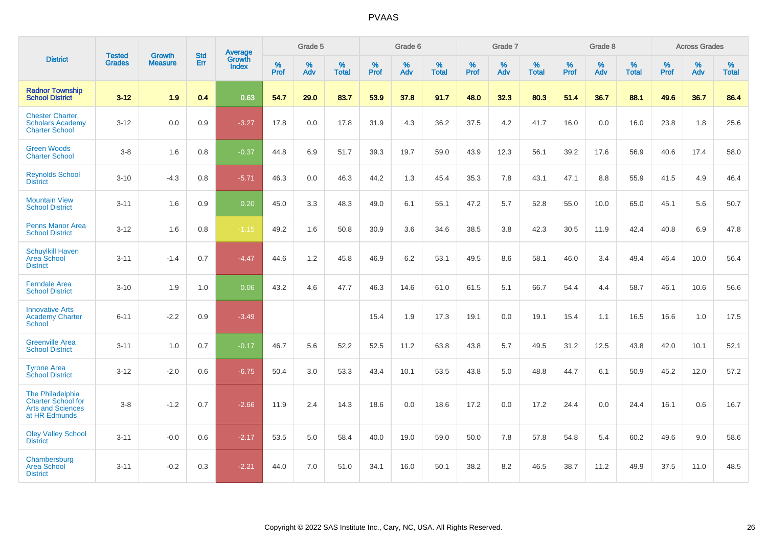|                                                                                            |                                |                                 | <b>Std</b> | Average                       |              | Grade 5  |                   |           | Grade 6  |                   |           | Grade 7  |                   |           | Grade 8  |                   |           | <b>Across Grades</b> |                   |
|--------------------------------------------------------------------------------------------|--------------------------------|---------------------------------|------------|-------------------------------|--------------|----------|-------------------|-----------|----------|-------------------|-----------|----------|-------------------|-----------|----------|-------------------|-----------|----------------------|-------------------|
| <b>District</b>                                                                            | <b>Tested</b><br><b>Grades</b> | <b>Growth</b><br><b>Measure</b> | Err        | <b>Growth</b><br><b>Index</b> | $\%$<br>Prof | %<br>Adv | %<br><b>Total</b> | %<br>Prof | %<br>Adv | %<br><b>Total</b> | %<br>Prof | %<br>Adv | %<br><b>Total</b> | %<br>Prof | %<br>Adv | %<br><b>Total</b> | %<br>Prof | %<br>Adv             | %<br><b>Total</b> |
| <b>Radnor Township</b><br><b>School District</b>                                           | $3 - 12$                       | 1.9                             | 0.4        | 0.63                          | 54.7         | 29.0     | 83.7              | 53.9      | 37.8     | 91.7              | 48.0      | 32.3     | 80.3              | 51.4      | 36.7     | 88.1              | 49.6      | 36.7                 | 86.4              |
| <b>Chester Charter</b><br><b>Scholars Academy</b><br><b>Charter School</b>                 | $3 - 12$                       | 0.0                             | 0.9        | $-3.27$                       | 17.8         | 0.0      | 17.8              | 31.9      | 4.3      | 36.2              | 37.5      | 4.2      | 41.7              | 16.0      | 0.0      | 16.0              | 23.8      | 1.8                  | 25.6              |
| <b>Green Woods</b><br><b>Charter School</b>                                                | $3-8$                          | 1.6                             | 0.8        | $-0.37$                       | 44.8         | 6.9      | 51.7              | 39.3      | 19.7     | 59.0              | 43.9      | 12.3     | 56.1              | 39.2      | 17.6     | 56.9              | 40.6      | 17.4                 | 58.0              |
| <b>Reynolds School</b><br><b>District</b>                                                  | $3 - 10$                       | $-4.3$                          | 0.8        | $-5.71$                       | 46.3         | 0.0      | 46.3              | 44.2      | 1.3      | 45.4              | 35.3      | 7.8      | 43.1              | 47.1      | 8.8      | 55.9              | 41.5      | 4.9                  | 46.4              |
| <b>Mountain View</b><br><b>School District</b>                                             | $3 - 11$                       | 1.6                             | 0.9        | 0.20                          | 45.0         | 3.3      | 48.3              | 49.0      | 6.1      | 55.1              | 47.2      | 5.7      | 52.8              | 55.0      | 10.0     | 65.0              | 45.1      | 5.6                  | 50.7              |
| <b>Penns Manor Area</b><br><b>School District</b>                                          | $3 - 12$                       | 1.6                             | 0.8        | $-1.15$                       | 49.2         | 1.6      | 50.8              | 30.9      | 3.6      | 34.6              | 38.5      | 3.8      | 42.3              | 30.5      | 11.9     | 42.4              | 40.8      | 6.9                  | 47.8              |
| <b>Schuylkill Haven</b><br>Area School<br><b>District</b>                                  | $3 - 11$                       | $-1.4$                          | 0.7        | $-4.47$                       | 44.6         | 1.2      | 45.8              | 46.9      | 6.2      | 53.1              | 49.5      | 8.6      | 58.1              | 46.0      | 3.4      | 49.4              | 46.4      | 10.0                 | 56.4              |
| <b>Ferndale Area</b><br><b>School District</b>                                             | $3 - 10$                       | 1.9                             | 1.0        | 0.06                          | 43.2         | 4.6      | 47.7              | 46.3      | 14.6     | 61.0              | 61.5      | 5.1      | 66.7              | 54.4      | 4.4      | 58.7              | 46.1      | 10.6                 | 56.6              |
| <b>Innovative Arts</b><br><b>Academy Charter</b><br>School                                 | $6 - 11$                       | $-2.2$                          | 0.9        | $-3.49$                       |              |          |                   | 15.4      | 1.9      | 17.3              | 19.1      | 0.0      | 19.1              | 15.4      | 1.1      | 16.5              | 16.6      | 1.0                  | 17.5              |
| <b>Greenville Area</b><br><b>School District</b>                                           | $3 - 11$                       | 1.0                             | 0.7        | $-0.17$                       | 46.7         | 5.6      | 52.2              | 52.5      | 11.2     | 63.8              | 43.8      | 5.7      | 49.5              | 31.2      | 12.5     | 43.8              | 42.0      | 10.1                 | 52.1              |
| <b>Tyrone Area</b><br><b>School District</b>                                               | $3 - 12$                       | $-2.0$                          | 0.6        | $-6.75$                       | 50.4         | 3.0      | 53.3              | 43.4      | 10.1     | 53.5              | 43.8      | 5.0      | 48.8              | 44.7      | 6.1      | 50.9              | 45.2      | 12.0                 | 57.2              |
| The Philadelphia<br><b>Charter School for</b><br><b>Arts and Sciences</b><br>at HR Edmunds | $3-8$                          | $-1.2$                          | 0.7        | $-2.66$                       | 11.9         | 2.4      | 14.3              | 18.6      | 0.0      | 18.6              | 17.2      | 0.0      | 17.2              | 24.4      | 0.0      | 24.4              | 16.1      | 0.6                  | 16.7              |
| <b>Oley Valley School</b><br><b>District</b>                                               | $3 - 11$                       | $-0.0$                          | 0.6        | $-2.17$                       | 53.5         | 5.0      | 58.4              | 40.0      | 19.0     | 59.0              | 50.0      | 7.8      | 57.8              | 54.8      | 5.4      | 60.2              | 49.6      | 9.0                  | 58.6              |
| Chambersburg<br><b>Area School</b><br><b>District</b>                                      | $3 - 11$                       | $-0.2$                          | 0.3        | $-2.21$                       | 44.0         | 7.0      | 51.0              | 34.1      | 16.0     | 50.1              | 38.2      | 8.2      | 46.5              | 38.7      | 11.2     | 49.9              | 37.5      | 11.0                 | 48.5              |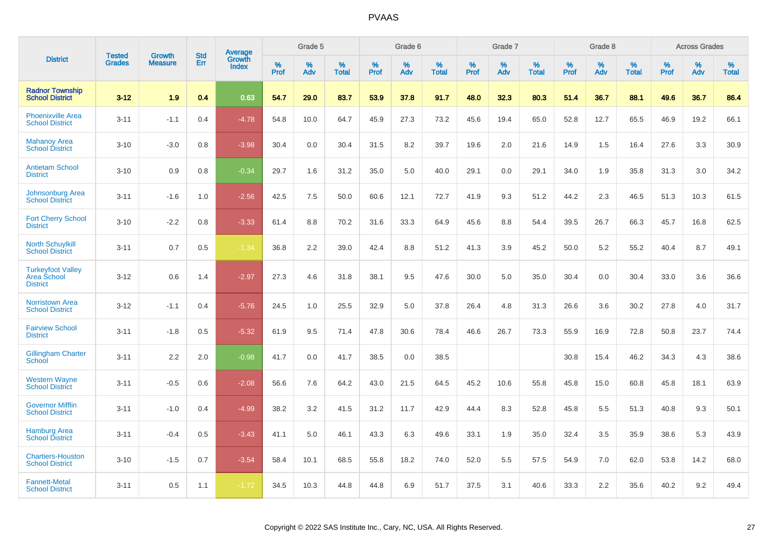|                                                            |                                |                                 | <b>Std</b> | Average                |              | Grade 5  |                      |                     | Grade 6     |                      |              | Grade 7     |                   |              | Grade 8     |                      |                     | <b>Across Grades</b> |                      |
|------------------------------------------------------------|--------------------------------|---------------------------------|------------|------------------------|--------------|----------|----------------------|---------------------|-------------|----------------------|--------------|-------------|-------------------|--------------|-------------|----------------------|---------------------|----------------------|----------------------|
| <b>District</b>                                            | <b>Tested</b><br><b>Grades</b> | <b>Growth</b><br><b>Measure</b> | Err        | Growth<br><b>Index</b> | $\%$<br>Prof | %<br>Adv | $\%$<br><b>Total</b> | $\%$<br><b>Prof</b> | $\%$<br>Adv | $\%$<br><b>Total</b> | $\%$<br>Prof | $\%$<br>Adv | %<br><b>Total</b> | $\%$<br>Prof | $\%$<br>Adv | $\%$<br><b>Total</b> | $\%$<br><b>Prof</b> | $\%$<br>Adv          | $\%$<br><b>Total</b> |
| <b>Radnor Township</b><br><b>School District</b>           | $3 - 12$                       | 1.9                             | 0.4        | 0.63                   | 54.7         | 29.0     | 83.7                 | 53.9                | 37.8        | 91.7                 | 48.0         | 32.3        | 80.3              | 51.4         | 36.7        | 88.1                 | 49.6                | 36.7                 | 86.4                 |
| <b>Phoenixville Area</b><br><b>School District</b>         | $3 - 11$                       | $-1.1$                          | 0.4        | $-4.78$                | 54.8         | 10.0     | 64.7                 | 45.9                | 27.3        | 73.2                 | 45.6         | 19.4        | 65.0              | 52.8         | 12.7        | 65.5                 | 46.9                | 19.2                 | 66.1                 |
| <b>Mahanoy Area</b><br><b>School District</b>              | $3 - 10$                       | $-3.0$                          | 0.8        | $-3.98$                | 30.4         | 0.0      | 30.4                 | 31.5                | 8.2         | 39.7                 | 19.6         | 2.0         | 21.6              | 14.9         | 1.5         | 16.4                 | 27.6                | 3.3                  | 30.9                 |
| <b>Antietam School</b><br><b>District</b>                  | $3 - 10$                       | 0.9                             | 0.8        | $-0.34$                | 29.7         | 1.6      | 31.2                 | 35.0                | 5.0         | 40.0                 | 29.1         | 0.0         | 29.1              | 34.0         | 1.9         | 35.8                 | 31.3                | 3.0                  | 34.2                 |
| <b>Johnsonburg Area</b><br><b>School District</b>          | $3 - 11$                       | $-1.6$                          | 1.0        | $-2.56$                | 42.5         | 7.5      | 50.0                 | 60.6                | 12.1        | 72.7                 | 41.9         | 9.3         | 51.2              | 44.2         | 2.3         | 46.5                 | 51.3                | 10.3                 | 61.5                 |
| <b>Fort Cherry School</b><br><b>District</b>               | $3 - 10$                       | $-2.2$                          | 0.8        | $-3.33$                | 61.4         | 8.8      | 70.2                 | 31.6                | 33.3        | 64.9                 | 45.6         | 8.8         | 54.4              | 39.5         | 26.7        | 66.3                 | 45.7                | 16.8                 | 62.5                 |
| <b>North Schuylkill</b><br><b>School District</b>          | $3 - 11$                       | 0.7                             | 0.5        | $-1.34$                | 36.8         | 2.2      | 39.0                 | 42.4                | 8.8         | 51.2                 | 41.3         | 3.9         | 45.2              | 50.0         | 5.2         | 55.2                 | 40.4                | 8.7                  | 49.1                 |
| <b>Turkeyfoot Valley</b><br>Area School<br><b>District</b> | $3 - 12$                       | 0.6                             | 1.4        | $-2.97$                | 27.3         | 4.6      | 31.8                 | 38.1                | 9.5         | 47.6                 | 30.0         | 5.0         | 35.0              | 30.4         | 0.0         | 30.4                 | 33.0                | 3.6                  | 36.6                 |
| <b>Norristown Area</b><br><b>School District</b>           | $3 - 12$                       | $-1.1$                          | 0.4        | $-5.76$                | 24.5         | 1.0      | 25.5                 | 32.9                | 5.0         | 37.8                 | 26.4         | 4.8         | 31.3              | 26.6         | 3.6         | 30.2                 | 27.8                | 4.0                  | 31.7                 |
| <b>Fairview School</b><br><b>District</b>                  | $3 - 11$                       | $-1.8$                          | 0.5        | $-5.32$                | 61.9         | 9.5      | 71.4                 | 47.8                | 30.6        | 78.4                 | 46.6         | 26.7        | 73.3              | 55.9         | 16.9        | 72.8                 | 50.8                | 23.7                 | 74.4                 |
| <b>Gillingham Charter</b><br>School                        | $3 - 11$                       | 2.2                             | 2.0        | $-0.98$                | 41.7         | 0.0      | 41.7                 | 38.5                | 0.0         | 38.5                 |              |             |                   | 30.8         | 15.4        | 46.2                 | 34.3                | 4.3                  | 38.6                 |
| <b>Western Wayne</b><br><b>School District</b>             | $3 - 11$                       | $-0.5$                          | 0.6        | $-2.08$                | 56.6         | 7.6      | 64.2                 | 43.0                | 21.5        | 64.5                 | 45.2         | 10.6        | 55.8              | 45.8         | 15.0        | 60.8                 | 45.8                | 18.1                 | 63.9                 |
| <b>Governor Mifflin</b><br><b>School District</b>          | $3 - 11$                       | $-1.0$                          | 0.4        | $-4.99$                | 38.2         | 3.2      | 41.5                 | 31.2                | 11.7        | 42.9                 | 44.4         | 8.3         | 52.8              | 45.8         | 5.5         | 51.3                 | 40.8                | 9.3                  | 50.1                 |
| <b>Hamburg Area</b><br><b>School District</b>              | $3 - 11$                       | $-0.4$                          | 0.5        | $-3.43$                | 41.1         | 5.0      | 46.1                 | 43.3                | 6.3         | 49.6                 | 33.1         | 1.9         | 35.0              | 32.4         | 3.5         | 35.9                 | 38.6                | 5.3                  | 43.9                 |
| <b>Chartiers-Houston</b><br><b>School District</b>         | $3 - 10$                       | $-1.5$                          | 0.7        | $-3.54$                | 58.4         | 10.1     | 68.5                 | 55.8                | 18.2        | 74.0                 | 52.0         | 5.5         | 57.5              | 54.9         | 7.0         | 62.0                 | 53.8                | 14.2                 | 68.0                 |
| <b>Fannett-Metal</b><br><b>School District</b>             | $3 - 11$                       | 0.5                             | 1.1        | $-1.72$                | 34.5         | 10.3     | 44.8                 | 44.8                | 6.9         | 51.7                 | 37.5         | 3.1         | 40.6              | 33.3         | 2.2         | 35.6                 | 40.2                | 9.2                  | 49.4                 |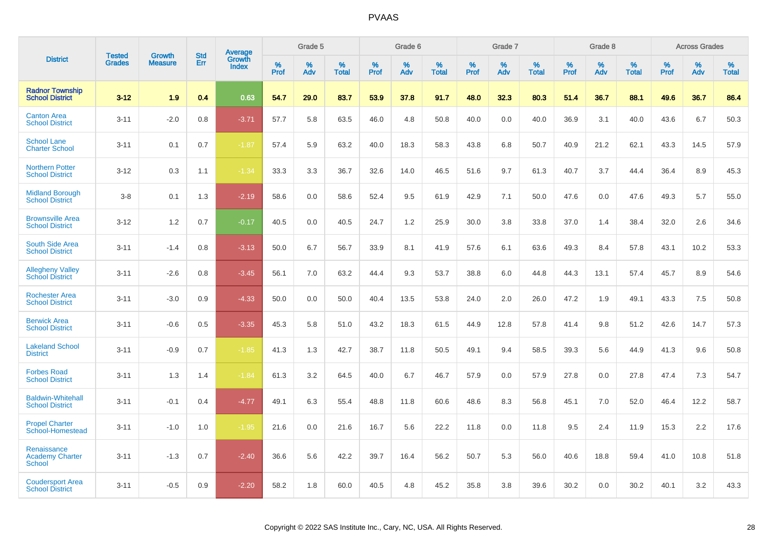|                                                        | <b>Tested</b> | <b>Growth</b>  | <b>Std</b> | Average         |              | Grade 5  |                   |              | Grade 6  |                   |              | Grade 7  |                   |              | Grade 8  |                   |              | <b>Across Grades</b> |                   |
|--------------------------------------------------------|---------------|----------------|------------|-----------------|--------------|----------|-------------------|--------------|----------|-------------------|--------------|----------|-------------------|--------------|----------|-------------------|--------------|----------------------|-------------------|
| <b>District</b>                                        | <b>Grades</b> | <b>Measure</b> | Err        | Growth<br>Index | $\%$<br>Prof | %<br>Adv | %<br><b>Total</b> | $\%$<br>Prof | %<br>Adv | %<br><b>Total</b> | $\%$<br>Prof | %<br>Adv | %<br><b>Total</b> | $\%$<br>Prof | %<br>Adv | %<br><b>Total</b> | $\%$<br>Prof | %<br>Adv             | %<br><b>Total</b> |
| <b>Radnor Township</b><br><b>School District</b>       | $3 - 12$      | 1.9            | 0.4        | 0.63            | 54.7         | 29.0     | 83.7              | 53.9         | 37.8     | 91.7              | 48.0         | 32.3     | 80.3              | 51.4         | 36.7     | 88.1              | 49.6         | 36.7                 | 86.4              |
| <b>Canton Area</b><br><b>School District</b>           | $3 - 11$      | $-2.0$         | 0.8        | $-3.71$         | 57.7         | 5.8      | 63.5              | 46.0         | 4.8      | 50.8              | 40.0         | 0.0      | 40.0              | 36.9         | 3.1      | 40.0              | 43.6         | 6.7                  | 50.3              |
| <b>School Lane</b><br><b>Charter School</b>            | $3 - 11$      | 0.1            | 0.7        | $-1.87$         | 57.4         | 5.9      | 63.2              | 40.0         | 18.3     | 58.3              | 43.8         | 6.8      | 50.7              | 40.9         | 21.2     | 62.1              | 43.3         | 14.5                 | 57.9              |
| <b>Northern Potter</b><br><b>School District</b>       | $3 - 12$      | 0.3            | 1.1        | $-1.34$         | 33.3         | 3.3      | 36.7              | 32.6         | 14.0     | 46.5              | 51.6         | 9.7      | 61.3              | 40.7         | 3.7      | 44.4              | 36.4         | 8.9                  | 45.3              |
| <b>Midland Borough</b><br><b>School District</b>       | $3 - 8$       | 0.1            | 1.3        | $-2.19$         | 58.6         | 0.0      | 58.6              | 52.4         | 9.5      | 61.9              | 42.9         | 7.1      | 50.0              | 47.6         | 0.0      | 47.6              | 49.3         | 5.7                  | 55.0              |
| <b>Brownsville Area</b><br><b>School District</b>      | $3 - 12$      | 1.2            | 0.7        | $-0.17$         | 40.5         | 0.0      | 40.5              | 24.7         | 1.2      | 25.9              | 30.0         | 3.8      | 33.8              | 37.0         | 1.4      | 38.4              | 32.0         | 2.6                  | 34.6              |
| <b>South Side Area</b><br><b>School District</b>       | $3 - 11$      | $-1.4$         | 0.8        | $-3.13$         | 50.0         | 6.7      | 56.7              | 33.9         | 8.1      | 41.9              | 57.6         | 6.1      | 63.6              | 49.3         | 8.4      | 57.8              | 43.1         | 10.2                 | 53.3              |
| <b>Allegheny Valley</b><br><b>School District</b>      | $3 - 11$      | $-2.6$         | 0.8        | $-3.45$         | 56.1         | 7.0      | 63.2              | 44.4         | 9.3      | 53.7              | 38.8         | 6.0      | 44.8              | 44.3         | 13.1     | 57.4              | 45.7         | 8.9                  | 54.6              |
| <b>Rochester Area</b><br><b>School District</b>        | $3 - 11$      | $-3.0$         | 0.9        | $-4.33$         | 50.0         | 0.0      | 50.0              | 40.4         | 13.5     | 53.8              | 24.0         | 2.0      | 26.0              | 47.2         | 1.9      | 49.1              | 43.3         | 7.5                  | 50.8              |
| <b>Berwick Area</b><br><b>School District</b>          | $3 - 11$      | $-0.6$         | 0.5        | $-3.35$         | 45.3         | 5.8      | 51.0              | 43.2         | 18.3     | 61.5              | 44.9         | 12.8     | 57.8              | 41.4         | 9.8      | 51.2              | 42.6         | 14.7                 | 57.3              |
| <b>Lakeland School</b><br><b>District</b>              | $3 - 11$      | $-0.9$         | 0.7        | $-1.85$         | 41.3         | 1.3      | 42.7              | 38.7         | 11.8     | 50.5              | 49.1         | 9.4      | 58.5              | 39.3         | 5.6      | 44.9              | 41.3         | 9.6                  | 50.8              |
| <b>Forbes Road</b><br><b>School District</b>           | $3 - 11$      | 1.3            | 1.4        | $-1.84$         | 61.3         | 3.2      | 64.5              | 40.0         | 6.7      | 46.7              | 57.9         | 0.0      | 57.9              | 27.8         | 0.0      | 27.8              | 47.4         | 7.3                  | 54.7              |
| <b>Baldwin-Whitehall</b><br><b>School District</b>     | $3 - 11$      | $-0.1$         | 0.4        | $-4.77$         | 49.1         | 6.3      | 55.4              | 48.8         | 11.8     | 60.6              | 48.6         | 8.3      | 56.8              | 45.1         | 7.0      | 52.0              | 46.4         | 12.2                 | 58.7              |
| <b>Propel Charter</b><br>School-Homestead              | $3 - 11$      | $-1.0$         | 1.0        | $-1.95$         | 21.6         | 0.0      | 21.6              | 16.7         | 5.6      | 22.2              | 11.8         | 0.0      | 11.8              | 9.5          | 2.4      | 11.9              | 15.3         | 2.2                  | 17.6              |
| Renaissance<br><b>Academy Charter</b><br><b>School</b> | $3 - 11$      | $-1.3$         | 0.7        | $-2.40$         | 36.6         | 5.6      | 42.2              | 39.7         | 16.4     | 56.2              | 50.7         | 5.3      | 56.0              | 40.6         | 18.8     | 59.4              | 41.0         | 10.8                 | 51.8              |
| <b>Coudersport Area</b><br><b>School District</b>      | $3 - 11$      | $-0.5$         | 0.9        | $-2.20$         | 58.2         | 1.8      | 60.0              | 40.5         | 4.8      | 45.2              | 35.8         | 3.8      | 39.6              | 30.2         | 0.0      | 30.2              | 40.1         | 3.2                  | 43.3              |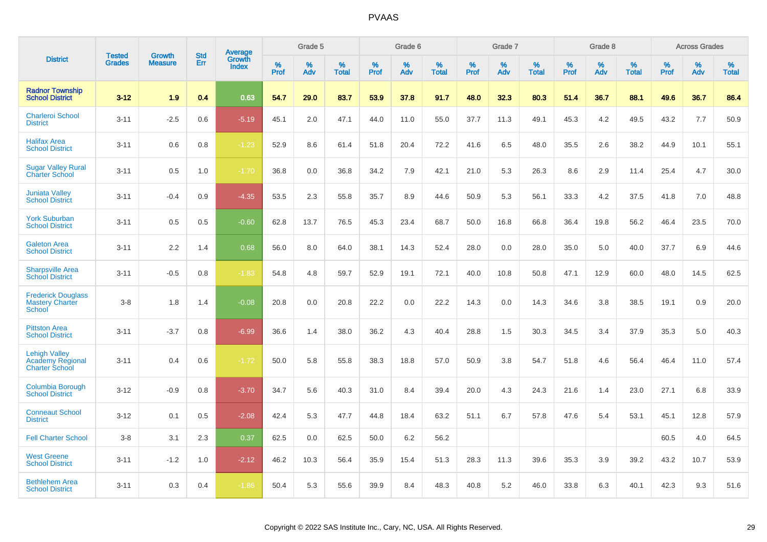|                                                                   |                                |                          | <b>Std</b> | Average                |                     | Grade 5  |                      |              | Grade 6     |                      |              | Grade 7  |                      |              | Grade 8     |                      |              | <b>Across Grades</b> |                      |
|-------------------------------------------------------------------|--------------------------------|--------------------------|------------|------------------------|---------------------|----------|----------------------|--------------|-------------|----------------------|--------------|----------|----------------------|--------------|-------------|----------------------|--------------|----------------------|----------------------|
| <b>District</b>                                                   | <b>Tested</b><br><b>Grades</b> | Growth<br><b>Measure</b> | Err        | Growth<br><b>Index</b> | $\%$<br><b>Prof</b> | %<br>Adv | $\%$<br><b>Total</b> | $\%$<br>Prof | $\%$<br>Adv | $\%$<br><b>Total</b> | $\%$<br>Prof | %<br>Adv | $\%$<br><b>Total</b> | $\%$<br>Prof | $\%$<br>Adv | $\%$<br><b>Total</b> | $\%$<br>Prof | $\%$<br>Adv          | $\%$<br><b>Total</b> |
| <b>Radnor Township</b><br><b>School District</b>                  | $3 - 12$                       | 1.9                      | 0.4        | 0.63                   | 54.7                | 29.0     | 83.7                 | 53.9         | 37.8        | 91.7                 | 48.0         | 32.3     | 80.3                 | 51.4         | 36.7        | 88.1                 | 49.6         | 36.7                 | 86.4                 |
| <b>Charleroi School</b><br><b>District</b>                        | $3 - 11$                       | $-2.5$                   | 0.6        | $-5.19$                | 45.1                | 2.0      | 47.1                 | 44.0         | 11.0        | 55.0                 | 37.7         | 11.3     | 49.1                 | 45.3         | 4.2         | 49.5                 | 43.2         | 7.7                  | 50.9                 |
| <b>Halifax Area</b><br><b>School District</b>                     | $3 - 11$                       | 0.6                      | 0.8        | $-1.23$                | 52.9                | 8.6      | 61.4                 | 51.8         | 20.4        | 72.2                 | 41.6         | 6.5      | 48.0                 | 35.5         | 2.6         | 38.2                 | 44.9         | 10.1                 | 55.1                 |
| <b>Sugar Valley Rural</b><br><b>Charter School</b>                | $3 - 11$                       | 0.5                      | 1.0        | $-1.70$                | 36.8                | 0.0      | 36.8                 | 34.2         | 7.9         | 42.1                 | 21.0         | 5.3      | 26.3                 | 8.6          | 2.9         | 11.4                 | 25.4         | 4.7                  | 30.0                 |
| <b>Juniata Valley</b><br><b>School District</b>                   | $3 - 11$                       | $-0.4$                   | 0.9        | $-4.35$                | 53.5                | 2.3      | 55.8                 | 35.7         | 8.9         | 44.6                 | 50.9         | 5.3      | 56.1                 | 33.3         | 4.2         | 37.5                 | 41.8         | 7.0                  | 48.8                 |
| <b>York Suburban</b><br><b>School District</b>                    | $3 - 11$                       | 0.5                      | 0.5        | $-0.60$                | 62.8                | 13.7     | 76.5                 | 45.3         | 23.4        | 68.7                 | 50.0         | 16.8     | 66.8                 | 36.4         | 19.8        | 56.2                 | 46.4         | 23.5                 | 70.0                 |
| <b>Galeton Area</b><br><b>School District</b>                     | $3 - 11$                       | 2.2                      | 1.4        | 0.68                   | 56.0                | 8.0      | 64.0                 | 38.1         | 14.3        | 52.4                 | 28.0         | 0.0      | 28.0                 | 35.0         | 5.0         | 40.0                 | 37.7         | 6.9                  | 44.6                 |
| <b>Sharpsville Area</b><br><b>School District</b>                 | $3 - 11$                       | $-0.5$                   | 0.8        | $-1.83$                | 54.8                | 4.8      | 59.7                 | 52.9         | 19.1        | 72.1                 | 40.0         | 10.8     | 50.8                 | 47.1         | 12.9        | 60.0                 | 48.0         | 14.5                 | 62.5                 |
| <b>Frederick Douglass</b><br><b>Mastery Charter</b><br>School     | $3 - 8$                        | 1.8                      | 1.4        | $-0.08$                | 20.8                | 0.0      | 20.8                 | 22.2         | 0.0         | 22.2                 | 14.3         | 0.0      | 14.3                 | 34.6         | 3.8         | 38.5                 | 19.1         | 0.9                  | 20.0                 |
| <b>Pittston Area</b><br><b>School District</b>                    | $3 - 11$                       | $-3.7$                   | 0.8        | $-6.99$                | 36.6                | 1.4      | 38.0                 | 36.2         | 4.3         | 40.4                 | 28.8         | 1.5      | 30.3                 | 34.5         | 3.4         | 37.9                 | 35.3         | 5.0                  | 40.3                 |
| <b>Lehigh Valley</b><br>Academy Regional<br><b>Charter School</b> | $3 - 11$                       | 0.4                      | 0.6        | $-1.72$                | 50.0                | 5.8      | 55.8                 | 38.3         | 18.8        | 57.0                 | 50.9         | 3.8      | 54.7                 | 51.8         | 4.6         | 56.4                 | 46.4         | 11.0                 | 57.4                 |
| <b>Columbia Borough</b><br><b>School District</b>                 | $3 - 12$                       | $-0.9$                   | 0.8        | $-3.70$                | 34.7                | 5.6      | 40.3                 | 31.0         | 8.4         | 39.4                 | 20.0         | 4.3      | 24.3                 | 21.6         | 1.4         | 23.0                 | 27.1         | 6.8                  | 33.9                 |
| <b>Conneaut School</b><br><b>District</b>                         | $3 - 12$                       | 0.1                      | 0.5        | $-2.08$                | 42.4                | 5.3      | 47.7                 | 44.8         | 18.4        | 63.2                 | 51.1         | 6.7      | 57.8                 | 47.6         | 5.4         | 53.1                 | 45.1         | 12.8                 | 57.9                 |
| <b>Fell Charter School</b>                                        | $3 - 8$                        | 3.1                      | 2.3        | 0.37                   | 62.5                | 0.0      | 62.5                 | 50.0         | 6.2         | 56.2                 |              |          |                      |              |             |                      | 60.5         | 4.0                  | 64.5                 |
| <b>West Greene</b><br><b>School District</b>                      | $3 - 11$                       | $-1.2$                   | 1.0        | $-2.12$                | 46.2                | 10.3     | 56.4                 | 35.9         | 15.4        | 51.3                 | 28.3         | 11.3     | 39.6                 | 35.3         | 3.9         | 39.2                 | 43.2         | 10.7                 | 53.9                 |
| <b>Bethlehem Area</b><br><b>School District</b>                   | $3 - 11$                       | 0.3                      | 0.4        | $-1.86$                | 50.4                | 5.3      | 55.6                 | 39.9         | 8.4         | 48.3                 | 40.8         | 5.2      | 46.0                 | 33.8         | 6.3         | 40.1                 | 42.3         | 9.3                  | 51.6                 |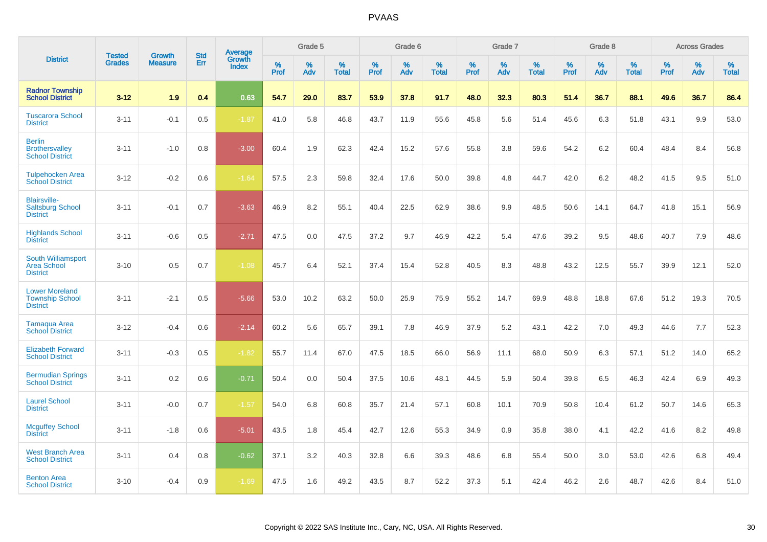|                                                                    |                                | <b>Growth</b>  | <b>Std</b> | Average                |              | Grade 5  |                   |           | Grade 6  |                   |              | Grade 7  |                   |              | Grade 8  |                   |              | <b>Across Grades</b> |                   |
|--------------------------------------------------------------------|--------------------------------|----------------|------------|------------------------|--------------|----------|-------------------|-----------|----------|-------------------|--------------|----------|-------------------|--------------|----------|-------------------|--------------|----------------------|-------------------|
| <b>District</b>                                                    | <b>Tested</b><br><b>Grades</b> | <b>Measure</b> | Err        | Growth<br><b>Index</b> | $\%$<br>Prof | %<br>Adv | %<br><b>Total</b> | %<br>Prof | %<br>Adv | %<br><b>Total</b> | $\%$<br>Prof | %<br>Adv | %<br><b>Total</b> | $\%$<br>Prof | %<br>Adv | %<br><b>Total</b> | $\%$<br>Prof | %<br>Adv             | %<br><b>Total</b> |
| <b>Radnor Township</b><br><b>School District</b>                   | $3 - 12$                       | 1.9            | 0.4        | 0.63                   | 54.7         | 29.0     | 83.7              | 53.9      | 37.8     | 91.7              | 48.0         | 32.3     | 80.3              | 51.4         | 36.7     | 88.1              | 49.6         | 36.7                 | 86.4              |
| <b>Tuscarora School</b><br><b>District</b>                         | $3 - 11$                       | $-0.1$         | 0.5        | $-1.87$                | 41.0         | 5.8      | 46.8              | 43.7      | 11.9     | 55.6              | 45.8         | 5.6      | 51.4              | 45.6         | 6.3      | 51.8              | 43.1         | 9.9                  | 53.0              |
| <b>Berlin</b><br><b>Brothersvalley</b><br><b>School District</b>   | $3 - 11$                       | $-1.0$         | 0.8        | $-3.00$                | 60.4         | 1.9      | 62.3              | 42.4      | 15.2     | 57.6              | 55.8         | 3.8      | 59.6              | 54.2         | 6.2      | 60.4              | 48.4         | 8.4                  | 56.8              |
| <b>Tulpehocken Area</b><br><b>School District</b>                  | $3 - 12$                       | $-0.2$         | 0.6        | $-1.64$                | 57.5         | 2.3      | 59.8              | 32.4      | 17.6     | 50.0              | 39.8         | 4.8      | 44.7              | 42.0         | 6.2      | 48.2              | 41.5         | 9.5                  | 51.0              |
| <b>Blairsville-</b><br><b>Saltsburg School</b><br><b>District</b>  | $3 - 11$                       | $-0.1$         | 0.7        | $-3.63$                | 46.9         | 8.2      | 55.1              | 40.4      | 22.5     | 62.9              | 38.6         | 9.9      | 48.5              | 50.6         | 14.1     | 64.7              | 41.8         | 15.1                 | 56.9              |
| <b>Highlands School</b><br><b>District</b>                         | $3 - 11$                       | $-0.6$         | 0.5        | $-2.71$                | 47.5         | 0.0      | 47.5              | 37.2      | 9.7      | 46.9              | 42.2         | 5.4      | 47.6              | 39.2         | 9.5      | 48.6              | 40.7         | 7.9                  | 48.6              |
| South Williamsport<br><b>Area School</b><br><b>District</b>        | $3 - 10$                       | 0.5            | 0.7        | $-1.08$                | 45.7         | 6.4      | 52.1              | 37.4      | 15.4     | 52.8              | 40.5         | 8.3      | 48.8              | 43.2         | 12.5     | 55.7              | 39.9         | 12.1                 | 52.0              |
| <b>Lower Moreland</b><br><b>Township School</b><br><b>District</b> | $3 - 11$                       | $-2.1$         | 0.5        | $-5.66$                | 53.0         | 10.2     | 63.2              | 50.0      | 25.9     | 75.9              | 55.2         | 14.7     | 69.9              | 48.8         | 18.8     | 67.6              | 51.2         | 19.3                 | 70.5              |
| Tamaqua Area<br><b>School District</b>                             | $3 - 12$                       | $-0.4$         | 0.6        | $-2.14$                | 60.2         | 5.6      | 65.7              | 39.1      | 7.8      | 46.9              | 37.9         | 5.2      | 43.1              | 42.2         | 7.0      | 49.3              | 44.6         | 7.7                  | 52.3              |
| <b>Elizabeth Forward</b><br><b>School District</b>                 | $3 - 11$                       | $-0.3$         | 0.5        | $-1.82$                | 55.7         | 11.4     | 67.0              | 47.5      | 18.5     | 66.0              | 56.9         | 11.1     | 68.0              | 50.9         | 6.3      | 57.1              | 51.2         | 14.0                 | 65.2              |
| <b>Bermudian Springs</b><br><b>School District</b>                 | $3 - 11$                       | $0.2\,$        | 0.6        | $-0.71$                | 50.4         | 0.0      | 50.4              | 37.5      | 10.6     | 48.1              | 44.5         | 5.9      | 50.4              | 39.8         | 6.5      | 46.3              | 42.4         | 6.9                  | 49.3              |
| <b>Laurel School</b><br><b>District</b>                            | $3 - 11$                       | $-0.0$         | 0.7        | $-1.57$                | 54.0         | 6.8      | 60.8              | 35.7      | 21.4     | 57.1              | 60.8         | 10.1     | 70.9              | 50.8         | 10.4     | 61.2              | 50.7         | 14.6                 | 65.3              |
| <b>Mcguffey School</b><br><b>District</b>                          | $3 - 11$                       | $-1.8$         | 0.6        | $-5.01$                | 43.5         | 1.8      | 45.4              | 42.7      | 12.6     | 55.3              | 34.9         | 0.9      | 35.8              | 38.0         | 4.1      | 42.2              | 41.6         | 8.2                  | 49.8              |
| <b>West Branch Area</b><br><b>School District</b>                  | $3 - 11$                       | 0.4            | 0.8        | $-0.62$                | 37.1         | 3.2      | 40.3              | 32.8      | 6.6      | 39.3              | 48.6         | 6.8      | 55.4              | 50.0         | 3.0      | 53.0              | 42.6         | 6.8                  | 49.4              |
| <b>Benton Area</b><br><b>School District</b>                       | $3 - 10$                       | $-0.4$         | 0.9        | $-1.69$                | 47.5         | 1.6      | 49.2              | 43.5      | 8.7      | 52.2              | 37.3         | 5.1      | 42.4              | 46.2         | 2.6      | 48.7              | 42.6         | 8.4                  | 51.0              |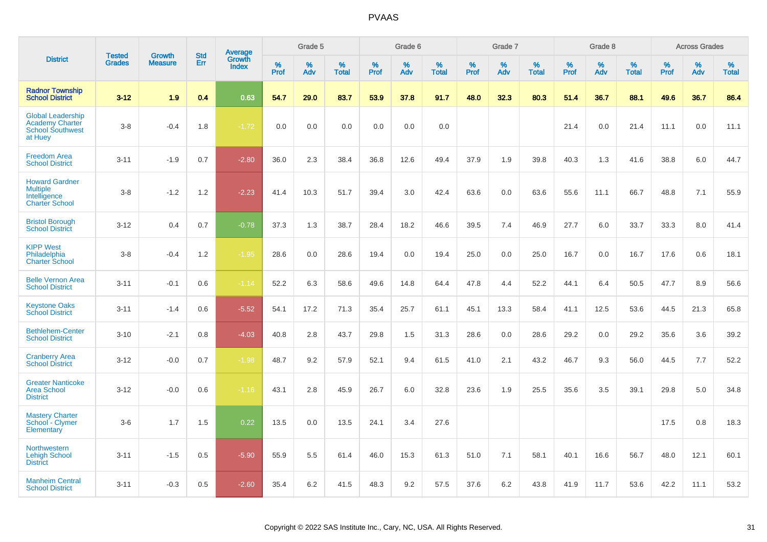|                                                                                          | <b>Tested</b> | <b>Growth</b>  | <b>Std</b> |                                   |              | Grade 5  |                   |              | Grade 6  |                   |              | Grade 7  |                   |              | Grade 8  |                   |           | <b>Across Grades</b> |                   |
|------------------------------------------------------------------------------------------|---------------|----------------|------------|-----------------------------------|--------------|----------|-------------------|--------------|----------|-------------------|--------------|----------|-------------------|--------------|----------|-------------------|-----------|----------------------|-------------------|
| <b>District</b>                                                                          | <b>Grades</b> | <b>Measure</b> | Err        | Average<br>Growth<br><b>Index</b> | $\%$<br>Prof | %<br>Adv | %<br><b>Total</b> | $\%$<br>Prof | %<br>Adv | %<br><b>Total</b> | $\%$<br>Prof | %<br>Adv | %<br><b>Total</b> | $\%$<br>Prof | %<br>Adv | %<br><b>Total</b> | %<br>Prof | %<br>Adv             | %<br><b>Total</b> |
| <b>Radnor Township</b><br><b>School District</b>                                         | $3 - 12$      | 1.9            | 0.4        | 0.63                              | 54.7         | 29.0     | 83.7              | 53.9         | 37.8     | 91.7              | 48.0         | 32.3     | 80.3              | 51.4         | 36.7     | 88.1              | 49.6      | 36.7                 | 86.4              |
| <b>Global Leadership</b><br><b>Academy Charter</b><br><b>School Southwest</b><br>at Huey | $3-8$         | $-0.4$         | 1.8        | $-1.72$                           | 0.0          | 0.0      | 0.0               | 0.0          | 0.0      | 0.0               |              |          |                   | 21.4         | 0.0      | 21.4              | 11.1      | 0.0                  | 11.1              |
| <b>Freedom Area</b><br><b>School District</b>                                            | $3 - 11$      | $-1.9$         | 0.7        | $-2.80$                           | 36.0         | 2.3      | 38.4              | 36.8         | 12.6     | 49.4              | 37.9         | 1.9      | 39.8              | 40.3         | 1.3      | 41.6              | 38.8      | 6.0                  | 44.7              |
| <b>Howard Gardner</b><br><b>Multiple</b><br>Intelligence<br><b>Charter School</b>        | $3 - 8$       | $-1.2$         | 1.2        | $-2.23$                           | 41.4         | 10.3     | 51.7              | 39.4         | 3.0      | 42.4              | 63.6         | 0.0      | 63.6              | 55.6         | 11.1     | 66.7              | 48.8      | 7.1                  | 55.9              |
| <b>Bristol Borough</b><br><b>School District</b>                                         | $3 - 12$      | 0.4            | 0.7        | $-0.78$                           | 37.3         | 1.3      | 38.7              | 28.4         | 18.2     | 46.6              | 39.5         | 7.4      | 46.9              | 27.7         | 6.0      | 33.7              | 33.3      | 8.0                  | 41.4              |
| <b>KIPP West</b><br>Philadelphia<br><b>Charter School</b>                                | $3-8$         | $-0.4$         | 1.2        | $-1.95$                           | 28.6         | 0.0      | 28.6              | 19.4         | 0.0      | 19.4              | 25.0         | 0.0      | 25.0              | 16.7         | 0.0      | 16.7              | 17.6      | 0.6                  | 18.1              |
| <b>Belle Vernon Area</b><br><b>School District</b>                                       | $3 - 11$      | $-0.1$         | 0.6        | $-1.14$                           | 52.2         | 6.3      | 58.6              | 49.6         | 14.8     | 64.4              | 47.8         | 4.4      | 52.2              | 44.1         | 6.4      | 50.5              | 47.7      | 8.9                  | 56.6              |
| <b>Keystone Oaks</b><br><b>School District</b>                                           | $3 - 11$      | $-1.4$         | 0.6        | $-5.52$                           | 54.1         | 17.2     | 71.3              | 35.4         | 25.7     | 61.1              | 45.1         | 13.3     | 58.4              | 41.1         | 12.5     | 53.6              | 44.5      | 21.3                 | 65.8              |
| <b>Bethlehem-Center</b><br><b>School District</b>                                        | $3 - 10$      | $-2.1$         | 0.8        | $-4.03$                           | 40.8         | 2.8      | 43.7              | 29.8         | 1.5      | 31.3              | 28.6         | 0.0      | 28.6              | 29.2         | 0.0      | 29.2              | 35.6      | 3.6                  | 39.2              |
| <b>Cranberry Area</b><br><b>School District</b>                                          | $3 - 12$      | $-0.0$         | 0.7        | $-1.98$                           | 48.7         | 9.2      | 57.9              | 52.1         | 9.4      | 61.5              | 41.0         | 2.1      | 43.2              | 46.7         | 9.3      | 56.0              | 44.5      | 7.7                  | 52.2              |
| <b>Greater Nanticoke</b><br>Area School<br><b>District</b>                               | $3 - 12$      | $-0.0$         | 0.6        | $-1.16$                           | 43.1         | 2.8      | 45.9              | 26.7         | 6.0      | 32.8              | 23.6         | 1.9      | 25.5              | 35.6         | 3.5      | 39.1              | 29.8      | 5.0                  | 34.8              |
| <b>Mastery Charter</b><br>School - Clymer<br>Elementary                                  | $3-6$         | 1.7            | 1.5        | 0.22                              | 13.5         | 0.0      | 13.5              | 24.1         | 3.4      | 27.6              |              |          |                   |              |          |                   | 17.5      | 0.8                  | 18.3              |
| <b>Northwestern</b><br><b>Lehigh School</b><br><b>District</b>                           | $3 - 11$      | $-1.5$         | 0.5        | $-5.90$                           | 55.9         | 5.5      | 61.4              | 46.0         | 15.3     | 61.3              | 51.0         | 7.1      | 58.1              | 40.1         | 16.6     | 56.7              | 48.0      | 12.1                 | 60.1              |
| <b>Manheim Central</b><br><b>School District</b>                                         | $3 - 11$      | $-0.3$         | 0.5        | $-2.60$                           | 35.4         | 6.2      | 41.5              | 48.3         | 9.2      | 57.5              | 37.6         | 6.2      | 43.8              | 41.9         | 11.7     | 53.6              | 42.2      | 11.1                 | 53.2              |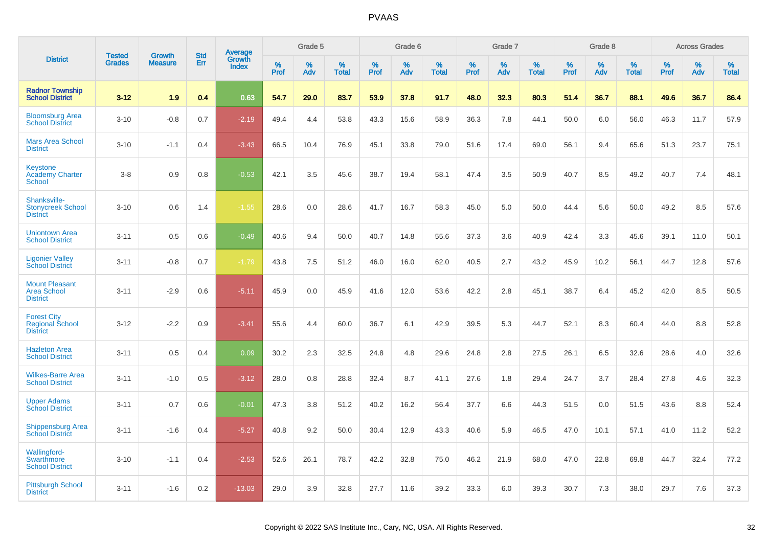|                                                                 | <b>Tested</b> | <b>Growth</b>  | <b>Std</b> |                                          |              | Grade 5  |                   |           | Grade 6  |                   |              | Grade 7  |                   |           | Grade 8  |                   |              | <b>Across Grades</b> |                   |
|-----------------------------------------------------------------|---------------|----------------|------------|------------------------------------------|--------------|----------|-------------------|-----------|----------|-------------------|--------------|----------|-------------------|-----------|----------|-------------------|--------------|----------------------|-------------------|
| <b>District</b>                                                 | <b>Grades</b> | <b>Measure</b> | <b>Err</b> | <b>Average</b><br>Growth<br><b>Index</b> | $\%$<br>Prof | %<br>Adv | %<br><b>Total</b> | %<br>Prof | %<br>Adv | %<br><b>Total</b> | $\%$<br>Prof | %<br>Adv | %<br><b>Total</b> | %<br>Prof | %<br>Adv | %<br><b>Total</b> | $\%$<br>Prof | %<br>Adv             | %<br><b>Total</b> |
| <b>Radnor Township</b><br><b>School District</b>                | $3 - 12$      | 1.9            | 0.4        | 0.63                                     | 54.7         | 29.0     | 83.7              | 53.9      | 37.8     | 91.7              | 48.0         | 32.3     | 80.3              | 51.4      | 36.7     | 88.1              | 49.6         | 36.7                 | 86.4              |
| <b>Bloomsburg Area</b><br><b>School District</b>                | $3 - 10$      | $-0.8$         | 0.7        | $-2.19$                                  | 49.4         | 4.4      | 53.8              | 43.3      | 15.6     | 58.9              | 36.3         | 7.8      | 44.1              | 50.0      | 6.0      | 56.0              | 46.3         | 11.7                 | 57.9              |
| <b>Mars Area School</b><br><b>District</b>                      | $3 - 10$      | $-1.1$         | 0.4        | $-3.43$                                  | 66.5         | 10.4     | 76.9              | 45.1      | 33.8     | 79.0              | 51.6         | 17.4     | 69.0              | 56.1      | 9.4      | 65.6              | 51.3         | 23.7                 | 75.1              |
| <b>Keystone</b><br><b>Academy Charter</b><br>School             | $3 - 8$       | 0.9            | 0.8        | $-0.53$                                  | 42.1         | 3.5      | 45.6              | 38.7      | 19.4     | 58.1              | 47.4         | 3.5      | 50.9              | 40.7      | 8.5      | 49.2              | 40.7         | 7.4                  | 48.1              |
| Shanksville-<br><b>Stonycreek School</b><br><b>District</b>     | $3 - 10$      | 0.6            | 1.4        | $-1.55$                                  | 28.6         | 0.0      | 28.6              | 41.7      | 16.7     | 58.3              | 45.0         | 5.0      | 50.0              | 44.4      | 5.6      | 50.0              | 49.2         | 8.5                  | 57.6              |
| <b>Uniontown Area</b><br><b>School District</b>                 | $3 - 11$      | 0.5            | 0.6        | $-0.49$                                  | 40.6         | 9.4      | 50.0              | 40.7      | 14.8     | 55.6              | 37.3         | 3.6      | 40.9              | 42.4      | 3.3      | 45.6              | 39.1         | 11.0                 | 50.1              |
| <b>Ligonier Valley</b><br><b>School District</b>                | $3 - 11$      | $-0.8$         | 0.7        | $-1.79$                                  | 43.8         | 7.5      | 51.2              | 46.0      | 16.0     | 62.0              | 40.5         | 2.7      | 43.2              | 45.9      | 10.2     | 56.1              | 44.7         | 12.8                 | 57.6              |
| <b>Mount Pleasant</b><br><b>Area School</b><br><b>District</b>  | $3 - 11$      | $-2.9$         | 0.6        | $-5.11$                                  | 45.9         | 0.0      | 45.9              | 41.6      | 12.0     | 53.6              | 42.2         | 2.8      | 45.1              | 38.7      | 6.4      | 45.2              | 42.0         | 8.5                  | 50.5              |
| <b>Forest City</b><br><b>Regional School</b><br><b>District</b> | $3 - 12$      | $-2.2$         | 0.9        | $-3.41$                                  | 55.6         | 4.4      | 60.0              | 36.7      | 6.1      | 42.9              | 39.5         | 5.3      | 44.7              | 52.1      | 8.3      | 60.4              | 44.0         | 8.8                  | 52.8              |
| <b>Hazleton Area</b><br><b>School District</b>                  | $3 - 11$      | 0.5            | 0.4        | 0.09                                     | 30.2         | 2.3      | 32.5              | 24.8      | 4.8      | 29.6              | 24.8         | 2.8      | 27.5              | 26.1      | 6.5      | 32.6              | 28.6         | 4.0                  | 32.6              |
| <b>Wilkes-Barre Area</b><br><b>School District</b>              | $3 - 11$      | $-1.0$         | 0.5        | $-3.12$                                  | 28.0         | 0.8      | 28.8              | 32.4      | 8.7      | 41.1              | 27.6         | 1.8      | 29.4              | 24.7      | 3.7      | 28.4              | 27.8         | 4.6                  | 32.3              |
| <b>Upper Adams</b><br><b>School District</b>                    | $3 - 11$      | 0.7            | 0.6        | $-0.01$                                  | 47.3         | 3.8      | 51.2              | 40.2      | 16.2     | 56.4              | 37.7         | 6.6      | 44.3              | 51.5      | 0.0      | 51.5              | 43.6         | 8.8                  | 52.4              |
| <b>Shippensburg Area</b><br><b>School District</b>              | $3 - 11$      | $-1.6$         | 0.4        | $-5.27$                                  | 40.8         | 9.2      | 50.0              | 30.4      | 12.9     | 43.3              | 40.6         | 5.9      | 46.5              | 47.0      | 10.1     | 57.1              | 41.0         | 11.2                 | 52.2              |
| <b>Wallingford-</b><br>Swarthmore<br><b>School District</b>     | $3 - 10$      | $-1.1$         | 0.4        | $-2.53$                                  | 52.6         | 26.1     | 78.7              | 42.2      | 32.8     | 75.0              | 46.2         | 21.9     | 68.0              | 47.0      | 22.8     | 69.8              | 44.7         | 32.4                 | 77.2              |
| <b>Pittsburgh School</b><br><b>District</b>                     | $3 - 11$      | $-1.6$         | 0.2        | $-13.03$                                 | 29.0         | 3.9      | 32.8              | 27.7      | 11.6     | 39.2              | 33.3         | 6.0      | 39.3              | 30.7      | 7.3      | 38.0              | 29.7         | 7.6                  | 37.3              |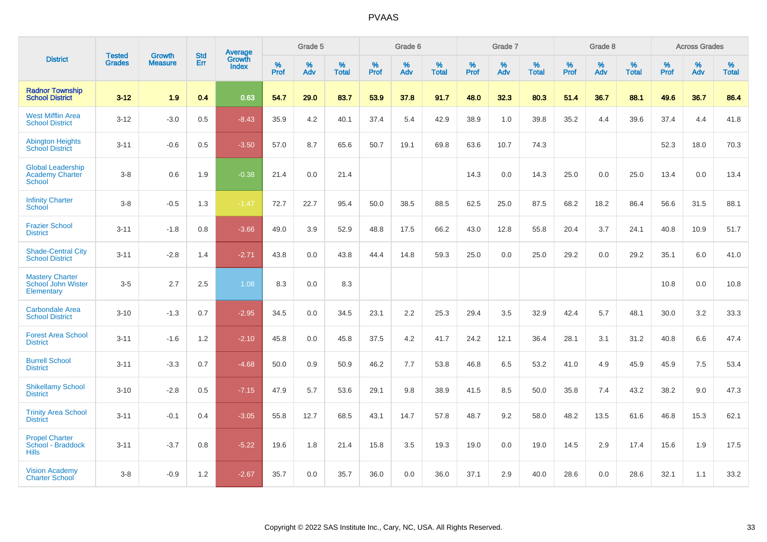|                                                                     | <b>Tested</b> | <b>Growth</b>  | <b>Std</b> | <b>Average</b>         |              | Grade 5  |                   |           | Grade 6  |                   |           | Grade 7  |                   |           | Grade 8  |                   |           | <b>Across Grades</b> |                   |
|---------------------------------------------------------------------|---------------|----------------|------------|------------------------|--------------|----------|-------------------|-----------|----------|-------------------|-----------|----------|-------------------|-----------|----------|-------------------|-----------|----------------------|-------------------|
| <b>District</b>                                                     | <b>Grades</b> | <b>Measure</b> | Err        | Growth<br><b>Index</b> | $\%$<br>Prof | %<br>Adv | %<br><b>Total</b> | %<br>Prof | %<br>Adv | %<br><b>Total</b> | %<br>Prof | %<br>Adv | %<br><b>Total</b> | %<br>Prof | %<br>Adv | %<br><b>Total</b> | %<br>Prof | %<br>Adv             | %<br><b>Total</b> |
| <b>Radnor Township</b><br><b>School District</b>                    | $3 - 12$      | 1.9            | 0.4        | 0.63                   | 54.7         | 29.0     | 83.7              | 53.9      | 37.8     | 91.7              | 48.0      | 32.3     | 80.3              | 51.4      | 36.7     | 88.1              | 49.6      | 36.7                 | 86.4              |
| <b>West Mifflin Area</b><br><b>School District</b>                  | $3 - 12$      | $-3.0$         | 0.5        | $-8.43$                | 35.9         | 4.2      | 40.1              | 37.4      | 5.4      | 42.9              | 38.9      | 1.0      | 39.8              | 35.2      | 4.4      | 39.6              | 37.4      | 4.4                  | 41.8              |
| <b>Abington Heights</b><br><b>School District</b>                   | $3 - 11$      | $-0.6$         | 0.5        | $-3.50$                | 57.0         | 8.7      | 65.6              | 50.7      | 19.1     | 69.8              | 63.6      | 10.7     | 74.3              |           |          |                   | 52.3      | 18.0                 | 70.3              |
| <b>Global Leadership</b><br><b>Academy Charter</b><br><b>School</b> | $3 - 8$       | 0.6            | 1.9        | $-0.38$                | 21.4         | 0.0      | 21.4              |           |          |                   | 14.3      | 0.0      | 14.3              | 25.0      | 0.0      | 25.0              | 13.4      | 0.0                  | 13.4              |
| <b>Infinity Charter</b><br>School                                   | $3-8$         | $-0.5$         | 1.3        | $-1.47$                | 72.7         | 22.7     | 95.4              | 50.0      | 38.5     | 88.5              | 62.5      | 25.0     | 87.5              | 68.2      | 18.2     | 86.4              | 56.6      | 31.5                 | 88.1              |
| <b>Frazier School</b><br><b>District</b>                            | $3 - 11$      | $-1.8$         | 0.8        | $-3.66$                | 49.0         | 3.9      | 52.9              | 48.8      | 17.5     | 66.2              | 43.0      | 12.8     | 55.8              | 20.4      | 3.7      | 24.1              | 40.8      | 10.9                 | 51.7              |
| <b>Shade-Central City</b><br><b>School District</b>                 | $3 - 11$      | $-2.8$         | 1.4        | $-2.71$                | 43.8         | 0.0      | 43.8              | 44.4      | 14.8     | 59.3              | 25.0      | 0.0      | 25.0              | 29.2      | 0.0      | 29.2              | 35.1      | 6.0                  | 41.0              |
| <b>Mastery Charter</b><br>School John Wister<br>Elementary          | $3-5$         | 2.7            | 2.5        | 1.08                   | 8.3          | 0.0      | 8.3               |           |          |                   |           |          |                   |           |          |                   | 10.8      | 0.0                  | 10.8              |
| <b>Carbondale Area</b><br><b>School District</b>                    | $3 - 10$      | $-1.3$         | 0.7        | $-2.95$                | 34.5         | 0.0      | 34.5              | 23.1      | 2.2      | 25.3              | 29.4      | 3.5      | 32.9              | 42.4      | 5.7      | 48.1              | 30.0      | 3.2                  | 33.3              |
| <b>Forest Area School</b><br><b>District</b>                        | $3 - 11$      | $-1.6$         | 1.2        | $-2.10$                | 45.8         | 0.0      | 45.8              | 37.5      | 4.2      | 41.7              | 24.2      | 12.1     | 36.4              | 28.1      | 3.1      | 31.2              | 40.8      | 6.6                  | 47.4              |
| <b>Burrell School</b><br><b>District</b>                            | $3 - 11$      | $-3.3$         | 0.7        | $-4.68$                | 50.0         | 0.9      | 50.9              | 46.2      | 7.7      | 53.8              | 46.8      | 6.5      | 53.2              | 41.0      | 4.9      | 45.9              | 45.9      | 7.5                  | 53.4              |
| <b>Shikellamy School</b><br><b>District</b>                         | $3 - 10$      | $-2.8$         | 0.5        | $-7.15$                | 47.9         | 5.7      | 53.6              | 29.1      | 9.8      | 38.9              | 41.5      | 8.5      | 50.0              | 35.8      | 7.4      | 43.2              | 38.2      | 9.0                  | 47.3              |
| <b>Trinity Area School</b><br><b>District</b>                       | $3 - 11$      | $-0.1$         | 0.4        | $-3.05$                | 55.8         | 12.7     | 68.5              | 43.1      | 14.7     | 57.8              | 48.7      | 9.2      | 58.0              | 48.2      | 13.5     | 61.6              | 46.8      | 15.3                 | 62.1              |
| <b>Propel Charter</b><br>School - Braddock<br><b>Hills</b>          | $3 - 11$      | $-3.7$         | 0.8        | $-5.22$                | 19.6         | 1.8      | 21.4              | 15.8      | 3.5      | 19.3              | 19.0      | 0.0      | 19.0              | 14.5      | 2.9      | 17.4              | 15.6      | 1.9                  | 17.5              |
| <b>Vision Academy</b><br><b>Charter School</b>                      | $3 - 8$       | $-0.9$         | 1.2        | $-2.67$                | 35.7         | 0.0      | 35.7              | 36.0      | 0.0      | 36.0              | 37.1      | 2.9      | 40.0              | 28.6      | 0.0      | 28.6              | 32.1      | 1.1                  | 33.2              |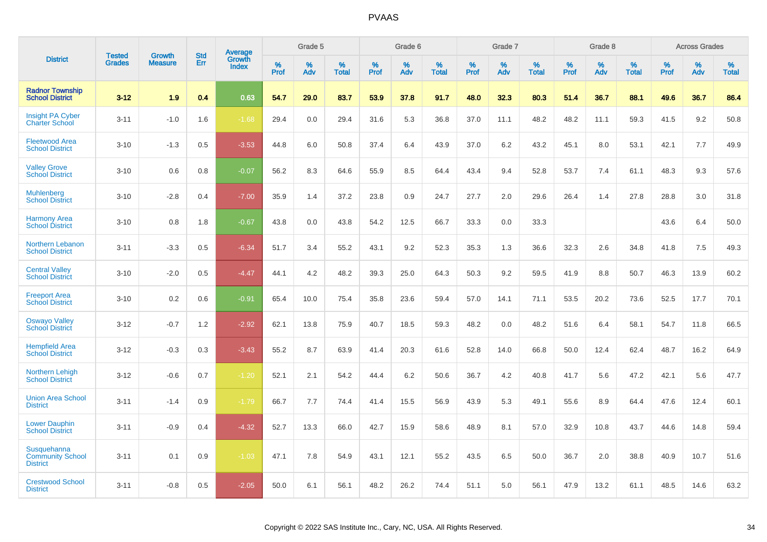|                                                           | <b>Tested</b> | <b>Growth</b>  | <b>Std</b> | Average         |              | Grade 5     |                      |                     | Grade 6     |                      |              | Grade 7     |                      |              | Grade 8     |                   |                     | <b>Across Grades</b> |                      |
|-----------------------------------------------------------|---------------|----------------|------------|-----------------|--------------|-------------|----------------------|---------------------|-------------|----------------------|--------------|-------------|----------------------|--------------|-------------|-------------------|---------------------|----------------------|----------------------|
| <b>District</b>                                           | <b>Grades</b> | <b>Measure</b> | Err        | Growth<br>Index | $\%$<br>Prof | $\%$<br>Adv | $\%$<br><b>Total</b> | $\%$<br><b>Prof</b> | $\%$<br>Adv | $\%$<br><b>Total</b> | $\%$<br>Prof | $\%$<br>Adv | $\%$<br><b>Total</b> | $\%$<br>Prof | $\%$<br>Adv | %<br><b>Total</b> | $\%$<br><b>Prof</b> | $\%$<br>Adv          | $\%$<br><b>Total</b> |
| <b>Radnor Township</b><br><b>School District</b>          | $3 - 12$      | 1.9            | 0.4        | 0.63            | 54.7         | 29.0        | 83.7                 | 53.9                | 37.8        | 91.7                 | 48.0         | 32.3        | 80.3                 | 51.4         | 36.7        | 88.1              | 49.6                | 36.7                 | 86.4                 |
| <b>Insight PA Cyber</b><br><b>Charter School</b>          | $3 - 11$      | $-1.0$         | 1.6        | $-1.68$         | 29.4         | 0.0         | 29.4                 | 31.6                | 5.3         | 36.8                 | 37.0         | 11.1        | 48.2                 | 48.2         | 11.1        | 59.3              | 41.5                | 9.2                  | 50.8                 |
| <b>Fleetwood Area</b><br><b>School District</b>           | $3 - 10$      | $-1.3$         | 0.5        | $-3.53$         | 44.8         | 6.0         | 50.8                 | 37.4                | 6.4         | 43.9                 | 37.0         | 6.2         | 43.2                 | 45.1         | 8.0         | 53.1              | 42.1                | 7.7                  | 49.9                 |
| <b>Valley Grove</b><br><b>School District</b>             | $3 - 10$      | 0.6            | 0.8        | $-0.07$         | 56.2         | 8.3         | 64.6                 | 55.9                | 8.5         | 64.4                 | 43.4         | 9.4         | 52.8                 | 53.7         | 7.4         | 61.1              | 48.3                | 9.3                  | 57.6                 |
| <b>Muhlenberg</b><br><b>School District</b>               | $3 - 10$      | $-2.8$         | 0.4        | $-7.00$         | 35.9         | 1.4         | 37.2                 | 23.8                | 0.9         | 24.7                 | 27.7         | 2.0         | 29.6                 | 26.4         | 1.4         | 27.8              | 28.8                | 3.0                  | 31.8                 |
| <b>Harmony Area</b><br><b>School District</b>             | $3 - 10$      | 0.8            | 1.8        | $-0.67$         | 43.8         | 0.0         | 43.8                 | 54.2                | 12.5        | 66.7                 | 33.3         | 0.0         | 33.3                 |              |             |                   | 43.6                | 6.4                  | 50.0                 |
| Northern Lebanon<br><b>School District</b>                | $3 - 11$      | $-3.3$         | 0.5        | $-6.34$         | 51.7         | 3.4         | 55.2                 | 43.1                | 9.2         | 52.3                 | 35.3         | 1.3         | 36.6                 | 32.3         | 2.6         | 34.8              | 41.8                | 7.5                  | 49.3                 |
| <b>Central Valley</b><br><b>School District</b>           | $3 - 10$      | $-2.0$         | 0.5        | $-4.47$         | 44.1         | 4.2         | 48.2                 | 39.3                | 25.0        | 64.3                 | 50.3         | 9.2         | 59.5                 | 41.9         | 8.8         | 50.7              | 46.3                | 13.9                 | 60.2                 |
| <b>Freeport Area</b><br><b>School District</b>            | $3 - 10$      | 0.2            | 0.6        | $-0.91$         | 65.4         | 10.0        | 75.4                 | 35.8                | 23.6        | 59.4                 | 57.0         | 14.1        | 71.1                 | 53.5         | 20.2        | 73.6              | 52.5                | 17.7                 | 70.1                 |
| <b>Oswayo Valley</b><br><b>School District</b>            | $3 - 12$      | $-0.7$         | 1.2        | $-2.92$         | 62.1         | 13.8        | 75.9                 | 40.7                | 18.5        | 59.3                 | 48.2         | 0.0         | 48.2                 | 51.6         | 6.4         | 58.1              | 54.7                | 11.8                 | 66.5                 |
| <b>Hempfield Area</b><br><b>School District</b>           | $3 - 12$      | $-0.3$         | 0.3        | $-3.43$         | 55.2         | 8.7         | 63.9                 | 41.4                | 20.3        | 61.6                 | 52.8         | 14.0        | 66.8                 | 50.0         | 12.4        | 62.4              | 48.7                | 16.2                 | 64.9                 |
| Northern Lehigh<br><b>School District</b>                 | $3 - 12$      | $-0.6$         | 0.7        | $-1.20$         | 52.1         | 2.1         | 54.2                 | 44.4                | 6.2         | 50.6                 | 36.7         | 4.2         | 40.8                 | 41.7         | 5.6         | 47.2              | 42.1                | 5.6                  | 47.7                 |
| <b>Union Area School</b><br><b>District</b>               | $3 - 11$      | $-1.4$         | 0.9        | $-1.79$         | 66.7         | 7.7         | 74.4                 | 41.4                | 15.5        | 56.9                 | 43.9         | 5.3         | 49.1                 | 55.6         | 8.9         | 64.4              | 47.6                | 12.4                 | 60.1                 |
| <b>Lower Dauphin</b><br><b>School District</b>            | $3 - 11$      | $-0.9$         | 0.4        | $-4.32$         | 52.7         | 13.3        | 66.0                 | 42.7                | 15.9        | 58.6                 | 48.9         | 8.1         | 57.0                 | 32.9         | 10.8        | 43.7              | 44.6                | 14.8                 | 59.4                 |
| Susquehanna<br><b>Community School</b><br><b>District</b> | $3 - 11$      | 0.1            | 0.9        | $-1.03$         | 47.1         | 7.8         | 54.9                 | 43.1                | 12.1        | 55.2                 | 43.5         | 6.5         | 50.0                 | 36.7         | 2.0         | 38.8              | 40.9                | 10.7                 | 51.6                 |
| <b>Crestwood School</b><br><b>District</b>                | $3 - 11$      | $-0.8$         | 0.5        | $-2.05$         | 50.0         | 6.1         | 56.1                 | 48.2                | 26.2        | 74.4                 | 51.1         | 5.0         | 56.1                 | 47.9         | 13.2        | 61.1              | 48.5                | 14.6                 | 63.2                 |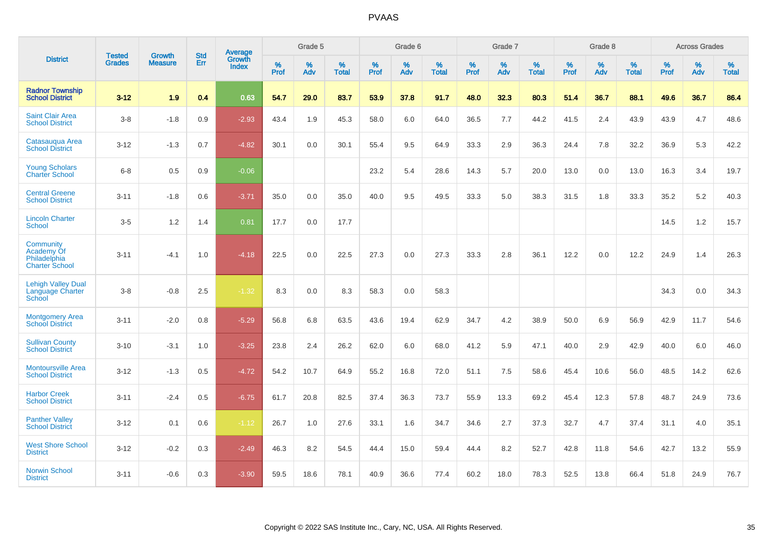|                                                                  | <b>Tested</b> | <b>Growth</b>  | <b>Std</b> | <b>Average</b>                |              | Grade 5  |                   |           | Grade 6  |                   |           | Grade 7  |                   |           | Grade 8  |                   |           | <b>Across Grades</b> |                   |
|------------------------------------------------------------------|---------------|----------------|------------|-------------------------------|--------------|----------|-------------------|-----------|----------|-------------------|-----------|----------|-------------------|-----------|----------|-------------------|-----------|----------------------|-------------------|
| <b>District</b>                                                  | <b>Grades</b> | <b>Measure</b> | Err        | <b>Growth</b><br><b>Index</b> | $\%$<br>Prof | %<br>Adv | %<br><b>Total</b> | %<br>Prof | %<br>Adv | %<br><b>Total</b> | %<br>Prof | %<br>Adv | %<br><b>Total</b> | %<br>Prof | %<br>Adv | %<br><b>Total</b> | %<br>Prof | %<br>Adv             | %<br><b>Total</b> |
| <b>Radnor Township</b><br><b>School District</b>                 | $3 - 12$      | 1.9            | 0.4        | 0.63                          | 54.7         | 29.0     | 83.7              | 53.9      | 37.8     | 91.7              | 48.0      | 32.3     | 80.3              | 51.4      | 36.7     | 88.1              | 49.6      | 36.7                 | 86.4              |
| <b>Saint Clair Area</b><br><b>School District</b>                | $3-8$         | $-1.8$         | 0.9        | $-2.93$                       | 43.4         | 1.9      | 45.3              | 58.0      | 6.0      | 64.0              | 36.5      | 7.7      | 44.2              | 41.5      | 2.4      | 43.9              | 43.9      | 4.7                  | 48.6              |
| Catasauqua Area<br><b>School District</b>                        | $3 - 12$      | $-1.3$         | 0.7        | $-4.82$                       | 30.1         | 0.0      | 30.1              | 55.4      | 9.5      | 64.9              | 33.3      | 2.9      | 36.3              | 24.4      | 7.8      | 32.2              | 36.9      | 5.3                  | 42.2              |
| <b>Young Scholars</b><br><b>Charter School</b>                   | $6 - 8$       | 0.5            | 0.9        | $-0.06$                       |              |          |                   | 23.2      | 5.4      | 28.6              | 14.3      | 5.7      | 20.0              | 13.0      | 0.0      | 13.0              | 16.3      | 3.4                  | 19.7              |
| <b>Central Greene</b><br><b>School District</b>                  | $3 - 11$      | $-1.8$         | 0.6        | $-3.71$                       | 35.0         | 0.0      | 35.0              | 40.0      | 9.5      | 49.5              | 33.3      | 5.0      | 38.3              | 31.5      | 1.8      | 33.3              | 35.2      | $5.2\,$              | 40.3              |
| <b>Lincoln Charter</b><br><b>School</b>                          | $3-5$         | 1.2            | 1.4        | 0.81                          | 17.7         | 0.0      | 17.7              |           |          |                   |           |          |                   |           |          |                   | 14.5      | $1.2$                | 15.7              |
| Community<br>Academy Of<br>Philadelphia<br><b>Charter School</b> | $3 - 11$      | $-4.1$         | 1.0        | $-4.18$                       | 22.5         | 0.0      | 22.5              | 27.3      | 0.0      | 27.3              | 33.3      | 2.8      | 36.1              | 12.2      | 0.0      | 12.2              | 24.9      | 1.4                  | 26.3              |
| <b>Lehigh Valley Dual</b><br>Language Charter<br>School          | $3 - 8$       | $-0.8$         | 2.5        | $-1.32$                       | 8.3          | 0.0      | 8.3               | 58.3      | 0.0      | 58.3              |           |          |                   |           |          |                   | 34.3      | 0.0                  | 34.3              |
| <b>Montgomery Area</b><br><b>School District</b>                 | $3 - 11$      | $-2.0$         | 0.8        | $-5.29$                       | 56.8         | 6.8      | 63.5              | 43.6      | 19.4     | 62.9              | 34.7      | 4.2      | 38.9              | 50.0      | 6.9      | 56.9              | 42.9      | 11.7                 | 54.6              |
| <b>Sullivan County</b><br><b>School District</b>                 | $3 - 10$      | $-3.1$         | 1.0        | $-3.25$                       | 23.8         | 2.4      | 26.2              | 62.0      | 6.0      | 68.0              | 41.2      | 5.9      | 47.1              | 40.0      | 2.9      | 42.9              | 40.0      | 6.0                  | 46.0              |
| <b>Montoursville Area</b><br><b>School District</b>              | $3 - 12$      | $-1.3$         | 0.5        | $-4.72$                       | 54.2         | 10.7     | 64.9              | 55.2      | 16.8     | 72.0              | 51.1      | 7.5      | 58.6              | 45.4      | 10.6     | 56.0              | 48.5      | 14.2                 | 62.6              |
| <b>Harbor Creek</b><br><b>School District</b>                    | $3 - 11$      | $-2.4$         | 0.5        | $-6.75$                       | 61.7         | 20.8     | 82.5              | 37.4      | 36.3     | 73.7              | 55.9      | 13.3     | 69.2              | 45.4      | 12.3     | 57.8              | 48.7      | 24.9                 | 73.6              |
| <b>Panther Valley</b><br><b>School District</b>                  | $3 - 12$      | 0.1            | 0.6        | $-1.12$                       | 26.7         | 1.0      | 27.6              | 33.1      | 1.6      | 34.7              | 34.6      | 2.7      | 37.3              | 32.7      | 4.7      | 37.4              | 31.1      | 4.0                  | 35.1              |
| <b>West Shore School</b><br><b>District</b>                      | $3 - 12$      | $-0.2$         | 0.3        | $-2.49$                       | 46.3         | 8.2      | 54.5              | 44.4      | 15.0     | 59.4              | 44.4      | 8.2      | 52.7              | 42.8      | 11.8     | 54.6              | 42.7      | 13.2                 | 55.9              |
| <b>Norwin School</b><br><b>District</b>                          | $3 - 11$      | $-0.6$         | 0.3        | $-3.90$                       | 59.5         | 18.6     | 78.1              | 40.9      | 36.6     | 77.4              | 60.2      | 18.0     | 78.3              | 52.5      | 13.8     | 66.4              | 51.8      | 24.9                 | 76.7              |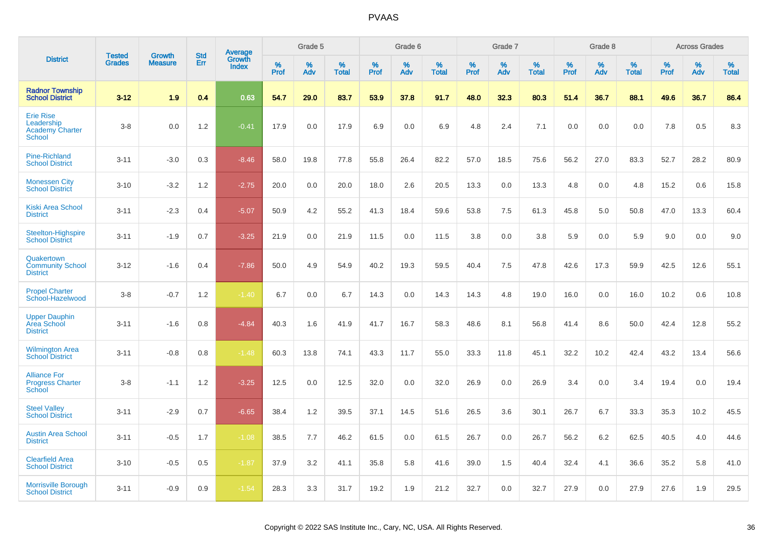|                                                                    |                                |                                 | <b>Std</b> |                                   |           | Grade 5  |                   |           | Grade 6  |                   |           | Grade 7  |                   |           | Grade 8  |                   |              | <b>Across Grades</b> |                   |
|--------------------------------------------------------------------|--------------------------------|---------------------------------|------------|-----------------------------------|-----------|----------|-------------------|-----------|----------|-------------------|-----------|----------|-------------------|-----------|----------|-------------------|--------------|----------------------|-------------------|
| <b>District</b>                                                    | <b>Tested</b><br><b>Grades</b> | <b>Growth</b><br><b>Measure</b> | Err        | Average<br>Growth<br><b>Index</b> | %<br>Prof | %<br>Adv | %<br><b>Total</b> | %<br>Prof | %<br>Adv | %<br><b>Total</b> | %<br>Prof | %<br>Adv | %<br><b>Total</b> | %<br>Prof | %<br>Adv | %<br><b>Total</b> | $\%$<br>Prof | %<br>Adv             | %<br><b>Total</b> |
| <b>Radnor Township</b><br><b>School District</b>                   | $3 - 12$                       | 1.9                             | 0.4        | 0.63                              | 54.7      | 29.0     | 83.7              | 53.9      | 37.8     | 91.7              | 48.0      | 32.3     | 80.3              | 51.4      | 36.7     | 88.1              | 49.6         | 36.7                 | 86.4              |
| <b>Erie Rise</b><br>Leadership<br><b>Academy Charter</b><br>School | $3-8$                          | 0.0                             | 1.2        | $-0.41$                           | 17.9      | 0.0      | 17.9              | 6.9       | $0.0\,$  | 6.9               | 4.8       | 2.4      | 7.1               | 0.0       | 0.0      | 0.0               | 7.8          | 0.5                  | 8.3               |
| <b>Pine-Richland</b><br><b>School District</b>                     | $3 - 11$                       | $-3.0$                          | 0.3        | $-8.46$                           | 58.0      | 19.8     | 77.8              | 55.8      | 26.4     | 82.2              | 57.0      | 18.5     | 75.6              | 56.2      | 27.0     | 83.3              | 52.7         | 28.2                 | 80.9              |
| <b>Monessen City</b><br><b>School District</b>                     | $3 - 10$                       | $-3.2$                          | 1.2        | $-2.75$                           | 20.0      | 0.0      | 20.0              | 18.0      | 2.6      | 20.5              | 13.3      | 0.0      | 13.3              | 4.8       | 0.0      | 4.8               | 15.2         | 0.6                  | 15.8              |
| Kiski Area School<br><b>District</b>                               | $3 - 11$                       | $-2.3$                          | 0.4        | $-5.07$                           | 50.9      | 4.2      | 55.2              | 41.3      | 18.4     | 59.6              | 53.8      | 7.5      | 61.3              | 45.8      | 5.0      | 50.8              | 47.0         | 13.3                 | 60.4              |
| Steelton-Highspire<br><b>School District</b>                       | $3 - 11$                       | $-1.9$                          | 0.7        | $-3.25$                           | 21.9      | 0.0      | 21.9              | 11.5      | 0.0      | 11.5              | 3.8       | 0.0      | 3.8               | 5.9       | 0.0      | 5.9               | 9.0          | 0.0                  | 9.0               |
| Quakertown<br><b>Community School</b><br><b>District</b>           | $3 - 12$                       | $-1.6$                          | 0.4        | $-7.86$                           | 50.0      | 4.9      | 54.9              | 40.2      | 19.3     | 59.5              | 40.4      | 7.5      | 47.8              | 42.6      | 17.3     | 59.9              | 42.5         | 12.6                 | 55.1              |
| <b>Propel Charter</b><br>School-Hazelwood                          | $3-8$                          | $-0.7$                          | 1.2        | $-1.40$                           | 6.7       | 0.0      | 6.7               | 14.3      | 0.0      | 14.3              | 14.3      | 4.8      | 19.0              | 16.0      | 0.0      | 16.0              | 10.2         | 0.6                  | 10.8              |
| <b>Upper Dauphin</b><br><b>Area School</b><br><b>District</b>      | $3 - 11$                       | $-1.6$                          | 0.8        | $-4.84$                           | 40.3      | 1.6      | 41.9              | 41.7      | 16.7     | 58.3              | 48.6      | 8.1      | 56.8              | 41.4      | 8.6      | 50.0              | 42.4         | 12.8                 | 55.2              |
| <b>Wilmington Area</b><br><b>School District</b>                   | $3 - 11$                       | $-0.8$                          | 0.8        | $-1.48$                           | 60.3      | 13.8     | 74.1              | 43.3      | 11.7     | 55.0              | 33.3      | 11.8     | 45.1              | 32.2      | 10.2     | 42.4              | 43.2         | 13.4                 | 56.6              |
| <b>Alliance For</b><br><b>Progress Charter</b><br>School           | $3-8$                          | $-1.1$                          | 1.2        | $-3.25$                           | 12.5      | 0.0      | 12.5              | 32.0      | 0.0      | 32.0              | 26.9      | 0.0      | 26.9              | 3.4       | 0.0      | 3.4               | 19.4         | 0.0                  | 19.4              |
| <b>Steel Valley</b><br><b>School District</b>                      | $3 - 11$                       | $-2.9$                          | 0.7        | $-6.65$                           | 38.4      | 1.2      | 39.5              | 37.1      | 14.5     | 51.6              | 26.5      | 3.6      | 30.1              | 26.7      | 6.7      | 33.3              | 35.3         | 10.2                 | 45.5              |
| <b>Austin Area School</b><br><b>District</b>                       | $3 - 11$                       | $-0.5$                          | 1.7        | $-1.08$                           | 38.5      | 7.7      | 46.2              | 61.5      | 0.0      | 61.5              | 26.7      | 0.0      | 26.7              | 56.2      | 6.2      | 62.5              | 40.5         | 4.0                  | 44.6              |
| <b>Clearfield Area</b><br><b>School District</b>                   | $3 - 10$                       | $-0.5$                          | 0.5        | $-1.87$                           | 37.9      | 3.2      | 41.1              | 35.8      | 5.8      | 41.6              | 39.0      | 1.5      | 40.4              | 32.4      | 4.1      | 36.6              | 35.2         | 5.8                  | 41.0              |
| <b>Morrisville Borough</b><br><b>School District</b>               | $3 - 11$                       | $-0.9$                          | 0.9        | $-1.54$                           | 28.3      | 3.3      | 31.7              | 19.2      | 1.9      | 21.2              | 32.7      | 0.0      | 32.7              | 27.9      | 0.0      | 27.9              | 27.6         | 1.9                  | 29.5              |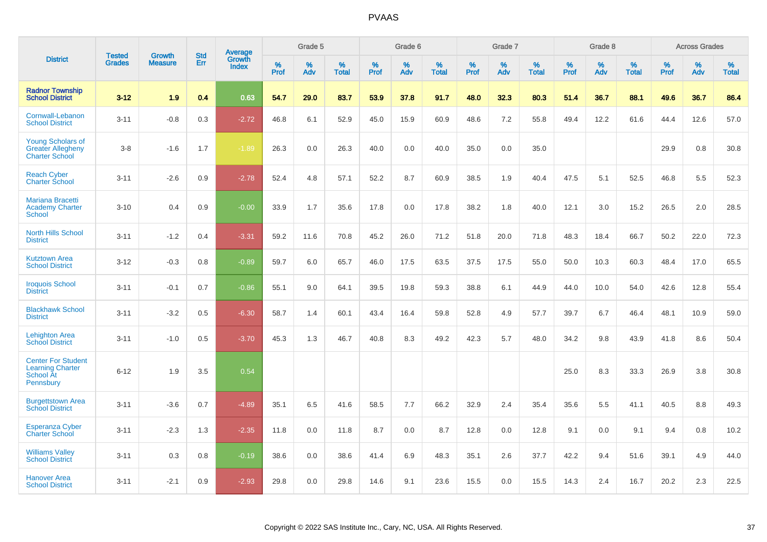|                                                                                |                                | <b>Growth</b>  | <b>Std</b> | Average         |              | Grade 5  |                   |           | Grade 6  |                   |           | Grade 7  |                   |           | Grade 8  |                   |              | <b>Across Grades</b> |                   |
|--------------------------------------------------------------------------------|--------------------------------|----------------|------------|-----------------|--------------|----------|-------------------|-----------|----------|-------------------|-----------|----------|-------------------|-----------|----------|-------------------|--------------|----------------------|-------------------|
| <b>District</b>                                                                | <b>Tested</b><br><b>Grades</b> | <b>Measure</b> | Err        | Growth<br>Index | $\%$<br>Prof | %<br>Adv | %<br><b>Total</b> | %<br>Prof | %<br>Adv | %<br><b>Total</b> | %<br>Prof | %<br>Adv | %<br><b>Total</b> | %<br>Prof | %<br>Adv | %<br><b>Total</b> | $\%$<br>Prof | %<br>Adv             | %<br><b>Total</b> |
| <b>Radnor Township</b><br><b>School District</b>                               | $3 - 12$                       | 1.9            | 0.4        | 0.63            | 54.7         | 29.0     | 83.7              | 53.9      | 37.8     | 91.7              | 48.0      | 32.3     | 80.3              | 51.4      | 36.7     | 88.1              | 49.6         | 36.7                 | 86.4              |
| Cornwall-Lebanon<br><b>School District</b>                                     | $3 - 11$                       | $-0.8$         | 0.3        | $-2.72$         | 46.8         | 6.1      | 52.9              | 45.0      | 15.9     | 60.9              | 48.6      | 7.2      | 55.8              | 49.4      | 12.2     | 61.6              | 44.4         | 12.6                 | 57.0              |
| <b>Young Scholars of</b><br><b>Greater Allegheny</b><br><b>Charter School</b>  | $3-8$                          | $-1.6$         | 1.7        | $-1.89$         | 26.3         | 0.0      | 26.3              | 40.0      | 0.0      | 40.0              | 35.0      | 0.0      | 35.0              |           |          |                   | 29.9         | 0.8                  | 30.8              |
| <b>Reach Cyber</b><br><b>Charter School</b>                                    | $3 - 11$                       | $-2.6$         | 0.9        | $-2.78$         | 52.4         | 4.8      | 57.1              | 52.2      | 8.7      | 60.9              | 38.5      | 1.9      | 40.4              | 47.5      | 5.1      | 52.5              | 46.8         | 5.5                  | 52.3              |
| <b>Mariana Bracetti</b><br><b>Academy Charter</b><br><b>School</b>             | $3 - 10$                       | 0.4            | 0.9        | $-0.00$         | 33.9         | 1.7      | 35.6              | 17.8      | 0.0      | 17.8              | 38.2      | 1.8      | 40.0              | 12.1      | 3.0      | 15.2              | 26.5         | 2.0                  | 28.5              |
| <b>North Hills School</b><br><b>District</b>                                   | $3 - 11$                       | $-1.2$         | 0.4        | $-3.31$         | 59.2         | 11.6     | 70.8              | 45.2      | 26.0     | 71.2              | 51.8      | 20.0     | 71.8              | 48.3      | 18.4     | 66.7              | 50.2         | 22.0                 | 72.3              |
| <b>Kutztown Area</b><br><b>School District</b>                                 | $3 - 12$                       | $-0.3$         | 0.8        | $-0.89$         | 59.7         | 6.0      | 65.7              | 46.0      | 17.5     | 63.5              | 37.5      | 17.5     | 55.0              | 50.0      | 10.3     | 60.3              | 48.4         | 17.0                 | 65.5              |
| <b>Iroquois School</b><br><b>District</b>                                      | $3 - 11$                       | $-0.1$         | 0.7        | $-0.86$         | 55.1         | 9.0      | 64.1              | 39.5      | 19.8     | 59.3              | 38.8      | 6.1      | 44.9              | 44.0      | 10.0     | 54.0              | 42.6         | 12.8                 | 55.4              |
| <b>Blackhawk School</b><br><b>District</b>                                     | $3 - 11$                       | $-3.2$         | 0.5        | $-6.30$         | 58.7         | 1.4      | 60.1              | 43.4      | 16.4     | 59.8              | 52.8      | 4.9      | 57.7              | 39.7      | 6.7      | 46.4              | 48.1         | 10.9                 | 59.0              |
| <b>Lehighton Area</b><br><b>School District</b>                                | $3 - 11$                       | $-1.0$         | 0.5        | $-3.70$         | 45.3         | 1.3      | 46.7              | 40.8      | 8.3      | 49.2              | 42.3      | 5.7      | 48.0              | 34.2      | 9.8      | 43.9              | 41.8         | 8.6                  | 50.4              |
| <b>Center For Student</b><br><b>Learning Charter</b><br>School At<br>Pennsbury | $6 - 12$                       | 1.9            | 3.5        | 0.54            |              |          |                   |           |          |                   |           |          |                   | 25.0      | 8.3      | 33.3              | 26.9         | 3.8                  | 30.8              |
| <b>Burgettstown Area</b><br><b>School District</b>                             | $3 - 11$                       | $-3.6$         | 0.7        | $-4.89$         | 35.1         | 6.5      | 41.6              | 58.5      | 7.7      | 66.2              | 32.9      | 2.4      | 35.4              | 35.6      | 5.5      | 41.1              | 40.5         | 8.8                  | 49.3              |
| <b>Esperanza Cyber</b><br><b>Charter School</b>                                | $3 - 11$                       | $-2.3$         | 1.3        | $-2.35$         | 11.8         | 0.0      | 11.8              | 8.7       | 0.0      | 8.7               | 12.8      | 0.0      | 12.8              | 9.1       | 0.0      | 9.1               | 9.4          | 0.8                  | 10.2              |
| <b>Williams Valley</b><br><b>School District</b>                               | $3 - 11$                       | 0.3            | 0.8        | $-0.19$         | 38.6         | 0.0      | 38.6              | 41.4      | 6.9      | 48.3              | 35.1      | 2.6      | 37.7              | 42.2      | 9.4      | 51.6              | 39.1         | 4.9                  | 44.0              |
| <b>Hanover Area</b><br><b>School District</b>                                  | $3 - 11$                       | $-2.1$         | 0.9        | $-2.93$         | 29.8         | 0.0      | 29.8              | 14.6      | 9.1      | 23.6              | 15.5      | 0.0      | 15.5              | 14.3      | 2.4      | 16.7              | 20.2         | 2.3                  | 22.5              |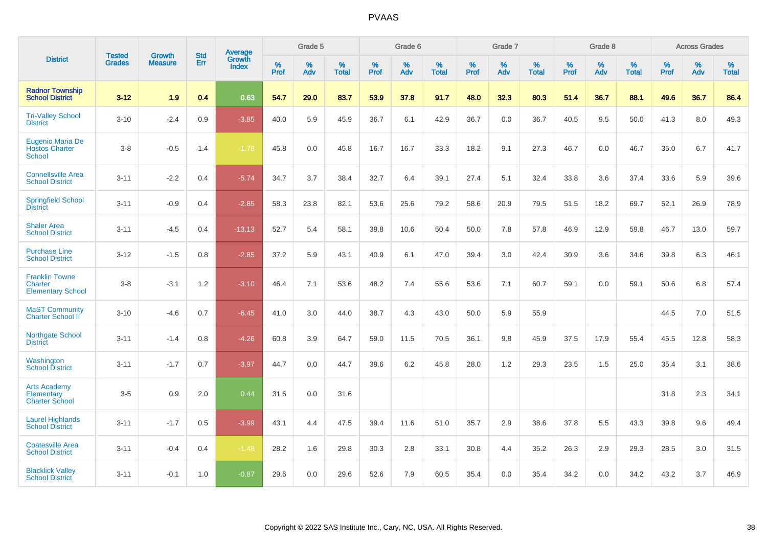|                                                              |                                |                                 | <b>Std</b> | Average         |              | Grade 5  |                   |           | Grade 6  |                   |           | Grade 7  |                   |           | Grade 8  |                   |           | <b>Across Grades</b> |                   |
|--------------------------------------------------------------|--------------------------------|---------------------------------|------------|-----------------|--------------|----------|-------------------|-----------|----------|-------------------|-----------|----------|-------------------|-----------|----------|-------------------|-----------|----------------------|-------------------|
| <b>District</b>                                              | <b>Tested</b><br><b>Grades</b> | <b>Growth</b><br><b>Measure</b> | Err        | Growth<br>Index | $\%$<br>Prof | %<br>Adv | %<br><b>Total</b> | %<br>Prof | %<br>Adv | %<br><b>Total</b> | %<br>Prof | %<br>Adv | %<br><b>Total</b> | %<br>Prof | %<br>Adv | %<br><b>Total</b> | %<br>Prof | %<br>Adv             | %<br><b>Total</b> |
| <b>Radnor Township</b><br><b>School District</b>             | $3 - 12$                       | 1.9                             | 0.4        | 0.63            | 54.7         | 29.0     | 83.7              | 53.9      | 37.8     | 91.7              | 48.0      | 32.3     | 80.3              | 51.4      | 36.7     | 88.1              | 49.6      | 36.7                 | 86.4              |
| <b>Tri-Valley School</b><br><b>District</b>                  | $3 - 10$                       | $-2.4$                          | 0.9        | $-3.85$         | 40.0         | 5.9      | 45.9              | 36.7      | 6.1      | 42.9              | 36.7      | 0.0      | 36.7              | 40.5      | 9.5      | 50.0              | 41.3      | 8.0                  | 49.3              |
| Eugenio Maria De<br><b>Hostos Charter</b><br><b>School</b>   | $3-8$                          | $-0.5$                          | 1.4        | $-1.78$         | 45.8         | 0.0      | 45.8              | 16.7      | 16.7     | 33.3              | 18.2      | 9.1      | 27.3              | 46.7      | 0.0      | 46.7              | 35.0      | 6.7                  | 41.7              |
| <b>Connellsville Area</b><br><b>School District</b>          | $3 - 11$                       | $-2.2$                          | 0.4        | $-5.74$         | 34.7         | 3.7      | 38.4              | 32.7      | 6.4      | 39.1              | 27.4      | 5.1      | 32.4              | 33.8      | 3.6      | 37.4              | 33.6      | 5.9                  | 39.6              |
| <b>Springfield School</b><br><b>District</b>                 | $3 - 11$                       | $-0.9$                          | 0.4        | $-2.85$         | 58.3         | 23.8     | 82.1              | 53.6      | 25.6     | 79.2              | 58.6      | 20.9     | 79.5              | 51.5      | 18.2     | 69.7              | 52.1      | 26.9                 | 78.9              |
| <b>Shaler Area</b><br><b>School District</b>                 | $3 - 11$                       | $-4.5$                          | 0.4        | $-13.13$        | 52.7         | 5.4      | 58.1              | 39.8      | 10.6     | 50.4              | 50.0      | 7.8      | 57.8              | 46.9      | 12.9     | 59.8              | 46.7      | 13.0                 | 59.7              |
| <b>Purchase Line</b><br><b>School District</b>               | $3 - 12$                       | $-1.5$                          | 0.8        | $-2.85$         | 37.2         | 5.9      | 43.1              | 40.9      | 6.1      | 47.0              | 39.4      | 3.0      | 42.4              | 30.9      | 3.6      | 34.6              | 39.8      | 6.3                  | 46.1              |
| <b>Franklin Towne</b><br>Charter<br><b>Elementary School</b> | $3 - 8$                        | $-3.1$                          | 1.2        | $-3.10$         | 46.4         | 7.1      | 53.6              | 48.2      | 7.4      | 55.6              | 53.6      | 7.1      | 60.7              | 59.1      | 0.0      | 59.1              | 50.6      | 6.8                  | 57.4              |
| <b>MaST Community</b><br>Charter School II                   | $3 - 10$                       | $-4.6$                          | 0.7        | $-6.45$         | 41.0         | 3.0      | 44.0              | 38.7      | 4.3      | 43.0              | 50.0      | 5.9      | 55.9              |           |          |                   | 44.5      | $7.0\,$              | 51.5              |
| Northgate School<br><b>District</b>                          | $3 - 11$                       | $-1.4$                          | 0.8        | $-4.26$         | 60.8         | 3.9      | 64.7              | 59.0      | 11.5     | 70.5              | 36.1      | 9.8      | 45.9              | 37.5      | 17.9     | 55.4              | 45.5      | 12.8                 | 58.3              |
| Washington<br><b>School District</b>                         | $3 - 11$                       | $-1.7$                          | 0.7        | $-3.97$         | 44.7         | 0.0      | 44.7              | 39.6      | 6.2      | 45.8              | 28.0      | 1.2      | 29.3              | 23.5      | 1.5      | 25.0              | 35.4      | 3.1                  | 38.6              |
| <b>Arts Academy</b><br>Elementary<br><b>Charter School</b>   | $3-5$                          | 0.9                             | 2.0        | 0.44            | 31.6         | 0.0      | 31.6              |           |          |                   |           |          |                   |           |          |                   | 31.8      | 2.3                  | 34.1              |
| <b>Laurel Highlands</b><br><b>School District</b>            | $3 - 11$                       | $-1.7$                          | 0.5        | $-3.99$         | 43.1         | 4.4      | 47.5              | 39.4      | 11.6     | 51.0              | 35.7      | 2.9      | 38.6              | 37.8      | 5.5      | 43.3              | 39.8      | 9.6                  | 49.4              |
| <b>Coatesville Area</b><br><b>School District</b>            | $3 - 11$                       | $-0.4$                          | 0.4        | $-1.48$         | 28.2         | 1.6      | 29.8              | 30.3      | 2.8      | 33.1              | 30.8      | 4.4      | 35.2              | 26.3      | 2.9      | 29.3              | 28.5      | 3.0                  | 31.5              |
| <b>Blacklick Valley</b><br><b>School District</b>            | $3 - 11$                       | $-0.1$                          | 1.0        | $-0.87$         | 29.6         | 0.0      | 29.6              | 52.6      | 7.9      | 60.5              | 35.4      | 0.0      | 35.4              | 34.2      | 0.0      | 34.2              | 43.2      | 3.7                  | 46.9              |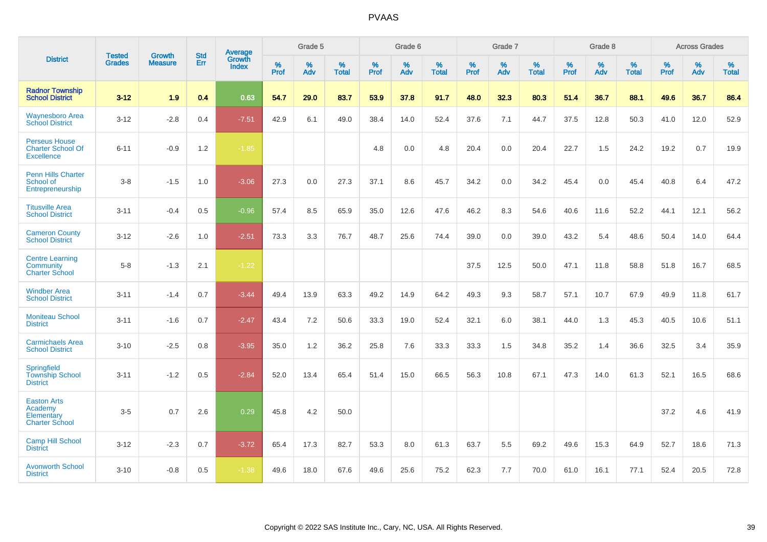|                                                                       | <b>Tested</b> | <b>Growth</b>  | <b>Std</b> | Average                |              | Grade 5  |                   |              | Grade 6  |                   |              | Grade 7  |                   |              | Grade 8  |                   |                  | <b>Across Grades</b> |                   |
|-----------------------------------------------------------------------|---------------|----------------|------------|------------------------|--------------|----------|-------------------|--------------|----------|-------------------|--------------|----------|-------------------|--------------|----------|-------------------|------------------|----------------------|-------------------|
| <b>District</b>                                                       | <b>Grades</b> | <b>Measure</b> | Err        | Growth<br><b>Index</b> | $\%$<br>Prof | %<br>Adv | %<br><b>Total</b> | $\%$<br>Prof | %<br>Adv | %<br><b>Total</b> | $\%$<br>Prof | %<br>Adv | %<br><b>Total</b> | $\%$<br>Prof | %<br>Adv | %<br><b>Total</b> | %<br><b>Prof</b> | %<br>Adv             | %<br><b>Total</b> |
| <b>Radnor Township</b><br><b>School District</b>                      | $3 - 12$      | 1.9            | 0.4        | 0.63                   | 54.7         | 29.0     | 83.7              | 53.9         | 37.8     | 91.7              | 48.0         | 32.3     | 80.3              | 51.4         | 36.7     | 88.1              | 49.6             | 36.7                 | 86.4              |
| <b>Waynesboro Area</b><br><b>School District</b>                      | $3 - 12$      | $-2.8$         | 0.4        | $-7.51$                | 42.9         | 6.1      | 49.0              | 38.4         | 14.0     | 52.4              | 37.6         | 7.1      | 44.7              | 37.5         | 12.8     | 50.3              | 41.0             | 12.0                 | 52.9              |
| <b>Perseus House</b><br><b>Charter School Of</b><br><b>Excellence</b> | $6 - 11$      | $-0.9$         | 1.2        | $-1.85$                |              |          |                   | 4.8          | 0.0      | 4.8               | 20.4         | 0.0      | 20.4              | 22.7         | 1.5      | 24.2              | 19.2             | 0.7                  | 19.9              |
| <b>Penn Hills Charter</b><br>School of<br>Entrepreneurship            | $3-8$         | $-1.5$         | 1.0        | $-3.06$                | 27.3         | 0.0      | 27.3              | 37.1         | 8.6      | 45.7              | 34.2         | 0.0      | 34.2              | 45.4         | 0.0      | 45.4              | 40.8             | 6.4                  | 47.2              |
| <b>Titusville Area</b><br><b>School District</b>                      | $3 - 11$      | $-0.4$         | 0.5        | $-0.96$                | 57.4         | 8.5      | 65.9              | 35.0         | 12.6     | 47.6              | 46.2         | 8.3      | 54.6              | 40.6         | 11.6     | 52.2              | 44.1             | 12.1                 | 56.2              |
| <b>Cameron County</b><br><b>School District</b>                       | $3 - 12$      | $-2.6$         | 1.0        | $-2.51$                | 73.3         | 3.3      | 76.7              | 48.7         | 25.6     | 74.4              | 39.0         | 0.0      | 39.0              | 43.2         | 5.4      | 48.6              | 50.4             | 14.0                 | 64.4              |
| <b>Centre Learning</b><br>Community<br><b>Charter School</b>          | $5 - 8$       | $-1.3$         | 2.1        | $-1.22$                |              |          |                   |              |          |                   | 37.5         | 12.5     | 50.0              | 47.1         | 11.8     | 58.8              | 51.8             | 16.7                 | 68.5              |
| <b>Windber Area</b><br><b>School District</b>                         | $3 - 11$      | $-1.4$         | 0.7        | $-3.44$                | 49.4         | 13.9     | 63.3              | 49.2         | 14.9     | 64.2              | 49.3         | 9.3      | 58.7              | 57.1         | 10.7     | 67.9              | 49.9             | 11.8                 | 61.7              |
| <b>Moniteau School</b><br><b>District</b>                             | $3 - 11$      | $-1.6$         | 0.7        | $-2.47$                | 43.4         | 7.2      | 50.6              | 33.3         | 19.0     | 52.4              | 32.1         | 6.0      | 38.1              | 44.0         | 1.3      | 45.3              | 40.5             | 10.6                 | 51.1              |
| <b>Carmichaels Area</b><br><b>School District</b>                     | $3 - 10$      | $-2.5$         | 0.8        | $-3.95$                | 35.0         | 1.2      | 36.2              | 25.8         | 7.6      | 33.3              | 33.3         | 1.5      | 34.8              | 35.2         | 1.4      | 36.6              | 32.5             | 3.4                  | 35.9              |
| <b>Springfield</b><br><b>Township School</b><br><b>District</b>       | $3 - 11$      | $-1.2$         | 0.5        | $-2.84$                | 52.0         | 13.4     | 65.4              | 51.4         | 15.0     | 66.5              | 56.3         | 10.8     | 67.1              | 47.3         | 14.0     | 61.3              | 52.1             | 16.5                 | 68.6              |
| <b>Easton Arts</b><br>Academy<br>Elementary<br><b>Charter School</b>  | $3 - 5$       | 0.7            | 2.6        | 0.29                   | 45.8         | 4.2      | 50.0              |              |          |                   |              |          |                   |              |          |                   | 37.2             | 4.6                  | 41.9              |
| <b>Camp Hill School</b><br><b>District</b>                            | $3 - 12$      | $-2.3$         | 0.7        | $-3.72$                | 65.4         | 17.3     | 82.7              | 53.3         | 8.0      | 61.3              | 63.7         | 5.5      | 69.2              | 49.6         | 15.3     | 64.9              | 52.7             | 18.6                 | 71.3              |
| <b>Avonworth School</b><br><b>District</b>                            | $3 - 10$      | $-0.8$         | 0.5        | $-1.38$                | 49.6         | 18.0     | 67.6              | 49.6         | 25.6     | 75.2              | 62.3         | 7.7      | 70.0              | 61.0         | 16.1     | 77.1              | 52.4             | 20.5                 | 72.8              |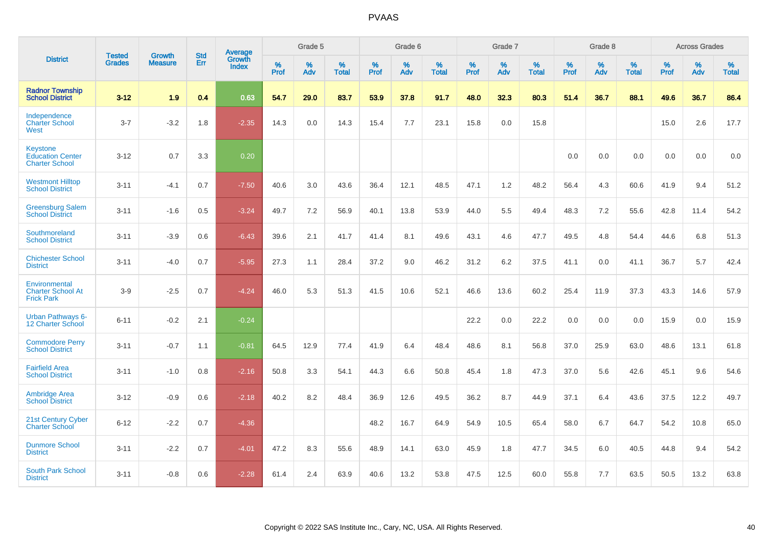|                                                                     | <b>Tested</b> | <b>Growth</b>  | <b>Std</b> | Average                       |           | Grade 5  |                   |           | Grade 6  |                   |           | Grade 7  |                   |           | Grade 8  |                   |           | <b>Across Grades</b> |                   |
|---------------------------------------------------------------------|---------------|----------------|------------|-------------------------------|-----------|----------|-------------------|-----------|----------|-------------------|-----------|----------|-------------------|-----------|----------|-------------------|-----------|----------------------|-------------------|
| <b>District</b>                                                     | <b>Grades</b> | <b>Measure</b> | Err        | <b>Growth</b><br><b>Index</b> | %<br>Prof | %<br>Adv | %<br><b>Total</b> | %<br>Prof | %<br>Adv | %<br><b>Total</b> | %<br>Prof | %<br>Adv | %<br><b>Total</b> | %<br>Prof | %<br>Adv | %<br><b>Total</b> | %<br>Prof | %<br>Adv             | %<br><b>Total</b> |
| <b>Radnor Township</b><br><b>School District</b>                    | $3 - 12$      | 1.9            | 0.4        | 0.63                          | 54.7      | 29.0     | 83.7              | 53.9      | 37.8     | 91.7              | 48.0      | 32.3     | 80.3              | 51.4      | 36.7     | 88.1              | 49.6      | 36.7                 | 86.4              |
| Independence<br><b>Charter School</b><br>West                       | $3 - 7$       | $-3.2$         | 1.8        | $-2.35$                       | 14.3      | 0.0      | 14.3              | 15.4      | 7.7      | 23.1              | 15.8      | 0.0      | 15.8              |           |          |                   | 15.0      | 2.6                  | 17.7              |
| <b>Keystone</b><br><b>Education Center</b><br><b>Charter School</b> | $3 - 12$      | 0.7            | 3.3        | 0.20                          |           |          |                   |           |          |                   |           |          |                   | 0.0       | 0.0      | 0.0               | 0.0       | 0.0                  | 0.0               |
| <b>Westmont Hilltop</b><br><b>School District</b>                   | $3 - 11$      | $-4.1$         | 0.7        | $-7.50$                       | 40.6      | 3.0      | 43.6              | 36.4      | 12.1     | 48.5              | 47.1      | 1.2      | 48.2              | 56.4      | 4.3      | 60.6              | 41.9      | 9.4                  | 51.2              |
| <b>Greensburg Salem</b><br><b>School District</b>                   | $3 - 11$      | $-1.6$         | 0.5        | $-3.24$                       | 49.7      | 7.2      | 56.9              | 40.1      | 13.8     | 53.9              | 44.0      | 5.5      | 49.4              | 48.3      | 7.2      | 55.6              | 42.8      | 11.4                 | 54.2              |
| Southmoreland<br><b>School District</b>                             | $3 - 11$      | $-3.9$         | 0.6        | $-6.43$                       | 39.6      | 2.1      | 41.7              | 41.4      | 8.1      | 49.6              | 43.1      | 4.6      | 47.7              | 49.5      | 4.8      | 54.4              | 44.6      | 6.8                  | 51.3              |
| <b>Chichester School</b><br><b>District</b>                         | $3 - 11$      | $-4.0$         | 0.7        | $-5.95$                       | 27.3      | 1.1      | 28.4              | 37.2      | 9.0      | 46.2              | 31.2      | 6.2      | 37.5              | 41.1      | 0.0      | 41.1              | 36.7      | 5.7                  | 42.4              |
| Environmental<br><b>Charter School At</b><br><b>Frick Park</b>      | $3-9$         | $-2.5$         | 0.7        | $-4.24$                       | 46.0      | 5.3      | 51.3              | 41.5      | 10.6     | 52.1              | 46.6      | 13.6     | 60.2              | 25.4      | 11.9     | 37.3              | 43.3      | 14.6                 | 57.9              |
| <b>Urban Pathways 6-</b><br>12 Charter School                       | $6 - 11$      | $-0.2$         | 2.1        | $-0.24$                       |           |          |                   |           |          |                   | 22.2      | 0.0      | 22.2              | 0.0       | 0.0      | 0.0               | 15.9      | 0.0                  | 15.9              |
| <b>Commodore Perry</b><br><b>School District</b>                    | $3 - 11$      | $-0.7$         | 1.1        | $-0.81$                       | 64.5      | 12.9     | 77.4              | 41.9      | 6.4      | 48.4              | 48.6      | 8.1      | 56.8              | 37.0      | 25.9     | 63.0              | 48.6      | 13.1                 | 61.8              |
| <b>Fairfield Area</b><br><b>School District</b>                     | $3 - 11$      | $-1.0$         | 0.8        | $-2.16$                       | 50.8      | 3.3      | 54.1              | 44.3      | 6.6      | 50.8              | 45.4      | 1.8      | 47.3              | 37.0      | 5.6      | 42.6              | 45.1      | 9.6                  | 54.6              |
| <b>Ambridge Area</b><br><b>School District</b>                      | $3 - 12$      | $-0.9$         | 0.6        | $-2.18$                       | 40.2      | 8.2      | 48.4              | 36.9      | 12.6     | 49.5              | 36.2      | 8.7      | 44.9              | 37.1      | 6.4      | 43.6              | 37.5      | 12.2                 | 49.7              |
| <b>21st Century Cyber</b><br><b>Charter School</b>                  | $6 - 12$      | $-2.2$         | 0.7        | $-4.36$                       |           |          |                   | 48.2      | 16.7     | 64.9              | 54.9      | 10.5     | 65.4              | 58.0      | 6.7      | 64.7              | 54.2      | 10.8                 | 65.0              |
| <b>Dunmore School</b><br><b>District</b>                            | $3 - 11$      | $-2.2$         | 0.7        | $-4.01$                       | 47.2      | 8.3      | 55.6              | 48.9      | 14.1     | 63.0              | 45.9      | 1.8      | 47.7              | 34.5      | 6.0      | 40.5              | 44.8      | 9.4                  | 54.2              |
| <b>South Park School</b><br><b>District</b>                         | $3 - 11$      | $-0.8$         | 0.6        | $-2.28$                       | 61.4      | 2.4      | 63.9              | 40.6      | 13.2     | 53.8              | 47.5      | 12.5     | 60.0              | 55.8      | 7.7      | 63.5              | 50.5      | 13.2                 | 63.8              |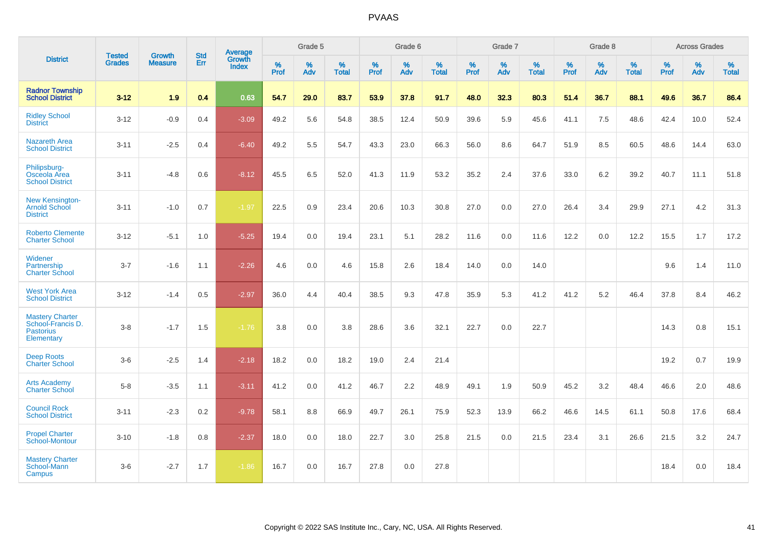|                                                                               |                                |                          | <b>Std</b> | <b>Average</b>         |              | Grade 5  |                   |           | Grade 6  |                   |           | Grade 7  |                   |           | Grade 8  |                   |           | <b>Across Grades</b> |                   |
|-------------------------------------------------------------------------------|--------------------------------|--------------------------|------------|------------------------|--------------|----------|-------------------|-----------|----------|-------------------|-----------|----------|-------------------|-----------|----------|-------------------|-----------|----------------------|-------------------|
| <b>District</b>                                                               | <b>Tested</b><br><b>Grades</b> | Growth<br><b>Measure</b> | Err        | <b>Growth</b><br>Index | $\%$<br>Prof | %<br>Adv | %<br><b>Total</b> | %<br>Prof | %<br>Adv | %<br><b>Total</b> | %<br>Prof | %<br>Adv | %<br><b>Total</b> | %<br>Prof | %<br>Adv | %<br><b>Total</b> | %<br>Prof | %<br>Adv             | %<br><b>Total</b> |
| <b>Radnor Township</b><br><b>School District</b>                              | $3 - 12$                       | 1.9                      | 0.4        | 0.63                   | 54.7         | 29.0     | 83.7              | 53.9      | 37.8     | 91.7              | 48.0      | 32.3     | 80.3              | 51.4      | 36.7     | 88.1              | 49.6      | 36.7                 | 86.4              |
| <b>Ridley School</b><br><b>District</b>                                       | $3 - 12$                       | $-0.9$                   | 0.4        | $-3.09$                | 49.2         | 5.6      | 54.8              | 38.5      | 12.4     | 50.9              | 39.6      | 5.9      | 45.6              | 41.1      | 7.5      | 48.6              | 42.4      | 10.0                 | 52.4              |
| <b>Nazareth Area</b><br><b>School District</b>                                | $3 - 11$                       | $-2.5$                   | 0.4        | $-6.40$                | 49.2         | 5.5      | 54.7              | 43.3      | 23.0     | 66.3              | 56.0      | 8.6      | 64.7              | 51.9      | 8.5      | 60.5              | 48.6      | 14.4                 | 63.0              |
| Philipsburg-<br>Osceola Area<br><b>School District</b>                        | $3 - 11$                       | $-4.8$                   | 0.6        | $-8.12$                | 45.5         | 6.5      | 52.0              | 41.3      | 11.9     | 53.2              | 35.2      | 2.4      | 37.6              | 33.0      | 6.2      | 39.2              | 40.7      | 11.1                 | 51.8              |
| <b>New Kensington-</b><br><b>Arnold School</b><br><b>District</b>             | $3 - 11$                       | $-1.0$                   | 0.7        | $-1.97$                | 22.5         | 0.9      | 23.4              | 20.6      | 10.3     | 30.8              | 27.0      | 0.0      | 27.0              | 26.4      | 3.4      | 29.9              | 27.1      | 4.2                  | 31.3              |
| <b>Roberto Clemente</b><br><b>Charter School</b>                              | $3 - 12$                       | $-5.1$                   | 1.0        | $-5.25$                | 19.4         | 0.0      | 19.4              | 23.1      | 5.1      | 28.2              | 11.6      | 0.0      | 11.6              | 12.2      | 0.0      | 12.2              | 15.5      | 1.7                  | 17.2              |
| Widener<br>Partnership<br><b>Charter School</b>                               | $3 - 7$                        | $-1.6$                   | 1.1        | $-2.26$                | 4.6          | 0.0      | 4.6               | 15.8      | 2.6      | 18.4              | 14.0      | 0.0      | 14.0              |           |          |                   | 9.6       | 1.4                  | 11.0              |
| <b>West York Area</b><br><b>School District</b>                               | $3-12$                         | $-1.4$                   | 0.5        | $-2.97$                | 36.0         | 4.4      | 40.4              | 38.5      | 9.3      | 47.8              | 35.9      | 5.3      | 41.2              | 41.2      | 5.2      | 46.4              | 37.8      | 8.4                  | 46.2              |
| <b>Mastery Charter</b><br>School-Francis D.<br><b>Pastorius</b><br>Elementary | $3 - 8$                        | $-1.7$                   | 1.5        | $-1.76$                | 3.8          | 0.0      | 3.8               | 28.6      | 3.6      | 32.1              | 22.7      | 0.0      | 22.7              |           |          |                   | 14.3      | 0.8                  | 15.1              |
| <b>Deep Roots</b><br><b>Charter School</b>                                    | $3-6$                          | $-2.5$                   | 1.4        | $-2.18$                | 18.2         | 0.0      | 18.2              | 19.0      | 2.4      | 21.4              |           |          |                   |           |          |                   | 19.2      | 0.7                  | 19.9              |
| <b>Arts Academy</b><br><b>Charter School</b>                                  | $5 - 8$                        | $-3.5$                   | 1.1        | $-3.11$                | 41.2         | 0.0      | 41.2              | 46.7      | 2.2      | 48.9              | 49.1      | 1.9      | 50.9              | 45.2      | 3.2      | 48.4              | 46.6      | 2.0                  | 48.6              |
| <b>Council Rock</b><br><b>School District</b>                                 | $3 - 11$                       | $-2.3$                   | 0.2        | $-9.78$                | 58.1         | 8.8      | 66.9              | 49.7      | 26.1     | 75.9              | 52.3      | 13.9     | 66.2              | 46.6      | 14.5     | 61.1              | 50.8      | 17.6                 | 68.4              |
| <b>Propel Charter</b><br>School-Montour                                       | $3 - 10$                       | $-1.8$                   | 0.8        | $-2.37$                | 18.0         | 0.0      | 18.0              | 22.7      | 3.0      | 25.8              | 21.5      | 0.0      | 21.5              | 23.4      | 3.1      | 26.6              | 21.5      | 3.2                  | 24.7              |
| <b>Mastery Charter</b><br>School-Mann<br>Campus                               | $3-6$                          | $-2.7$                   | 1.7        | $-1.86$                | 16.7         | 0.0      | 16.7              | 27.8      | 0.0      | 27.8              |           |          |                   |           |          |                   | 18.4      | 0.0                  | 18.4              |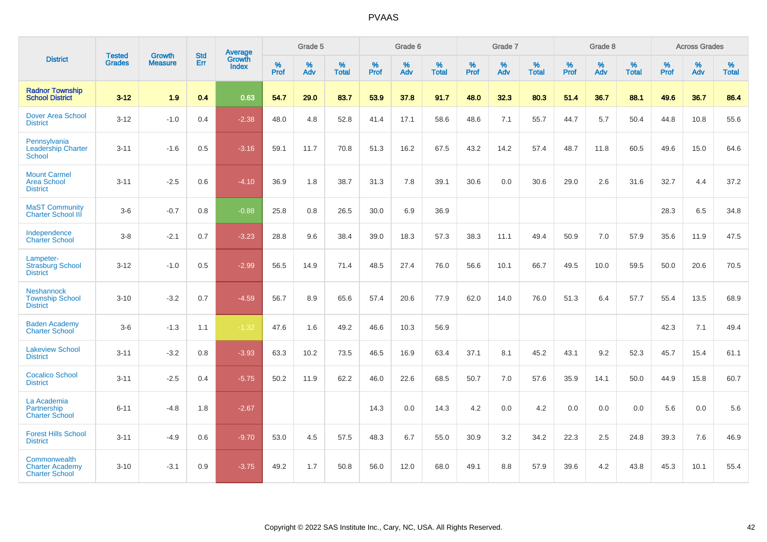|                                                                 | <b>Tested</b> | <b>Growth</b>  | <b>Std</b> | Average                |              | Grade 5  |                   |              | Grade 6  |                   |              | Grade 7  |                   |           | Grade 8  |                   |           | <b>Across Grades</b> |                   |
|-----------------------------------------------------------------|---------------|----------------|------------|------------------------|--------------|----------|-------------------|--------------|----------|-------------------|--------------|----------|-------------------|-----------|----------|-------------------|-----------|----------------------|-------------------|
| <b>District</b>                                                 | <b>Grades</b> | <b>Measure</b> | Err        | Growth<br><b>Index</b> | $\%$<br>Prof | %<br>Adv | %<br><b>Total</b> | $\%$<br>Prof | %<br>Adv | %<br><b>Total</b> | $\%$<br>Prof | %<br>Adv | %<br><b>Total</b> | %<br>Prof | %<br>Adv | %<br><b>Total</b> | %<br>Prof | %<br>Adv             | %<br><b>Total</b> |
| <b>Radnor Township</b><br><b>School District</b>                | $3 - 12$      | 1.9            | 0.4        | 0.63                   | 54.7         | 29.0     | 83.7              | 53.9         | 37.8     | 91.7              | 48.0         | 32.3     | 80.3              | 51.4      | 36.7     | 88.1              | 49.6      | 36.7                 | 86.4              |
| <b>Dover Area School</b><br><b>District</b>                     | $3 - 12$      | $-1.0$         | 0.4        | $-2.38$                | 48.0         | 4.8      | 52.8              | 41.4         | 17.1     | 58.6              | 48.6         | 7.1      | 55.7              | 44.7      | 5.7      | 50.4              | 44.8      | 10.8                 | 55.6              |
| Pennsylvania<br><b>Leadership Charter</b><br>School             | $3 - 11$      | $-1.6$         | 0.5        | $-3.16$                | 59.1         | 11.7     | 70.8              | 51.3         | 16.2     | 67.5              | 43.2         | 14.2     | 57.4              | 48.7      | 11.8     | 60.5              | 49.6      | 15.0                 | 64.6              |
| <b>Mount Carmel</b><br><b>Area School</b><br><b>District</b>    | $3 - 11$      | $-2.5$         | 0.6        | $-4.10$                | 36.9         | 1.8      | 38.7              | 31.3         | 7.8      | 39.1              | 30.6         | 0.0      | 30.6              | 29.0      | 2.6      | 31.6              | 32.7      | 4.4                  | 37.2              |
| <b>MaST Community</b><br><b>Charter School III</b>              | $3-6$         | $-0.7$         | 0.8        | $-0.88$                | 25.8         | 0.8      | 26.5              | 30.0         | 6.9      | 36.9              |              |          |                   |           |          |                   | 28.3      | 6.5                  | 34.8              |
| Independence<br><b>Charter School</b>                           | $3 - 8$       | $-2.1$         | 0.7        | $-3.23$                | 28.8         | 9.6      | 38.4              | 39.0         | 18.3     | 57.3              | 38.3         | 11.1     | 49.4              | 50.9      | 7.0      | 57.9              | 35.6      | 11.9                 | 47.5              |
| Lampeter-<br><b>Strasburg School</b><br><b>District</b>         | $3 - 12$      | $-1.0$         | 0.5        | $-2.99$                | 56.5         | 14.9     | 71.4              | 48.5         | 27.4     | 76.0              | 56.6         | 10.1     | 66.7              | 49.5      | 10.0     | 59.5              | 50.0      | 20.6                 | 70.5              |
| <b>Neshannock</b><br><b>Township School</b><br><b>District</b>  | $3 - 10$      | $-3.2$         | 0.7        | $-4.59$                | 56.7         | 8.9      | 65.6              | 57.4         | 20.6     | 77.9              | 62.0         | 14.0     | 76.0              | 51.3      | 6.4      | 57.7              | 55.4      | 13.5                 | 68.9              |
| <b>Baden Academy</b><br><b>Charter School</b>                   | $3-6$         | $-1.3$         | 1.1        | $-1.32$                | 47.6         | 1.6      | 49.2              | 46.6         | 10.3     | 56.9              |              |          |                   |           |          |                   | 42.3      | 7.1                  | 49.4              |
| <b>Lakeview School</b><br><b>District</b>                       | $3 - 11$      | $-3.2$         | 0.8        | $-3.93$                | 63.3         | 10.2     | 73.5              | 46.5         | 16.9     | 63.4              | 37.1         | 8.1      | 45.2              | 43.1      | 9.2      | 52.3              | 45.7      | 15.4                 | 61.1              |
| <b>Cocalico School</b><br><b>District</b>                       | $3 - 11$      | $-2.5$         | 0.4        | $-5.75$                | 50.2         | 11.9     | 62.2              | 46.0         | 22.6     | 68.5              | 50.7         | 7.0      | 57.6              | 35.9      | 14.1     | 50.0              | 44.9      | 15.8                 | 60.7              |
| La Academia<br>Partnership<br><b>Charter School</b>             | $6 - 11$      | $-4.8$         | 1.8        | $-2.67$                |              |          |                   | 14.3         | 0.0      | 14.3              | 4.2          | $0.0\,$  | 4.2               | 0.0       | 0.0      | 0.0               | 5.6       | $0.0\,$              | 5.6               |
| <b>Forest Hills School</b><br><b>District</b>                   | $3 - 11$      | $-4.9$         | 0.6        | $-9.70$                | 53.0         | 4.5      | 57.5              | 48.3         | 6.7      | 55.0              | 30.9         | 3.2      | 34.2              | 22.3      | 2.5      | 24.8              | 39.3      | 7.6                  | 46.9              |
| Commonwealth<br><b>Charter Academy</b><br><b>Charter School</b> | $3 - 10$      | $-3.1$         | 0.9        | $-3.75$                | 49.2         | 1.7      | 50.8              | 56.0         | 12.0     | 68.0              | 49.1         | 8.8      | 57.9              | 39.6      | 4.2      | 43.8              | 45.3      | 10.1                 | 55.4              |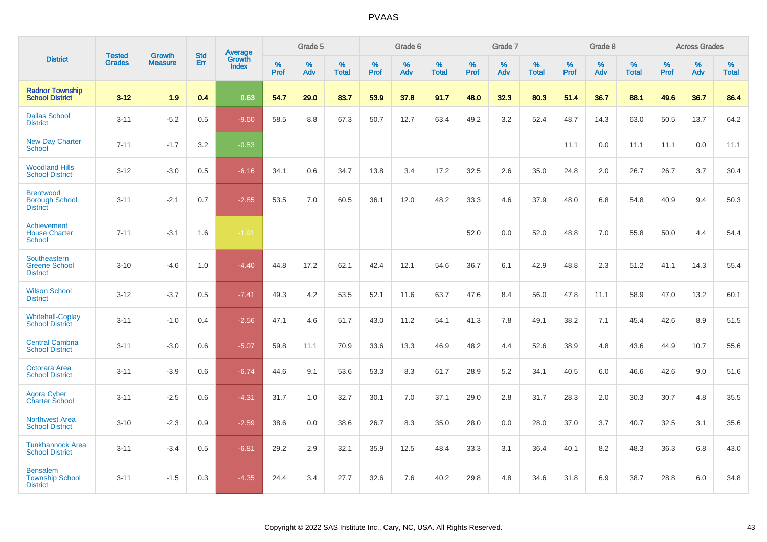|                                                              |                                |                                 | <b>Std</b> | Average                |           | Grade 5  |                   |           | Grade 6  |                   |           | Grade 7  |                   |           | Grade 8  |                   |           | <b>Across Grades</b> |                   |
|--------------------------------------------------------------|--------------------------------|---------------------------------|------------|------------------------|-----------|----------|-------------------|-----------|----------|-------------------|-----------|----------|-------------------|-----------|----------|-------------------|-----------|----------------------|-------------------|
| <b>District</b>                                              | <b>Tested</b><br><b>Grades</b> | <b>Growth</b><br><b>Measure</b> | Err        | Growth<br><b>Index</b> | %<br>Prof | %<br>Adv | %<br><b>Total</b> | %<br>Prof | %<br>Adv | %<br><b>Total</b> | %<br>Prof | %<br>Adv | %<br><b>Total</b> | %<br>Prof | %<br>Adv | %<br><b>Total</b> | %<br>Prof | %<br>Adv             | %<br><b>Total</b> |
| <b>Radnor Township</b><br><b>School District</b>             | $3 - 12$                       | 1.9                             | 0.4        | 0.63                   | 54.7      | 29.0     | 83.7              | 53.9      | 37.8     | 91.7              | 48.0      | 32.3     | 80.3              | 51.4      | 36.7     | 88.1              | 49.6      | 36.7                 | 86.4              |
| <b>Dallas School</b><br><b>District</b>                      | $3 - 11$                       | $-5.2$                          | 0.5        | $-9.60$                | 58.5      | 8.8      | 67.3              | 50.7      | 12.7     | 63.4              | 49.2      | 3.2      | 52.4              | 48.7      | 14.3     | 63.0              | 50.5      | 13.7                 | 64.2              |
| <b>New Day Charter</b><br><b>School</b>                      | $7 - 11$                       | $-1.7$                          | 3.2        | $-0.53$                |           |          |                   |           |          |                   |           |          |                   | 11.1      | 0.0      | 11.1              | 11.1      | 0.0                  | 11.1              |
| <b>Woodland Hills</b><br><b>School District</b>              | $3 - 12$                       | $-3.0$                          | 0.5        | $-6.16$                | 34.1      | 0.6      | 34.7              | 13.8      | 3.4      | 17.2              | 32.5      | 2.6      | 35.0              | 24.8      | 2.0      | 26.7              | 26.7      | 3.7                  | 30.4              |
| <b>Brentwood</b><br><b>Borough School</b><br><b>District</b> | $3 - 11$                       | $-2.1$                          | 0.7        | $-2.85$                | 53.5      | 7.0      | 60.5              | 36.1      | 12.0     | 48.2              | 33.3      | 4.6      | 37.9              | 48.0      | 6.8      | 54.8              | 40.9      | 9.4                  | 50.3              |
| Achievement<br><b>House Charter</b><br><b>School</b>         | $7 - 11$                       | $-3.1$                          | 1.6        | $-1.91$                |           |          |                   |           |          |                   | 52.0      | 0.0      | 52.0              | 48.8      | 7.0      | 55.8              | 50.0      | 4.4                  | 54.4              |
| Southeastern<br><b>Greene School</b><br><b>District</b>      | $3 - 10$                       | $-4.6$                          | 1.0        | $-4.40$                | 44.8      | 17.2     | 62.1              | 42.4      | 12.1     | 54.6              | 36.7      | 6.1      | 42.9              | 48.8      | 2.3      | 51.2              | 41.1      | 14.3                 | 55.4              |
| <b>Wilson School</b><br><b>District</b>                      | $3 - 12$                       | $-3.7$                          | 0.5        | $-7.41$                | 49.3      | 4.2      | 53.5              | 52.1      | 11.6     | 63.7              | 47.6      | 8.4      | 56.0              | 47.8      | 11.1     | 58.9              | 47.0      | 13.2                 | 60.1              |
| <b>Whitehall-Coplay</b><br><b>School District</b>            | $3 - 11$                       | $-1.0$                          | 0.4        | $-2.56$                | 47.1      | 4.6      | 51.7              | 43.0      | 11.2     | 54.1              | 41.3      | 7.8      | 49.1              | 38.2      | 7.1      | 45.4              | 42.6      | 8.9                  | 51.5              |
| <b>Central Cambria</b><br><b>School District</b>             | $3 - 11$                       | $-3.0$                          | 0.6        | $-5.07$                | 59.8      | 11.1     | 70.9              | 33.6      | 13.3     | 46.9              | 48.2      | 4.4      | 52.6              | 38.9      | 4.8      | 43.6              | 44.9      | 10.7                 | 55.6              |
| Octorara Area<br><b>School District</b>                      | $3 - 11$                       | $-3.9$                          | 0.6        | $-6.74$                | 44.6      | 9.1      | 53.6              | 53.3      | 8.3      | 61.7              | 28.9      | 5.2      | 34.1              | 40.5      | 6.0      | 46.6              | 42.6      | 9.0                  | 51.6              |
| Agora Cyber<br><b>Charter School</b>                         | $3 - 11$                       | $-2.5$                          | 0.6        | $-4.31$                | 31.7      | 1.0      | 32.7              | 30.1      | 7.0      | 37.1              | 29.0      | 2.8      | 31.7              | 28.3      | 2.0      | 30.3              | 30.7      | 4.8                  | 35.5              |
| <b>Northwest Area</b><br><b>School District</b>              | $3 - 10$                       | $-2.3$                          | 0.9        | $-2.59$                | 38.6      | 0.0      | 38.6              | 26.7      | 8.3      | 35.0              | 28.0      | 0.0      | 28.0              | 37.0      | 3.7      | 40.7              | 32.5      | 3.1                  | 35.6              |
| <b>Tunkhannock Area</b><br><b>School District</b>            | $3 - 11$                       | $-3.4$                          | 0.5        | $-6.81$                | 29.2      | 2.9      | 32.1              | 35.9      | 12.5     | 48.4              | 33.3      | 3.1      | 36.4              | 40.1      | 8.2      | 48.3              | 36.3      | 6.8                  | 43.0              |
| <b>Bensalem</b><br><b>Township School</b><br><b>District</b> | $3 - 11$                       | $-1.5$                          | 0.3        | $-4.35$                | 24.4      | 3.4      | 27.7              | 32.6      | 7.6      | 40.2              | 29.8      | 4.8      | 34.6              | 31.8      | 6.9      | 38.7              | 28.8      | 6.0                  | 34.8              |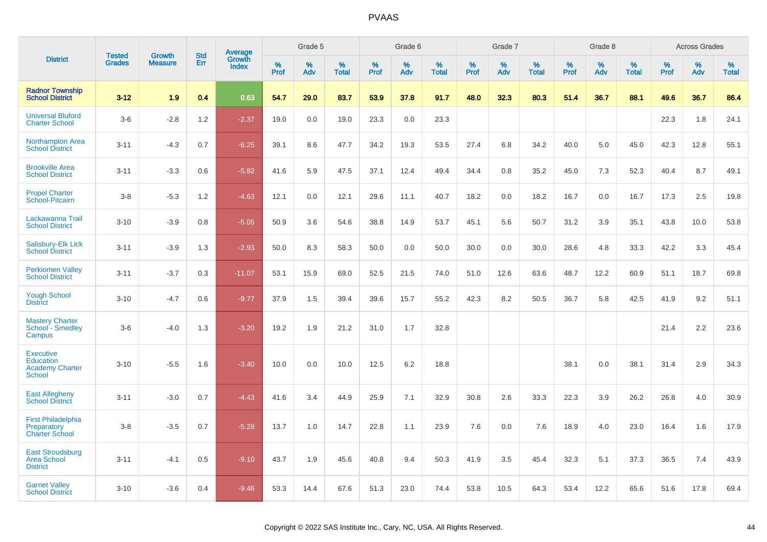|                                                                                 | <b>Tested</b> | <b>Growth</b>  | <b>Std</b> | Average         |           | Grade 5  |                   |           | Grade 6  |                   |           | Grade 7  |                   |           | Grade 8  |                   |           | <b>Across Grades</b> |                   |
|---------------------------------------------------------------------------------|---------------|----------------|------------|-----------------|-----------|----------|-------------------|-----------|----------|-------------------|-----------|----------|-------------------|-----------|----------|-------------------|-----------|----------------------|-------------------|
| <b>District</b>                                                                 | <b>Grades</b> | <b>Measure</b> | Err        | Growth<br>Index | %<br>Prof | %<br>Adv | %<br><b>Total</b> | %<br>Prof | %<br>Adv | %<br><b>Total</b> | %<br>Prof | %<br>Adv | %<br><b>Total</b> | %<br>Prof | %<br>Adv | %<br><b>Total</b> | %<br>Prof | %<br>Adv             | %<br><b>Total</b> |
| <b>Radnor Township</b><br><b>School District</b>                                | $3 - 12$      | 1.9            | 0.4        | 0.63            | 54.7      | 29.0     | 83.7              | 53.9      | 37.8     | 91.7              | 48.0      | 32.3     | 80.3              | 51.4      | 36.7     | 88.1              | 49.6      | 36.7                 | 86.4              |
| <b>Universal Bluford</b><br><b>Charter School</b>                               | $3-6$         | $-2.8$         | 1.2        | $-2.37$         | 19.0      | 0.0      | 19.0              | 23.3      | 0.0      | 23.3              |           |          |                   |           |          |                   | 22.3      | 1.8                  | 24.1              |
| <b>Northampton Area</b><br><b>School District</b>                               | $3 - 11$      | $-4.3$         | 0.7        | $-6.25$         | 39.1      | 8.6      | 47.7              | 34.2      | 19.3     | 53.5              | 27.4      | 6.8      | 34.2              | 40.0      | 5.0      | 45.0              | 42.3      | 12.8                 | 55.1              |
| <b>Brookville Area</b><br><b>School District</b>                                | $3 - 11$      | $-3.3$         | 0.6        | $-5.82$         | 41.6      | 5.9      | 47.5              | 37.1      | 12.4     | 49.4              | 34.4      | 0.8      | 35.2              | 45.0      | 7.3      | 52.3              | 40.4      | 8.7                  | 49.1              |
| <b>Propel Charter</b><br>School-Pitcairn                                        | $3 - 8$       | $-5.3$         | 1.2        | $-4.63$         | 12.1      | 0.0      | 12.1              | 29.6      | 11.1     | 40.7              | 18.2      | 0.0      | 18.2              | 16.7      | 0.0      | 16.7              | 17.3      | 2.5                  | 19.8              |
| Lackawanna Trail<br><b>School District</b>                                      | $3 - 10$      | $-3.9$         | 0.8        | $-5.05$         | 50.9      | 3.6      | 54.6              | 38.8      | 14.9     | 53.7              | 45.1      | 5.6      | 50.7              | 31.2      | 3.9      | 35.1              | 43.8      | 10.0                 | 53.8              |
| Salisbury-Elk Lick<br><b>School District</b>                                    | $3 - 11$      | $-3.9$         | 1.3        | $-2.93$         | 50.0      | 8.3      | 58.3              | 50.0      | 0.0      | 50.0              | 30.0      | 0.0      | 30.0              | 28.6      | 4.8      | 33.3              | 42.2      | 3.3                  | 45.4              |
| <b>Perkiomen Valley</b><br><b>School District</b>                               | $3 - 11$      | $-3.7$         | 0.3        | $-11.07$        | 53.1      | 15.9     | 69.0              | 52.5      | 21.5     | 74.0              | 51.0      | 12.6     | 63.6              | 48.7      | 12.2     | 60.9              | 51.1      | 18.7                 | 69.8              |
| <b>Yough School</b><br><b>District</b>                                          | $3 - 10$      | $-4.7$         | 0.6        | $-9.77$         | 37.9      | 1.5      | 39.4              | 39.6      | 15.7     | 55.2              | 42.3      | 8.2      | 50.5              | 36.7      | 5.8      | 42.5              | 41.9      | 9.2                  | 51.1              |
| <b>Mastery Charter</b><br>School - Smedley<br>Campus                            | $3-6$         | $-4.0$         | 1.3        | $-3.20$         | 19.2      | 1.9      | 21.2              | 31.0      | 1.7      | 32.8              |           |          |                   |           |          |                   | 21.4      | 2.2                  | 23.6              |
| <b>Executive</b><br><b>Education</b><br><b>Academy Charter</b><br><b>School</b> | $3 - 10$      | $-5.5$         | 1.6        | $-3.40$         | 10.0      | 0.0      | 10.0              | 12.5      | 6.2      | 18.8              |           |          |                   | 38.1      | 0.0      | 38.1              | 31.4      | 2.9                  | 34.3              |
| <b>East Allegheny</b><br><b>School District</b>                                 | $3 - 11$      | $-3.0$         | 0.7        | $-4.43$         | 41.6      | 3.4      | 44.9              | 25.9      | 7.1      | 32.9              | 30.8      | 2.6      | 33.3              | 22.3      | 3.9      | 26.2              | 26.8      | 4.0                  | 30.9              |
| <b>First Philadelphia</b><br>Preparatory<br><b>Charter School</b>               | $3-8$         | $-3.5$         | 0.7        | $-5.28$         | 13.7      | 1.0      | 14.7              | 22.8      | 1.1      | 23.9              | 7.6       | 0.0      | 7.6               | 18.9      | 4.0      | 23.0              | 16.4      | 1.6                  | 17.9              |
| <b>East Stroudsburg</b><br><b>Area School</b><br><b>District</b>                | $3 - 11$      | $-4.1$         | 0.5        | $-9.10$         | 43.7      | 1.9      | 45.6              | 40.8      | 9.4      | 50.3              | 41.9      | 3.5      | 45.4              | 32.3      | 5.1      | 37.3              | 36.5      | 7.4                  | 43.9              |
| <b>Garnet Valley</b><br><b>School District</b>                                  | $3 - 10$      | $-3.6$         | 0.4        | $-9.46$         | 53.3      | 14.4     | 67.6              | 51.3      | 23.0     | 74.4              | 53.8      | 10.5     | 64.3              | 53.4      | 12.2     | 65.6              | 51.6      | 17.8                 | 69.4              |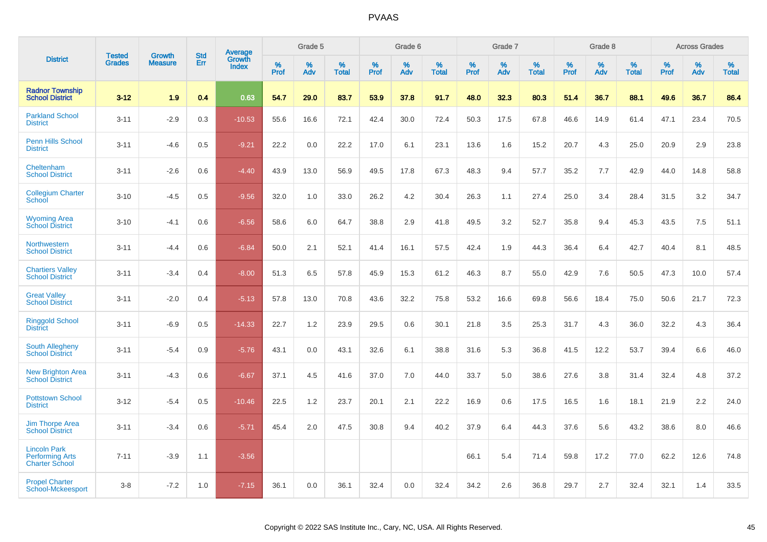|                                                                        |                                | <b>Growth</b>  | <b>Std</b> | Average                |              | Grade 5     |                      |                     | Grade 6     |                      |              | Grade 7     |                      |              | Grade 8     |                   |                     | <b>Across Grades</b> |                      |
|------------------------------------------------------------------------|--------------------------------|----------------|------------|------------------------|--------------|-------------|----------------------|---------------------|-------------|----------------------|--------------|-------------|----------------------|--------------|-------------|-------------------|---------------------|----------------------|----------------------|
| <b>District</b>                                                        | <b>Tested</b><br><b>Grades</b> | <b>Measure</b> | Err        | Growth<br><b>Index</b> | $\%$<br>Prof | $\%$<br>Adv | $\%$<br><b>Total</b> | $\%$<br><b>Prof</b> | $\%$<br>Adv | $\%$<br><b>Total</b> | $\%$<br>Prof | $\%$<br>Adv | $\%$<br><b>Total</b> | $\%$<br>Prof | $\%$<br>Adv | %<br><b>Total</b> | $\%$<br><b>Prof</b> | $\%$<br>Adv          | $\%$<br><b>Total</b> |
| <b>Radnor Township</b><br><b>School District</b>                       | $3 - 12$                       | 1.9            | 0.4        | 0.63                   | 54.7         | 29.0        | 83.7                 | 53.9                | 37.8        | 91.7                 | 48.0         | 32.3        | 80.3                 | 51.4         | 36.7        | 88.1              | 49.6                | 36.7                 | 86.4                 |
| <b>Parkland School</b><br><b>District</b>                              | $3 - 11$                       | $-2.9$         | 0.3        | $-10.53$               | 55.6         | 16.6        | 72.1                 | 42.4                | 30.0        | 72.4                 | 50.3         | 17.5        | 67.8                 | 46.6         | 14.9        | 61.4              | 47.1                | 23.4                 | 70.5                 |
| <b>Penn Hills School</b><br><b>District</b>                            | $3 - 11$                       | $-4.6$         | 0.5        | $-9.21$                | 22.2         | 0.0         | 22.2                 | 17.0                | 6.1         | 23.1                 | 13.6         | 1.6         | 15.2                 | 20.7         | 4.3         | 25.0              | 20.9                | 2.9                  | 23.8                 |
| Cheltenham<br><b>School District</b>                                   | $3 - 11$                       | $-2.6$         | 0.6        | $-4.40$                | 43.9         | 13.0        | 56.9                 | 49.5                | 17.8        | 67.3                 | 48.3         | 9.4         | 57.7                 | 35.2         | 7.7         | 42.9              | 44.0                | 14.8                 | 58.8                 |
| <b>Collegium Charter</b><br>School                                     | $3 - 10$                       | $-4.5$         | 0.5        | $-9.56$                | 32.0         | 1.0         | 33.0                 | 26.2                | 4.2         | 30.4                 | 26.3         | 1.1         | 27.4                 | 25.0         | 3.4         | 28.4              | 31.5                | 3.2                  | 34.7                 |
| <b>Wyoming Area</b><br><b>School District</b>                          | $3 - 10$                       | $-4.1$         | 0.6        | $-6.56$                | 58.6         | 6.0         | 64.7                 | 38.8                | 2.9         | 41.8                 | 49.5         | 3.2         | 52.7                 | 35.8         | 9.4         | 45.3              | 43.5                | 7.5                  | 51.1                 |
| Northwestern<br><b>School District</b>                                 | $3 - 11$                       | $-4.4$         | 0.6        | $-6.84$                | 50.0         | 2.1         | 52.1                 | 41.4                | 16.1        | 57.5                 | 42.4         | 1.9         | 44.3                 | 36.4         | 6.4         | 42.7              | 40.4                | 8.1                  | 48.5                 |
| <b>Chartiers Valley</b><br><b>School District</b>                      | $3 - 11$                       | $-3.4$         | 0.4        | $-8.00$                | 51.3         | 6.5         | 57.8                 | 45.9                | 15.3        | 61.2                 | 46.3         | 8.7         | 55.0                 | 42.9         | 7.6         | 50.5              | 47.3                | 10.0                 | 57.4                 |
| <b>Great Valley</b><br><b>School District</b>                          | $3 - 11$                       | $-2.0$         | 0.4        | $-5.13$                | 57.8         | 13.0        | 70.8                 | 43.6                | 32.2        | 75.8                 | 53.2         | 16.6        | 69.8                 | 56.6         | 18.4        | 75.0              | 50.6                | 21.7                 | 72.3                 |
| <b>Ringgold School</b><br><b>District</b>                              | $3 - 11$                       | $-6.9$         | 0.5        | $-14.33$               | 22.7         | 1.2         | 23.9                 | 29.5                | 0.6         | 30.1                 | 21.8         | 3.5         | 25.3                 | 31.7         | 4.3         | 36.0              | 32.2                | 4.3                  | 36.4                 |
| South Allegheny<br><b>School District</b>                              | $3 - 11$                       | $-5.4$         | 0.9        | $-5.76$                | 43.1         | 0.0         | 43.1                 | 32.6                | 6.1         | 38.8                 | 31.6         | 5.3         | 36.8                 | 41.5         | 12.2        | 53.7              | 39.4                | 6.6                  | 46.0                 |
| <b>New Brighton Area</b><br><b>School District</b>                     | $3 - 11$                       | $-4.3$         | 0.6        | $-6.67$                | 37.1         | 4.5         | 41.6                 | 37.0                | 7.0         | 44.0                 | 33.7         | 5.0         | 38.6                 | 27.6         | 3.8         | 31.4              | 32.4                | 4.8                  | 37.2                 |
| <b>Pottstown School</b><br><b>District</b>                             | $3 - 12$                       | $-5.4$         | 0.5        | $-10.46$               | 22.5         | 1.2         | 23.7                 | 20.1                | 2.1         | 22.2                 | 16.9         | 0.6         | 17.5                 | 16.5         | 1.6         | 18.1              | 21.9                | 2.2                  | 24.0                 |
| <b>Jim Thorpe Area</b><br><b>School District</b>                       | $3 - 11$                       | $-3.4$         | 0.6        | $-5.71$                | 45.4         | 2.0         | 47.5                 | 30.8                | 9.4         | 40.2                 | 37.9         | 6.4         | 44.3                 | 37.6         | 5.6         | 43.2              | 38.6                | 8.0                  | 46.6                 |
| <b>Lincoln Park</b><br><b>Performing Arts</b><br><b>Charter School</b> | $7 - 11$                       | $-3.9$         | 1.1        | $-3.56$                |              |             |                      |                     |             |                      | 66.1         | 5.4         | 71.4                 | 59.8         | 17.2        | 77.0              | 62.2                | 12.6                 | 74.8                 |
| <b>Propel Charter</b><br>School-Mckeesport                             | $3 - 8$                        | $-7.2$         | 1.0        | $-7.15$                | 36.1         | 0.0         | 36.1                 | 32.4                | 0.0         | 32.4                 | 34.2         | 2.6         | 36.8                 | 29.7         | 2.7         | 32.4              | 32.1                | 1.4                  | 33.5                 |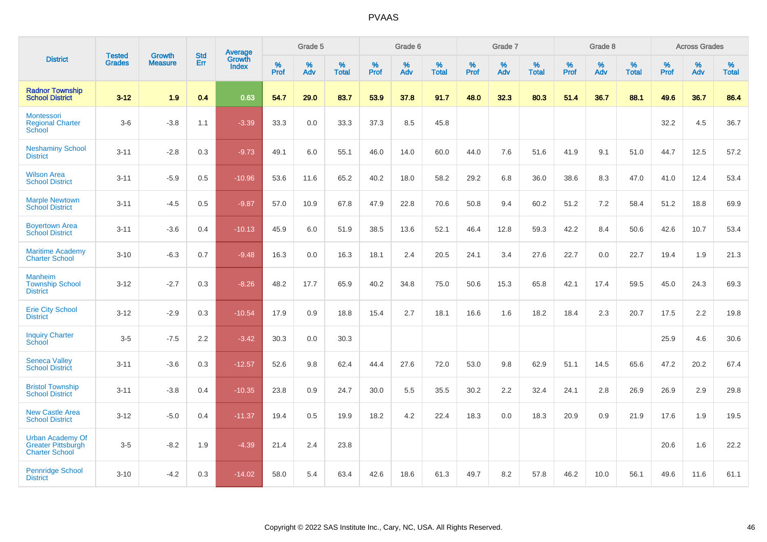|                                                                               |                                |                                 | <b>Std</b> | Average                       |           | Grade 5  |                   |           | Grade 6  |                   |           | Grade 7  |                   |           | Grade 8  |                   |           | <b>Across Grades</b> |                   |
|-------------------------------------------------------------------------------|--------------------------------|---------------------------------|------------|-------------------------------|-----------|----------|-------------------|-----------|----------|-------------------|-----------|----------|-------------------|-----------|----------|-------------------|-----------|----------------------|-------------------|
| <b>District</b>                                                               | <b>Tested</b><br><b>Grades</b> | <b>Growth</b><br><b>Measure</b> | Err        | <b>Growth</b><br><b>Index</b> | %<br>Prof | %<br>Adv | %<br><b>Total</b> | %<br>Prof | %<br>Adv | %<br><b>Total</b> | %<br>Prof | %<br>Adv | %<br><b>Total</b> | %<br>Prof | %<br>Adv | %<br><b>Total</b> | %<br>Prof | %<br>Adv             | %<br><b>Total</b> |
| <b>Radnor Township</b><br><b>School District</b>                              | $3 - 12$                       | 1.9                             | 0.4        | 0.63                          | 54.7      | 29.0     | 83.7              | 53.9      | 37.8     | 91.7              | 48.0      | 32.3     | 80.3              | 51.4      | 36.7     | 88.1              | 49.6      | 36.7                 | 86.4              |
| Montessori<br><b>Regional Charter</b><br>School                               | $3-6$                          | $-3.8$                          | 1.1        | $-3.39$                       | 33.3      | $0.0\,$  | 33.3              | 37.3      | 8.5      | 45.8              |           |          |                   |           |          |                   | 32.2      | 4.5                  | 36.7              |
| <b>Neshaminy School</b><br><b>District</b>                                    | $3 - 11$                       | $-2.8$                          | 0.3        | $-9.73$                       | 49.1      | 6.0      | 55.1              | 46.0      | 14.0     | 60.0              | 44.0      | 7.6      | 51.6              | 41.9      | 9.1      | 51.0              | 44.7      | 12.5                 | 57.2              |
| <b>Wilson Area</b><br><b>School District</b>                                  | $3 - 11$                       | $-5.9$                          | 0.5        | $-10.96$                      | 53.6      | 11.6     | 65.2              | 40.2      | 18.0     | 58.2              | 29.2      | 6.8      | 36.0              | 38.6      | 8.3      | 47.0              | 41.0      | 12.4                 | 53.4              |
| <b>Marple Newtown</b><br><b>School District</b>                               | $3 - 11$                       | $-4.5$                          | 0.5        | $-9.87$                       | 57.0      | 10.9     | 67.8              | 47.9      | 22.8     | 70.6              | 50.8      | 9.4      | 60.2              | 51.2      | 7.2      | 58.4              | 51.2      | 18.8                 | 69.9              |
| <b>Boyertown Area</b><br><b>School District</b>                               | $3 - 11$                       | $-3.6$                          | 0.4        | $-10.13$                      | 45.9      | 6.0      | 51.9              | 38.5      | 13.6     | 52.1              | 46.4      | 12.8     | 59.3              | 42.2      | 8.4      | 50.6              | 42.6      | 10.7                 | 53.4              |
| <b>Maritime Academy</b><br><b>Charter School</b>                              | $3 - 10$                       | $-6.3$                          | 0.7        | $-9.48$                       | 16.3      | 0.0      | 16.3              | 18.1      | 2.4      | 20.5              | 24.1      | 3.4      | 27.6              | 22.7      | 0.0      | 22.7              | 19.4      | 1.9                  | 21.3              |
| <b>Manheim</b><br><b>Township School</b><br><b>District</b>                   | $3 - 12$                       | $-2.7$                          | 0.3        | $-8.26$                       | 48.2      | 17.7     | 65.9              | 40.2      | 34.8     | 75.0              | 50.6      | 15.3     | 65.8              | 42.1      | 17.4     | 59.5              | 45.0      | 24.3                 | 69.3              |
| <b>Erie City School</b><br><b>District</b>                                    | $3 - 12$                       | $-2.9$                          | 0.3        | $-10.54$                      | 17.9      | 0.9      | 18.8              | 15.4      | 2.7      | 18.1              | 16.6      | 1.6      | 18.2              | 18.4      | 2.3      | 20.7              | 17.5      | 2.2                  | 19.8              |
| <b>Inquiry Charter</b><br>School                                              | $3-5$                          | $-7.5$                          | 2.2        | $-3.42$                       | 30.3      | 0.0      | 30.3              |           |          |                   |           |          |                   |           |          |                   | 25.9      | 4.6                  | 30.6              |
| <b>Seneca Valley</b><br><b>School District</b>                                | $3 - 11$                       | $-3.6$                          | 0.3        | $-12.57$                      | 52.6      | 9.8      | 62.4              | 44.4      | 27.6     | 72.0              | 53.0      | 9.8      | 62.9              | 51.1      | 14.5     | 65.6              | 47.2      | 20.2                 | 67.4              |
| <b>Bristol Township</b><br><b>School District</b>                             | $3 - 11$                       | $-3.8$                          | 0.4        | $-10.35$                      | 23.8      | 0.9      | 24.7              | 30.0      | 5.5      | 35.5              | 30.2      | 2.2      | 32.4              | 24.1      | 2.8      | 26.9              | 26.9      | 2.9                  | 29.8              |
| <b>New Castle Area</b><br><b>School District</b>                              | $3 - 12$                       | $-5.0$                          | 0.4        | $-11.37$                      | 19.4      | 0.5      | 19.9              | 18.2      | 4.2      | 22.4              | 18.3      | 0.0      | 18.3              | 20.9      | 0.9      | 21.9              | 17.6      | 1.9                  | 19.5              |
| <b>Urban Academy Of</b><br><b>Greater Pittsburgh</b><br><b>Charter School</b> | $3-5$                          | $-8.2$                          | 1.9        | $-4.39$                       | 21.4      | 2.4      | 23.8              |           |          |                   |           |          |                   |           |          |                   | 20.6      | 1.6                  | 22.2              |
| <b>Pennridge School</b><br><b>District</b>                                    | $3 - 10$                       | $-4.2$                          | 0.3        | $-14.02$                      | 58.0      | 5.4      | 63.4              | 42.6      | 18.6     | 61.3              | 49.7      | 8.2      | 57.8              | 46.2      | 10.0     | 56.1              | 49.6      | 11.6                 | 61.1              |